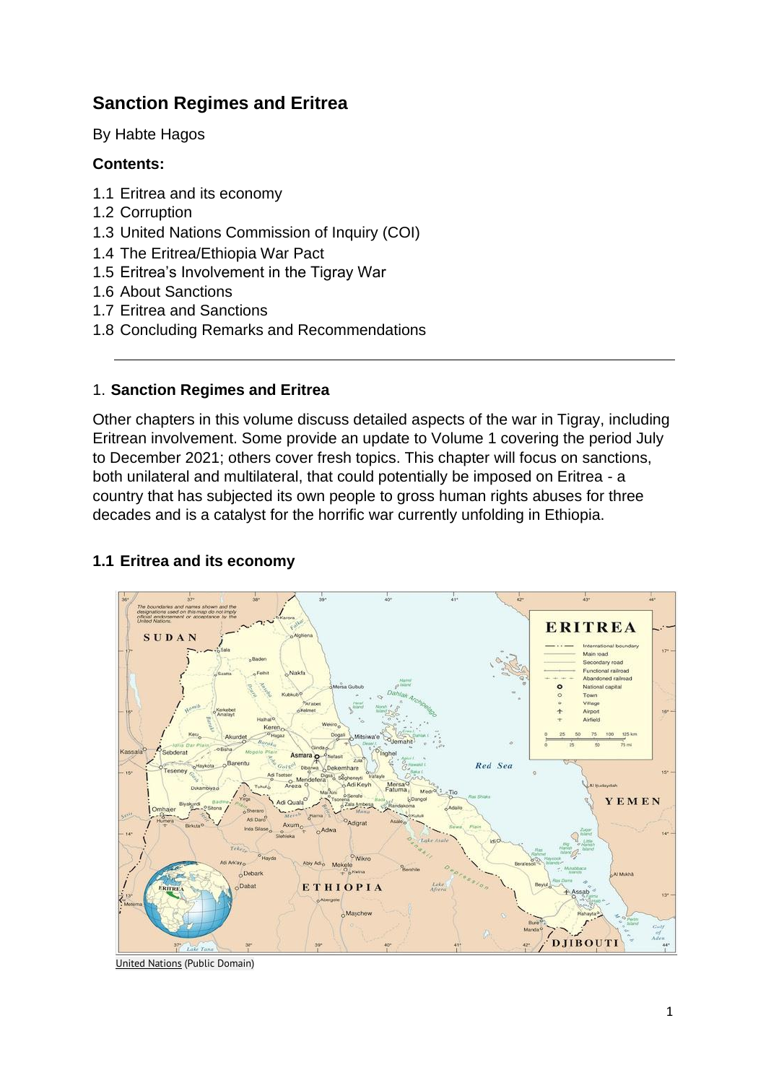# **Sanction Regimes and Eritrea**

By Habte Hagos

# **Contents:**

- 1.1 Eritrea and its economy
- 1.2 Corruption
- 1.3 United Nations Commission of Inquiry (COI)
- 1.4 The Eritrea/Ethiopia War Pact
- 1.5 Eritrea's Involvement in the Tigray War
- 1.6 About Sanctions
- 1.7 Eritrea and Sanctions
- 1.8 Concluding Remarks and Recommendations

### 1. **Sanction Regimes and Eritrea**

Other chapters in this volume discuss detailed aspects of the war in Tigray, including Eritrean involvement. Some provide an update to Volume 1 covering the period July to December 2021; others cover fresh topics. This chapter will focus on sanctions, both unilateral and multilateral, that could potentially be imposed on Eritrea - a country that has subjected its own people to gross human rights abuses for three decades and is a catalyst for the horrific war currently unfolding in Ethiopia.



# **1.1 Eritrea and its economy**

[United Nations](https://commons.wikimedia.org/wiki/File:Un-eritrea.png) (Public Domain)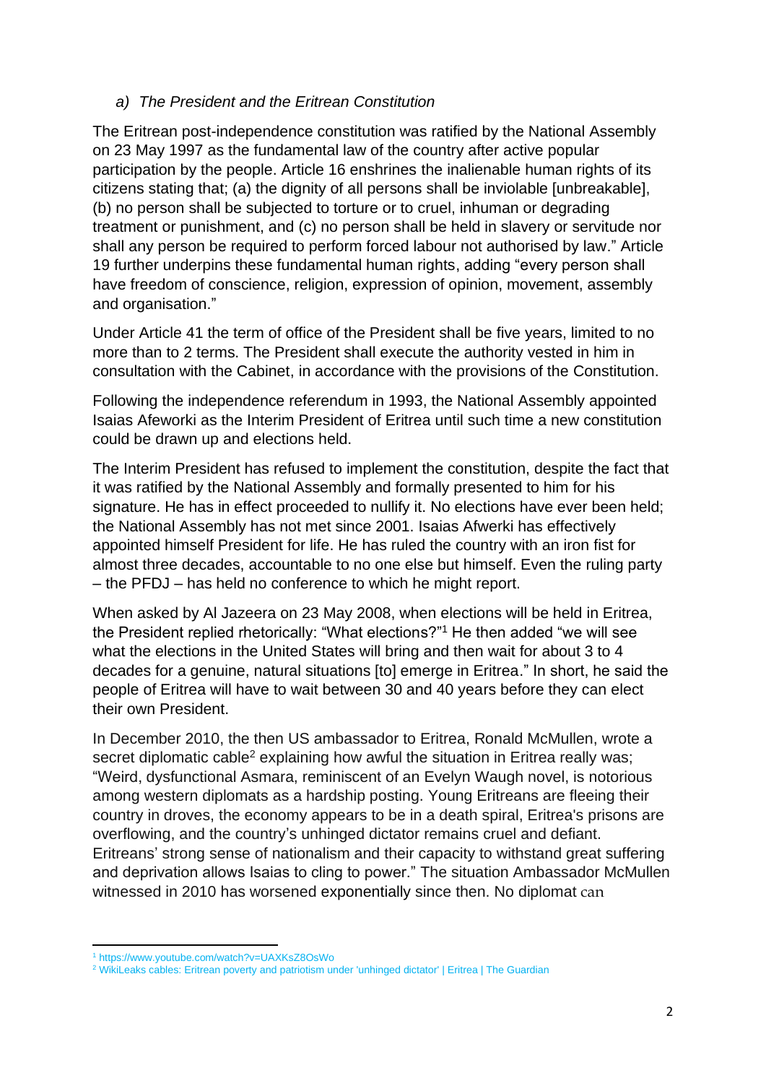### *a) The President and the Eritrean Constitution*

The Eritrean post-independence constitution was ratified by the National Assembly on 23 May 1997 as the fundamental law of the country after active popular participation by the people. Article 16 enshrines the inalienable human rights of its citizens stating that; (a) the dignity of all persons shall be inviolable [unbreakable], (b) no person shall be subjected to torture or to cruel, inhuman or degrading treatment or punishment, and (c) no person shall be held in slavery or servitude nor shall any person be required to perform forced labour not authorised by law." Article 19 further underpins these fundamental human rights, adding "every person shall have freedom of conscience, religion, expression of opinion, movement, assembly and organisation."

Under Article 41 the term of office of the President shall be five years, limited to no more than to 2 terms. The President shall execute the authority vested in him in consultation with the Cabinet, in accordance with the provisions of the Constitution.

Following the independence referendum in 1993, the National Assembly appointed Isaias Afeworki as the Interim President of Eritrea until such time a new constitution could be drawn up and elections held.

The Interim President has refused to implement the constitution, despite the fact that it was ratified by the National Assembly and formally presented to him for his signature. He has in effect proceeded to nullify it. No elections have ever been held; the National Assembly has not met since 2001. Isaias Afwerki has effectively appointed himself President for life. He has ruled the country with an iron fist for almost three decades, accountable to no one else but himself. Even the ruling party – the PFDJ – has held no conference to which he might report.

When asked by Al Jazeera on 23 May 2008, when elections will be held in Eritrea, the President replied rhetorically: "What elections?"<sup>1</sup> He then added "we will see what the elections in the United States will bring and then wait for about 3 to 4 decades for a genuine, natural situations [to] emerge in Eritrea." In short, he said the people of Eritrea will have to wait between 30 and 40 years before they can elect their own President.

In December 2010, the then US ambassador to Eritrea, Ronald McMullen, wrote a secret diplomatic cable<sup>2</sup> explaining how awful the situation in Eritrea really was; "Weird, dysfunctional Asmara, reminiscent of an Evelyn Waugh novel, is notorious among western diplomats as a hardship posting. Young Eritreans are fleeing their country in droves, the economy appears to be in a death spiral, Eritrea's prisons are overflowing, and the country's unhinged dictator remains cruel and defiant. Eritreans' strong sense of nationalism and their capacity to withstand great suffering and deprivation allows Isaias to cling to power." The situation Ambassador McMullen witnessed in 2010 has worsened exponentially since then. No diplomat can

<sup>1</sup> https://www.youtube.com/watch?v=UAXKsZ8OsWo

<sup>&</sup>lt;sup>2</sup> [WikiLeaks cables: Eritrean poverty and patriotism under 'unhinged dictator' | Eritrea | The Guardian](https://www.theguardian.com/world/2010/dec/08/wikileaks-eritrea-president-asaias-afwerki)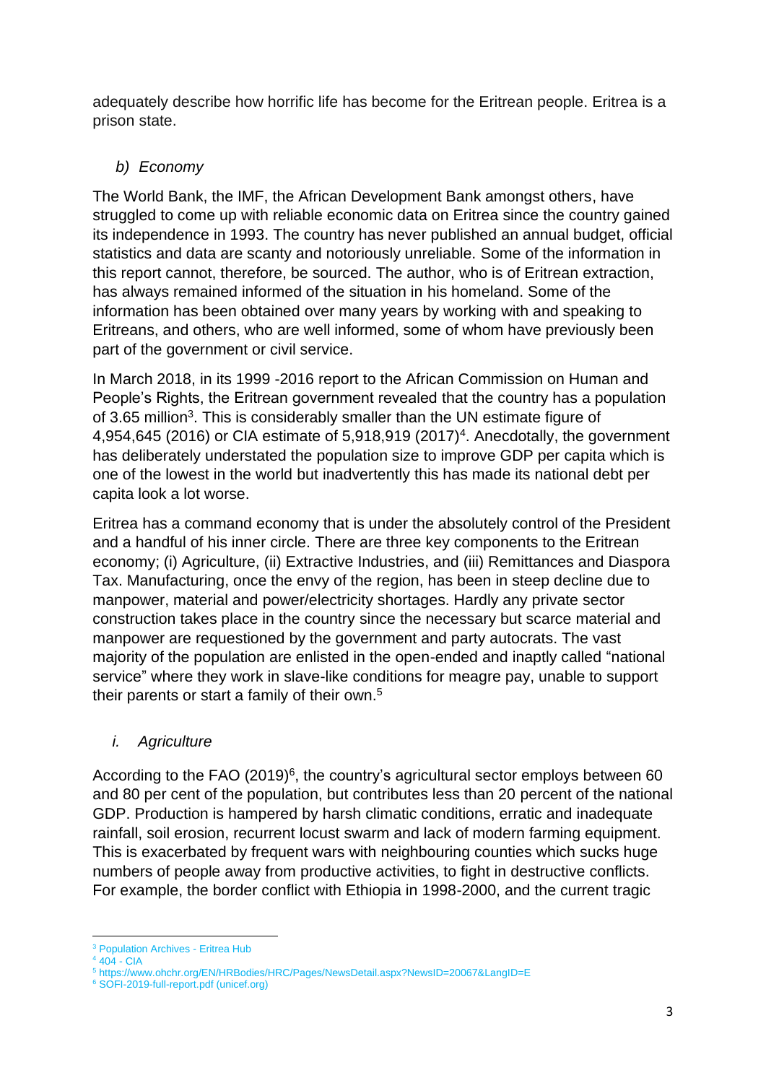adequately describe how horrific life has become for the Eritrean people. Eritrea is a prison state.

# *b) Economy*

The World Bank, the IMF, the African Development Bank amongst others, have struggled to come up with reliable economic data on Eritrea since the country gained its independence in 1993. The country has never published an annual budget, official statistics and data are scanty and notoriously unreliable. Some of the information in this report cannot, therefore, be sourced. The author, who is of Eritrean extraction, has always remained informed of the situation in his homeland. Some of the information has been obtained over many years by working with and speaking to Eritreans, and others, who are well informed, some of whom have previously been part of the government or civil service.

In March 2018, in its 1999 -2016 report to the African Commission on Human and People's Rights, the Eritrean government revealed that the country has a population of 3.65 million<sup>3</sup>. This is considerably smaller than the UN estimate figure of 4,954,645 (2016) or CIA estimate of 5,918,919 (2017)<sup>4</sup>. Anecdotally, the government has deliberately understated the population size to improve GDP per capita which is one of the lowest in the world but inadvertently this has made its national debt per capita look a lot worse.

Eritrea has a command economy that is under the absolutely control of the President and a handful of his inner circle. There are three key components to the Eritrean economy; (i) Agriculture, (ii) Extractive Industries, and (iii) Remittances and Diaspora Tax. Manufacturing, once the envy of the region, has been in steep decline due to manpower, material and power/electricity shortages. Hardly any private sector construction takes place in the country since the necessary but scarce material and manpower are requestioned by the government and party autocrats. The vast majority of the population are enlisted in the open-ended and inaptly called "national service" where they work in slave-like conditions for meagre pay, unable to support their parents or start a family of their own.<sup>5</sup>

# *i. Agriculture*

According to the FAO (2019)<sup>6</sup>, the country's agricultural sector employs between 60 and 80 per cent of the population, but contributes less than 20 percent of the national GDP. Production is hampered by harsh climatic conditions, erratic and inadequate rainfall, soil erosion, recurrent locust swarm and lack of modern farming equipment. This is exacerbated by frequent wars with neighbouring counties which sucks huge numbers of people away from productive activities, to fight in destructive conflicts. For example, the border conflict with Ethiopia in 1998-2000, and the current tragic

<sup>&</sup>lt;sup>3</sup> [Population Archives -](https://eritreahub.org/tag/population) Eritrea Hub

 $4404 - CIA$  $4404 - CIA$  $4404 - CIA$ 

<sup>5</sup> https://www.ohchr.org/EN/HRBodies/HRC/Pages/NewsDetail.aspx?NewsID=20067&LangID=E

<sup>6</sup> [SOFI-2019-full-report.pdf \(unicef.org\)](https://www.unicef.org/media/55921/file/SOFI-2019-full-report.pdf)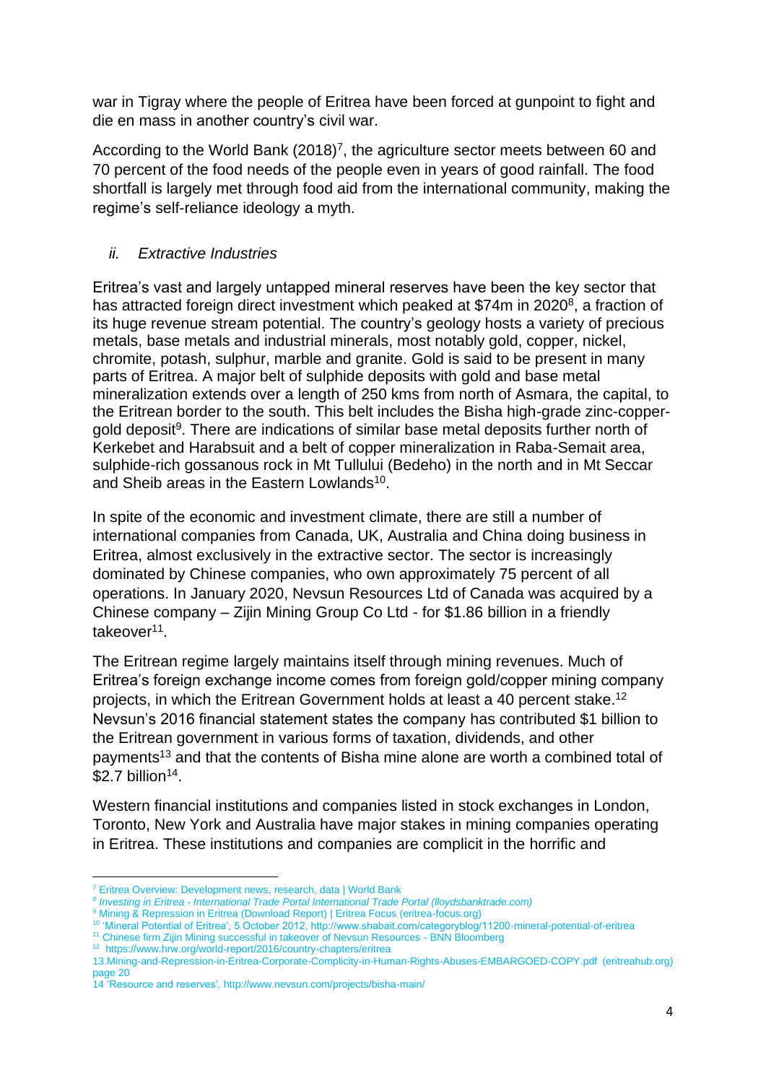war in Tigray where the people of Eritrea have been forced at gunpoint to fight and die en mass in another country's civil war.

According to the World Bank  $(2018)^7$ , the agriculture sector meets between 60 and 70 percent of the food needs of the people even in years of good rainfall. The food shortfall is largely met through food aid from the international community, making the regime's self-reliance ideology a myth.

# *ii. Extractive Industries*

Eritrea's vast and largely untapped mineral reserves have been the key sector that has attracted foreign direct investment which peaked at \$74m in 2020<sup>8</sup>, a fraction of its huge revenue stream potential. The country's geology hosts a variety of precious metals, base metals and industrial minerals, most notably gold, copper, nickel, chromite, potash, sulphur, marble and granite. Gold is said to be present in many parts of Eritrea. A major belt of sulphide deposits with gold and base metal mineralization extends over a length of 250 kms from north of Asmara, the capital, to the Eritrean border to the south. This belt includes the Bisha high-grade zinc-coppergold deposit<sup>9</sup>. There are indications of similar base metal deposits further north of Kerkebet and Harabsuit and a belt of copper mineralization in Raba-Semait area, sulphide-rich gossanous rock in Mt Tullului (Bedeho) in the north and in Mt Seccar and Sheib areas in the Eastern Lowlands<sup>10</sup>.

In spite of the economic and investment climate, there are still a number of international companies from Canada, UK, Australia and China doing business in Eritrea, almost exclusively in the extractive sector. The sector is increasingly dominated by Chinese companies, who own approximately 75 percent of all operations. In January 2020, Nevsun Resources Ltd of Canada was acquired by a Chinese company – Zijin Mining Group Co Ltd - for \$1.86 billion in a friendly takeover<sup>11</sup>.

The Eritrean regime largely maintains itself through mining revenues. Much of Eritrea's foreign exchange income comes from foreign gold/copper mining company projects, in which the Eritrean Government holds at least a 40 percent stake.<sup>12</sup> Nevsun's 2016 financial statement states the company has contributed \$1 billion to the Eritrean government in various forms of taxation, dividends, and other payments<sup>13</sup> and that the contents of Bisha mine alone are worth a combined total of  $$2.7$  billion<sup>14</sup>.

Western financial institutions and companies listed in stock exchanges in London, Toronto, New York and Australia have major stakes in mining companies operating in Eritrea. These institutions and companies are complicit in the horrific and

<sup>7</sup> [Eritrea Overview: Development news, research, data | World Bank](https://www.worldbank.org/en/country/eritrea/overview#1)

*<sup>8</sup> Investing in Eritrea - [International Trade Portal International Trade Portal \(lloydsbanktrade.com\)](https://www.lloydsbanktrade.com/en/market-potential/eritrea/investing)*

<sup>9</sup> [Mining & Repression in Eritrea \(Download Report\) | Eritrea Focus \(eritrea-focus.org\)](https://eritrea-focus.org/mining-repression-in-eritrea/)

<sup>10</sup> 'Mineral Potential of Eritrea', 5 October 2012, http://www.shabait.com/categoryblog/11200-mineral-potential-of-eritrea

<sup>11</sup> [Chinese firm Zijin Mining successful in takeover of Nevsun Resources -](https://www.bnnbloomberg.ca/chinese-company-zijin-mining-group-successful-in-takeover-of-nevsun-resources-1.1189117) BNN Bloomberg

<sup>12</sup> <https://www.hrw.org/world-report/2016/country-chapters/eritrea>

<sup>13</sup>[.Mining-and-Repression-in-Eritrea-Corporate-Complicity-in-Human-Rights-Abuses-EMBARGOED-COPY.pdf \(eritreahub.org\)](https://eritreahub.org/wp-content/uploads/2018/06/Mining-and-Repression-in-Eritrea-Corporate-Complicity-in-Human-Rights-Abuses-EMBARGOED-COPY.pdf) page 20

<sup>14</sup> 'Resource and reserves',<http://www.nevsun.com/projects/bisha-main/>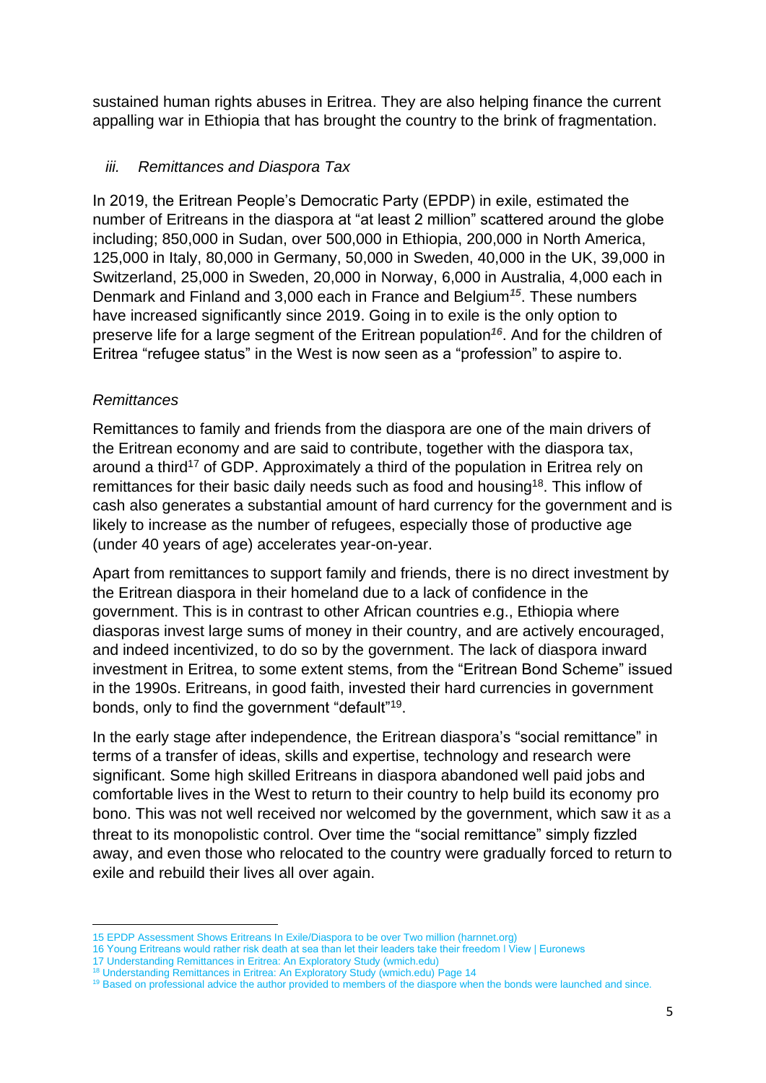sustained human rights abuses in Eritrea. They are also helping finance the current appalling war in Ethiopia that has brought the country to the brink of fragmentation.

# *iii. Remittances and Diaspora Tax*

In 2019, the Eritrean People's Democratic Party (EPDP) in exile, estimated the number of Eritreans in the diaspora at "at least 2 million" scattered around the globe including; 850,000 in Sudan, over 500,000 in Ethiopia, 200,000 in North America, 125,000 in Italy, 80,000 in Germany, 50,000 in Sweden, 40,000 in the UK, 39,000 in Switzerland, 25,000 in Sweden, 20,000 in Norway, 6,000 in Australia, 4,000 each in Denmark and Finland and 3,000 each in France and Belgium*<sup>15</sup>*. These numbers have increased significantly since 2019. Going in to exile is the only option to preserve life for a large segment of the Eritrean population*<sup>16</sup>* . And for the children of Eritrea "refugee status" in the West is now seen as a "profession" to aspire to.

# *Remittances*

Remittances to family and friends from the diaspora are one of the main drivers of the Eritrean economy and are said to contribute, together with the diaspora tax, around a third<sup>17</sup> of GDP. Approximately a third of the population in Eritrea rely on remittances for their basic daily needs such as food and housing<sup>18</sup>. This inflow of cash also generates a substantial amount of hard currency for the government and is likely to increase as the number of refugees, especially those of productive age (under 40 years of age) accelerates year-on-year.

Apart from remittances to support family and friends, there is no direct investment by the Eritrean diaspora in their homeland due to a lack of confidence in the government. This is in contrast to other African countries e.g., Ethiopia where diasporas invest large sums of money in their country, and are actively encouraged, and indeed incentivized, to do so by the government. The lack of diaspora inward investment in Eritrea, to some extent stems, from the "Eritrean Bond Scheme" issued in the 1990s. Eritreans, in good faith, invested their hard currencies in government bonds, only to find the government "default"<sup>19</sup>.

In the early stage after independence, the Eritrean diaspora's "social remittance" in terms of a transfer of ideas, skills and expertise, technology and research were significant. Some high skilled Eritreans in diaspora abandoned well paid jobs and comfortable lives in the West to return to their country to help build its economy pro bono. This was not well received nor welcomed by the government, which saw it as a threat to its monopolistic control. Over time the "social remittance" simply fizzled away, and even those who relocated to the country were gradually forced to return to exile and rebuild their lives all over again.

<sup>15</sup> [EPDP Assessment Shows Eritreans In Exile/Diaspora to be over Two million \(harnnet.org\)](http://www.harnnet.org/index.php/articles-corner/refugee-center/item/5737-epdp-assessment-shows-eritreans-in-exile-diaspora-to-be-over-two-million))

<sup>16</sup> [Young Eritreans would rather risk death at sea than let their leaders take their freedom ǀ View | Euronews](https://www.euronews.com/2019/08/09/young-eritreans-would-rather-risk-death-at-sea-than-let-their-leaders-take-their-freedom-v)

<sup>17</sup> [Understanding Remittances in Eritrea: An Exploratory Study \(wmich.edu\)](https://scholarworks.wmich.edu/cgi/viewcontent.cgi?article=1092&context=ijad)

<sup>&</sup>lt;sup>18</sup> [Understanding Remittances in Eritrea: An Exploratory Study \(wmich.edu\)](https://scholarworks.wmich.edu/cgi/viewcontent.cgi?article=1092&context=ijad) Page 14

<sup>&</sup>lt;sup>19</sup> Based on professional advice the author provided to members of the diaspore when the bonds were launched and since.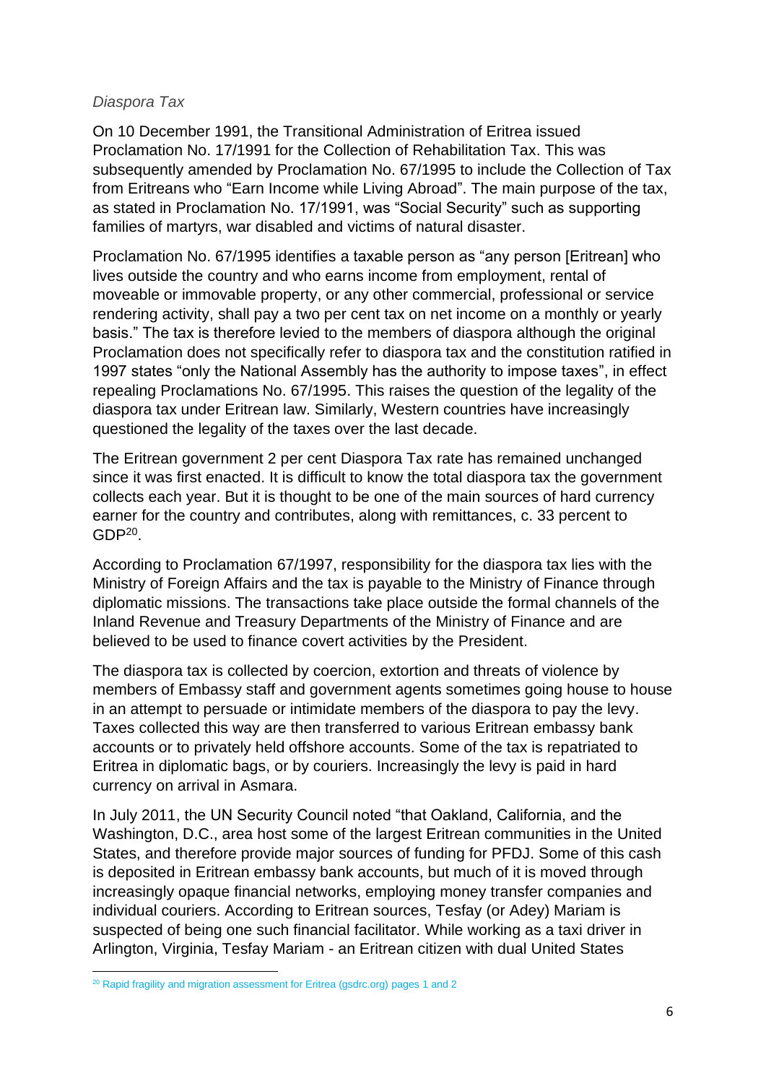#### *Diaspora Tax*

On 10 December 1991, the Transitional Administration of Eritrea issued Proclamation No. 17/1991 for the Collection of Rehabilitation Tax. This was subsequently amended by Proclamation No. 67/1995 to include the Collection of Tax from Eritreans who "Earn Income while Living Abroad". The main purpose of the tax, as stated in Proclamation No. 17/1991, was "Social Security" such as supporting families of martyrs, war disabled and victims of natural disaster.

Proclamation No. 67/1995 identifies a taxable person as "any person [Eritrean] who lives outside the country and who earns income from employment, rental of moveable or immovable property, or any other commercial, professional or service rendering activity, shall pay a two per cent tax on net income on a monthly or yearly basis." The tax is therefore levied to the members of diaspora although the original Proclamation does not specifically refer to diaspora tax and the constitution ratified in 1997 states "only the National Assembly has the authority to impose taxes", in effect repealing Proclamations No. 67/1995. This raises the question of the legality of the diaspora tax under Eritrean law. Similarly, Western countries have increasingly questioned the legality of the taxes over the last decade.

The Eritrean government 2 per cent Diaspora Tax rate has remained unchanged since it was first enacted. It is difficult to know the total diaspora tax the government collects each year. But it is thought to be one of the main sources of hard currency earner for the country and contributes, along with remittances, c. 33 percent to  $GDP<sup>20</sup>$ .

According to Proclamation 67/1997, responsibility for the diaspora tax lies with the Ministry of Foreign Affairs and the tax is payable to the Ministry of Finance through diplomatic missions. The transactions take place outside the formal channels of the Inland Revenue and Treasury Departments of the Ministry of Finance and are believed to be used to finance covert activities by the President.

The diaspora tax is collected by coercion, extortion and threats of violence by members of Embassy staff and government agents sometimes going house to house in an attempt to persuade or intimidate members of the diaspora to pay the levy. Taxes collected this way are then transferred to various Eritrean embassy bank accounts or to privately held offshore accounts. Some of the tax is repatriated to Eritrea in diplomatic bags, or by couriers. Increasingly the levy is paid in hard currency on arrival in Asmara.

In July 2011, the UN Security Council noted "that Oakland, California, and the Washington, D.C., area host some of the largest Eritrean communities in the United States, and therefore provide major sources of funding for PFDJ. Some of this cash is deposited in Eritrean embassy bank accounts, but much of it is moved through increasingly opaque financial networks, employing money transfer companies and individual couriers. According to Eritrean sources, Tesfay (or Adey) Mariam is suspected of being one such financial facilitator. While working as a taxi driver in Arlington, Virginia, Tesfay Mariam - an Eritrean citizen with dual United States

<sup>&</sup>lt;sup>20</sup> [Rapid fragility and migration assessment for Eritrea \(gsdrc.org\)](https://gsdrc.org/wp-content/uploads/2016/02/Fragility_Migration_Eritrea.pdf) pages 1 and 2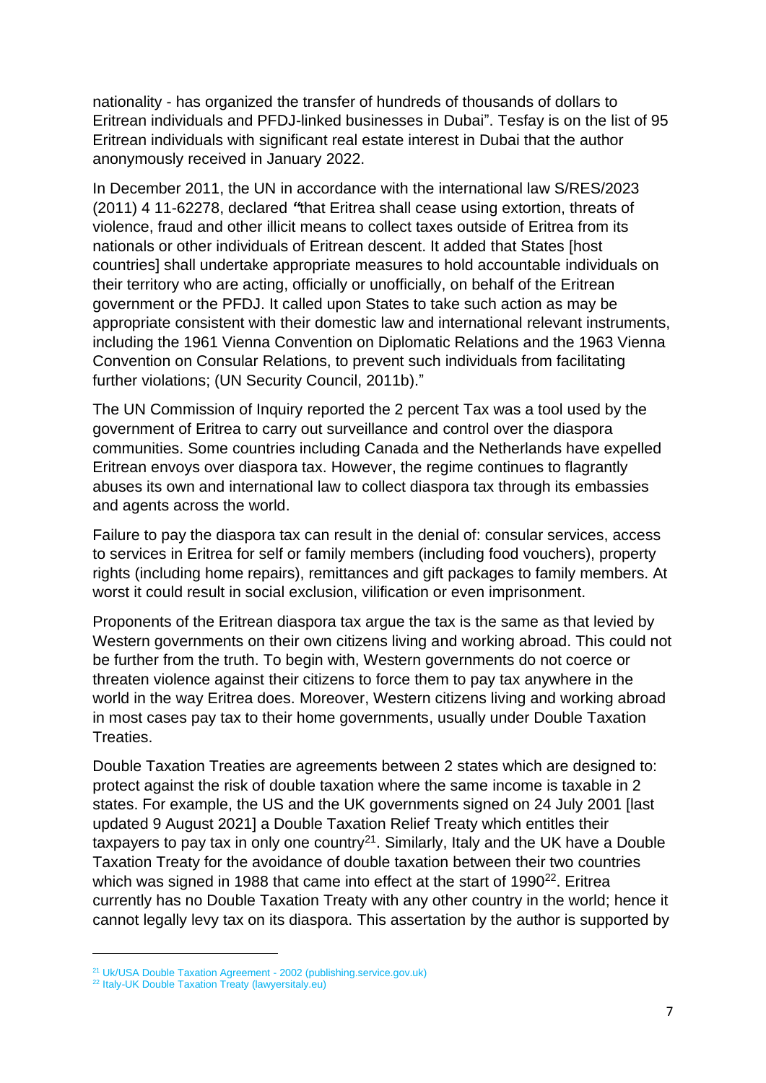nationality - has organized the transfer of hundreds of thousands of dollars to Eritrean individuals and PFDJ-linked businesses in Dubai". Tesfay is on the list of 95 Eritrean individuals with significant real estate interest in Dubai that the author anonymously received in January 2022.

In December 2011, the UN in accordance with the international law S/RES/2023 (2011) 4 11-62278, declared *"*that Eritrea shall cease using extortion, threats of violence, fraud and other illicit means to collect taxes outside of Eritrea from its nationals or other individuals of Eritrean descent. It added that States [host countries] shall undertake appropriate measures to hold accountable individuals on their territory who are acting, officially or unofficially, on behalf of the Eritrean government or the PFDJ. It called upon States to take such action as may be appropriate consistent with their domestic law and international relevant instruments, including the 1961 Vienna Convention on Diplomatic Relations and the 1963 Vienna Convention on Consular Relations, to prevent such individuals from facilitating further violations; (UN Security Council, 2011b)."

The UN Commission of Inquiry reported the 2 percent Tax was a tool used by the government of Eritrea to carry out surveillance and control over the diaspora communities. Some countries including Canada and the Netherlands have expelled Eritrean envoys over diaspora tax. However, the regime continues to flagrantly abuses its own and international law to collect diaspora tax through its embassies and agents across the world.

Failure to pay the diaspora tax can result in the denial of: consular services, access to services in Eritrea for self or family members (including food vouchers), property rights (including home repairs), remittances and gift packages to family members. At worst it could result in social exclusion, vilification or even imprisonment.

Proponents of the Eritrean diaspora tax argue the tax is the same as that levied by Western governments on their own citizens living and working abroad. This could not be further from the truth. To begin with, Western governments do not coerce or threaten violence against their citizens to force them to pay tax anywhere in the world in the way Eritrea does. Moreover, Western citizens living and working abroad in most cases pay tax to their home governments, usually under Double Taxation Treaties.

Double Taxation Treaties are agreements between 2 states which are designed to: protect against the risk of double taxation where the same income is taxable in 2 states. For example, the US and the UK governments signed on 24 July 2001 [last updated 9 August 2021] a Double Taxation Relief Treaty which entitles their taxpayers to pay tax in only one country<sup>21</sup>. Similarly, Italy and the UK have a Double Taxation Treaty for the avoidance of double taxation between their two countries which was signed in 1988 that came into effect at the start of 1990 $22$ . Eritrea currently has no Double Taxation Treaty with any other country in the world; hence it cannot legally levy tax on its diaspora. This assertation by the author is supported by

<sup>&</sup>lt;sup>21</sup> [Uk/USA Double Taxation Agreement -](https://assets.publishing.service.gov.uk/government/uploads/system/uploads/attachment_data/file/507431/usa-consolidated_-_in_force.pdf) 2002 (publishing.service.gov.uk)

<sup>&</sup>lt;sup>22</sup> [Italy-UK Double Taxation Treaty \(lawyersitaly.eu\)](https://www.lawyersitaly.eu/italy-uk-double-taxation-avoidance#:~:text=The%20treaty%20for%20the%20avoidance%20of%20double%20taxation,are%20tax%20residents%20of%20the%20both%20contracting%20states.)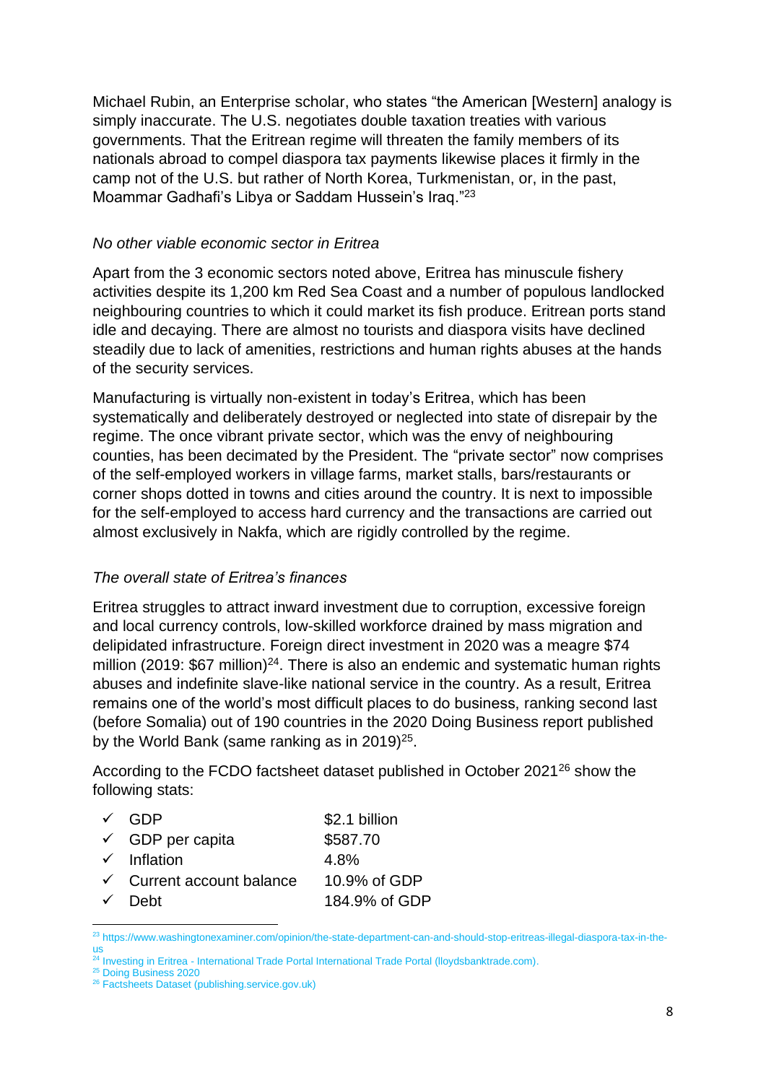Michael Rubin, an Enterprise scholar, who states "the American [Western] analogy is simply inaccurate. The U.S. negotiates double taxation treaties with various governments. That the Eritrean regime will threaten the family members of its nationals abroad to compel diaspora tax payments likewise places it firmly in the camp not of the U.S. but rather of North Korea, Turkmenistan, or, in the past, Moammar Gadhafi's Libya or Saddam Hussein's Iraq."<sup>23</sup>

### *No other viable economic sector in Eritrea*

Apart from the 3 economic sectors noted above, Eritrea has minuscule fishery activities despite its 1,200 km Red Sea Coast and a number of populous landlocked neighbouring countries to which it could market its fish produce. Eritrean ports stand idle and decaying. There are almost no tourists and diaspora visits have declined steadily due to lack of amenities, restrictions and human rights abuses at the hands of the security services.

Manufacturing is virtually non-existent in today's Eritrea, which has been systematically and deliberately destroyed or neglected into state of disrepair by the regime. The once vibrant private sector, which was the envy of neighbouring counties, has been decimated by the President. The "private sector" now comprises of the self-employed workers in village farms, market stalls, bars/restaurants or corner shops dotted in towns and cities around the country. It is next to impossible for the self-employed to access hard currency and the transactions are carried out almost exclusively in Nakfa, which are rigidly controlled by the regime.

# *The overall state of Eritrea's finances*

Eritrea struggles to attract inward investment due to corruption, excessive foreign and local currency controls, low-skilled workforce drained by mass migration and delipidated infrastructure. Foreign direct investment in 2020 was a meagre \$74 million (2019:  $$67$  million)<sup>24</sup>. There is also an endemic and systematic human rights abuses and indefinite slave-like national service in the country. As a result, Eritrea remains one of the world's most difficult places to do business, ranking second last (before Somalia) out of 190 countries in the 2020 Doing Business report published by the World Bank (same ranking as in 2019) $25$ .

According to the FCDO factsheet dataset published in October 2021<sup>26</sup> show the following stats:

| √ GDP                                | \$2.1 billion |
|--------------------------------------|---------------|
| $\checkmark$ GDP per capita          | \$587.70      |
| $\checkmark$ Inflation               | 4.8%          |
| $\checkmark$ Current account balance | 10.9% of GDP  |
| √ Debt                               | 184.9% of GDP |

<sup>&</sup>lt;sup>23</sup> [https://www.washingtonexaminer.com/opinion/the-state-department-can-and-should-stop-eritreas-illegal-diaspora-tax-in-the](https://www.washingtonexaminer.com/opinion/the-state-department-can-and-should-stop-eritreas-illegal-diaspora-tax-in-the-us)[us](https://www.washingtonexaminer.com/opinion/the-state-department-can-and-should-stop-eritreas-illegal-diaspora-tax-in-the-us)

<sup>&</sup>lt;sup>24</sup> Investing in Eritrea - [International Trade Portal International Trade Portal \(lloydsbanktrade.com\).](https://www.lloydsbanktrade.com/en/market-potential/eritrea/investing)

<sup>&</sup>lt;sup>25</sup> [Doing Business 2020](https://www.doingbusiness.org/en/reports/global-reports/doing-business-2020)

<sup>&</sup>lt;sup>26</sup> [Factsheets Dataset \(publishing.service.gov.uk\)](https://assets.publishing.service.gov.uk/government/uploads/system/uploads/attachment_data/file/1036483/Eritrea_economic_factsheet_2021.pdf)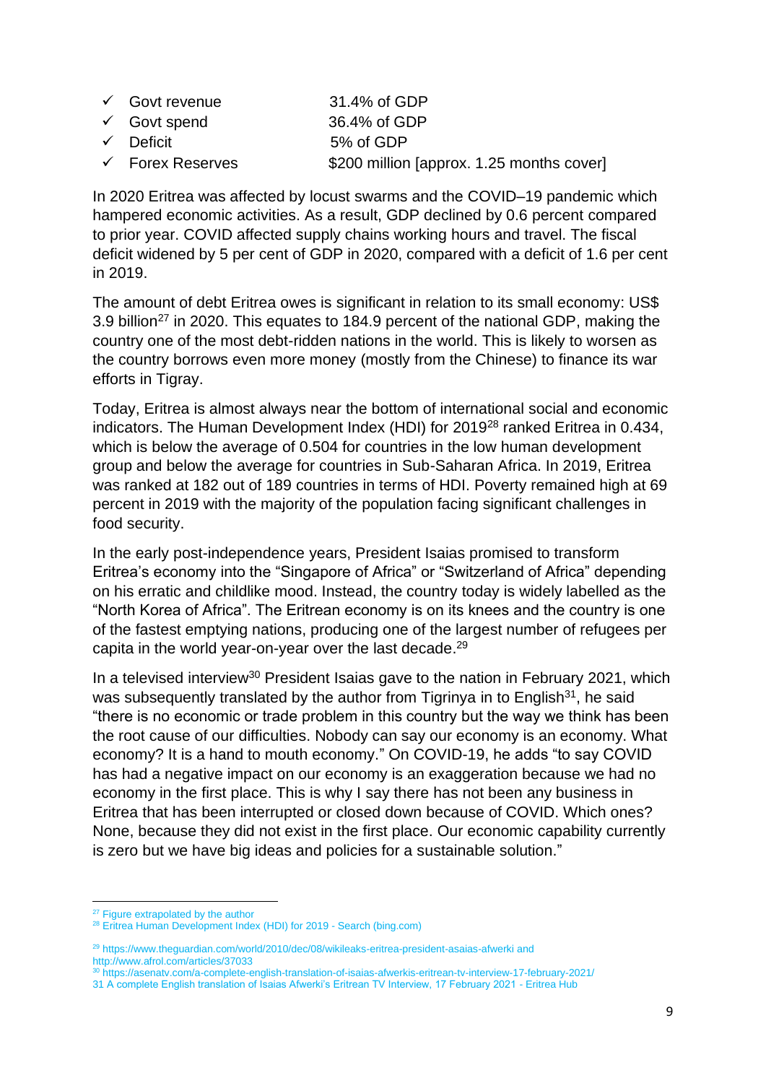| $\checkmark$ Govt revenue   | 31.4% of GDP                              |
|-----------------------------|-------------------------------------------|
| $\checkmark$ Govt spend     | 36.4% of GDP                              |
| $\checkmark$ Deficit        | 5% of GDP                                 |
| $\checkmark$ Forex Reserves | \$200 million [approx. 1.25 months cover] |

In 2020 Eritrea was affected by locust swarms and the COVID–19 pandemic which hampered economic activities. As a result, GDP declined by 0.6 percent compared to prior year. COVID affected supply chains working hours and travel. The fiscal deficit widened by 5 per cent of GDP in 2020, compared with a deficit of 1.6 per cent in 2019.

The amount of debt Eritrea owes is significant in relation to its small economy: US\$ 3.9 billion<sup>27</sup> in 2020. This equates to 184.9 percent of the national GDP, making the country one of the most debt-ridden nations in the world. This is likely to worsen as the country borrows even more money (mostly from the Chinese) to finance its war efforts in Tigray.

Today, Eritrea is almost always near the bottom of international social and economic indicators. The Human Development Index (HDI) for 2019<sup>28</sup> ranked Eritrea in 0.434, which is below the average of 0.504 for countries in the low human development group and below the average for countries in Sub-Saharan Africa. In 2019, Eritrea was ranked at 182 out of 189 countries in terms of HDI. Poverty remained high at 69 percent in 2019 with the majority of the population facing significant challenges in food security.

In the early post-independence years, President Isaias promised to transform Eritrea's economy into the "Singapore of Africa" or "Switzerland of Africa" depending on his erratic and childlike mood. Instead, the country today is widely labelled as the "North Korea of Africa". The Eritrean economy is on its knees and the country is one of the fastest emptying nations, producing one of the largest number of refugees per capita in the world year-on-year over the last decade.<sup>29</sup>

In a televised interview<sup>30</sup> President Isaias gave to the nation in February 2021, which was subsequently translated by the author from Tigrinya in to English<sup>31</sup>, he said "there is no economic or trade problem in this country but the way we think has been the root cause of our difficulties. Nobody can say our economy is an economy. What economy? It is a hand to mouth economy." On COVID-19, he adds "to say COVID has had a negative impact on our economy is an exaggeration because we had no economy in the first place. This is why I say there has not been any business in Eritrea that has been interrupted or closed down because of COVID. Which ones? None, because they did not exist in the first place. Our economic capability currently is zero but we have big ideas and policies for a sustainable solution."

<sup>&</sup>lt;sup>27</sup> Figure extrapolated by the author

<sup>&</sup>lt;sup>28</sup> [Eritrea Human Development Index \(HDI\) for 2019 -](https://www.bing.com/search?q=Eritrea+Human+Development+Index+%28HDI%29+for+2019+&qs=n&form=QBRE&sp=-1&pq=eritrea+human+development+index+%28hdi%29+for+2019+&sc=5-47&sk=&cvid=EAB8DD014F2C4D9FA3DC5D6CB711BC2C) Search (bing.com)

<sup>29</sup> <https://www.theguardian.com/world/2010/dec/08/wikileaks-eritrea-president-asaias-afwerki> and http://www.afrol.com/articles/37033

<sup>30</sup> <https://asenatv.com/a-complete-english-translation-of-isaias-afwerkis-eritrean-tv-interview-17-february-2021/>

<sup>31</sup> [A complete English translation of Isaias Afwerki's Eritrean TV Interview, 17 February 2021 -](https://eritreahub.org/a-complete-english-translation-of-isaias-afwerkis-eritrean-tv-interview-17-february-2021) Eritrea Hub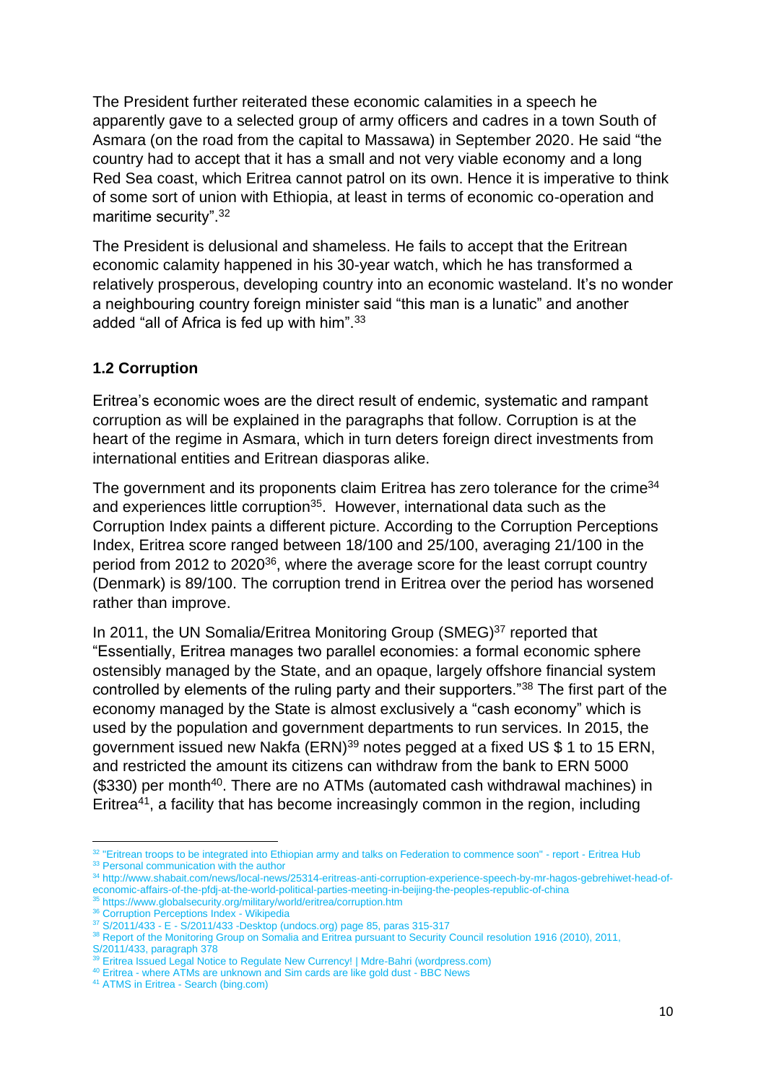The President further reiterated these economic calamities in a speech he apparently gave to a selected group of army officers and cadres in a town South of Asmara (on the road from the capital to Massawa) in September 2020. He said "the country had to accept that it has a small and not very viable economy and a long Red Sea coast, which Eritrea cannot patrol on its own. Hence it is imperative to think of some sort of union with Ethiopia, at least in terms of economic co-operation and maritime security".<sup>32</sup>

The President is delusional and shameless. He fails to accept that the Eritrean economic calamity happened in his 30-year watch, which he has transformed a relatively prosperous, developing country into an economic wasteland. It's no wonder a neighbouring country foreign minister said "this man is a lunatic" and another added "all of Africa is fed up with him".<sup>33</sup>

# **1.2 Corruption**

Eritrea's economic woes are the direct result of endemic, systematic and rampant corruption as will be explained in the paragraphs that follow. Corruption is at the heart of the regime in Asmara, which in turn deters foreign direct investments from international entities and Eritrean diasporas alike.

The government and its proponents claim Eritrea has zero tolerance for the crime<sup>34</sup> and experiences little corruption<sup>35</sup>. However, international data such as the Corruption Index paints a different picture. According to the Corruption Perceptions Index, Eritrea score ranged between 18/100 and 25/100, averaging 21/100 in the period from 2012 to 2020<sup>36</sup>, where the average score for the least corrupt country (Denmark) is 89/100. The corruption trend in Eritrea over the period has worsened rather than improve.

In 2011, the UN Somalia/Eritrea Monitoring Group (SMEG)<sup>37</sup> reported that "Essentially, Eritrea manages two parallel economies: a formal economic sphere ostensibly managed by the State, and an opaque, largely offshore financial system controlled by elements of the ruling party and their supporters."<sup>38</sup> The first part of the economy managed by the State is almost exclusively a "cash economy" which is used by the population and government departments to run services. In 2015, the government issued new Nakfa (ERN)<sup>39</sup> notes pegged at a fixed US \$ 1 to 15 ERN, and restricted the amount its citizens can withdraw from the bank to ERN 5000 (\$330) per month<sup>40</sup>. There are no ATMs (automated cash withdrawal machines) in Eritrea<sup>41</sup>, a facility that has become increasingly common in the region, including

<sup>&</sup>lt;sup>32</sup> ["Eritrean troops to be integrated into Ethiopian army and talks on Federation to commence soon" -](https://eritreahub.org/eritrean-troops-to-be-integrated-into-ethiopian-army-and-talks-on-federation-to-commence-soon-report) report - Eritrea Hub

<sup>&</sup>lt;sup>33</sup> Personal communication with the author

<sup>34</sup> [http://www.shabait.com/news/local-news/25314-eritreas-anti-corruption-experience-speech-by-mr-hagos-gebrehiwet-head-of](http://www.shabait.com/news/local-news/25314-eritreas-anti-corruption-experience-speech-by-mr-hagos-gebrehiwet-head-of-economic-affairs-of-the-pfdj-at-the-world-political-parties-meeting-in-beijing-the-peoples-republic-of-china)[economic-affairs-of-the-pfdj-at-the-world-political-parties-meeting-in-beijing-the-peoples-republic-of-china](http://www.shabait.com/news/local-news/25314-eritreas-anti-corruption-experience-speech-by-mr-hagos-gebrehiwet-head-of-economic-affairs-of-the-pfdj-at-the-world-political-parties-meeting-in-beijing-the-peoples-republic-of-china)

<sup>35</sup> <https://www.globalsecurity.org/military/world/eritrea/corruption.htm>

<sup>&</sup>lt;sup>36</sup> [Corruption Perceptions Index -](https://en.wikipedia.org/wiki/Corruption_Perceptions_Index#Rankings) Wikipedia

<sup>37</sup> S/2011/433 - E - [S/2011/433 -Desktop \(undocs.org\)](https://www.undocs.org/S/2011/433) page 85, paras 315-317

<sup>38</sup> Report of the Monitoring Group on Somalia and Eritrea pursuant to Security Council resolution 1916 (2010), 2011,

S/2011/433, paragraph 378

<sup>&</sup>lt;sup>39</sup> [Eritrea Issued Legal Notice to Regulate New Currency! | Mdre-Bahri \(wordpress.com\)](https://mdrebahri.wordpress.com/2015/11/06/eritrea-issued-legal-notice-to-regulate-new-currency/)

<sup>&</sup>lt;sup>40</sup> Eritrea - [where ATMs are unknown and Sim cards are like gold dust -](https://www.bbc.co.uk/news/world-africa-49727573) BBC News

<sup>41</sup> ATMS in Eritrea - [Search \(bing.com\)](https://www.bing.com/search?q=ATMS+in+Eritrea&form=ANNTH1&refig=b40c796af540441cba26f46bc4ce9663)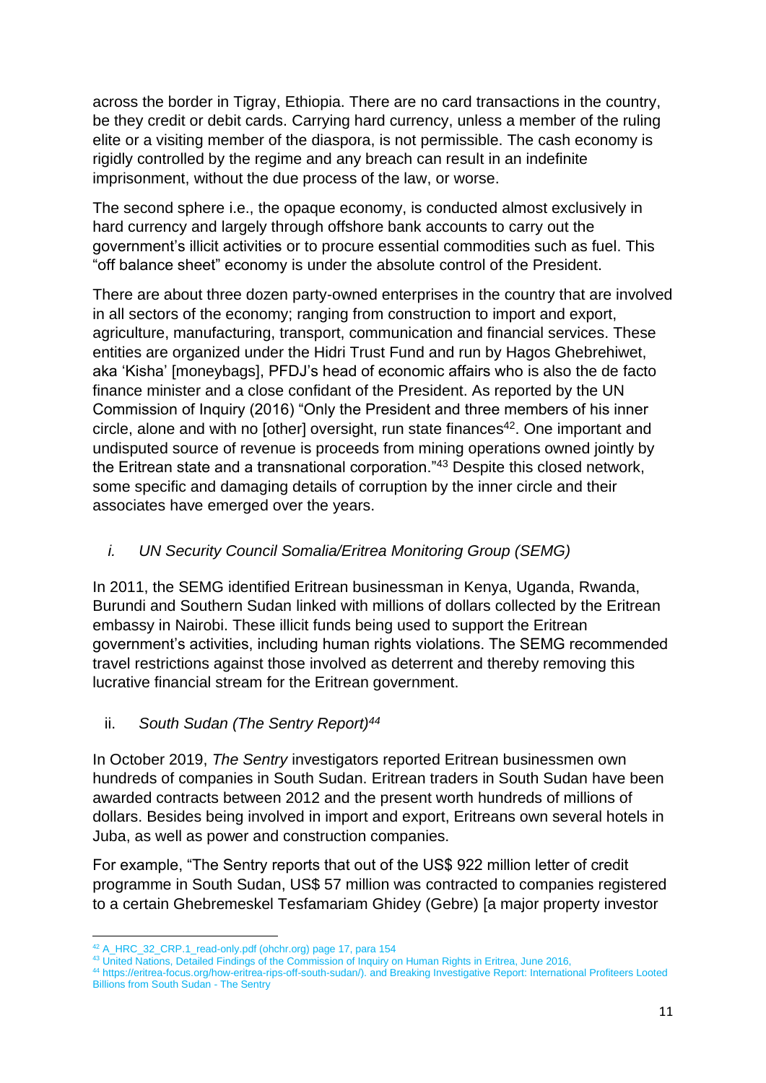across the border in Tigray, Ethiopia. There are no card transactions in the country, be they credit or debit cards. Carrying hard currency, unless a member of the ruling elite or a visiting member of the diaspora, is not permissible. The cash economy is rigidly controlled by the regime and any breach can result in an indefinite imprisonment, without the due process of the law, or worse.

The second sphere i.e., the opaque economy, is conducted almost exclusively in hard currency and largely through offshore bank accounts to carry out the government's illicit activities or to procure essential commodities such as fuel. This "off balance sheet" economy is under the absolute control of the President.

There are about three dozen party-owned enterprises in the country that are involved in all sectors of the economy; ranging from construction to import and export, agriculture, manufacturing, transport, communication and financial services. These entities are organized under the Hidri Trust Fund and run by Hagos Ghebrehiwet, aka 'Kisha' [moneybags], PFDJ's head of economic affairs who is also the de facto finance minister and a close confidant of the President. As reported by the UN Commission of Inquiry (2016) "Only the President and three members of his inner circle, alone and with no [other] oversight, run state finances<sup>42</sup>. One important and undisputed source of revenue is proceeds from mining operations owned jointly by the Eritrean state and a transnational corporation."<sup>43</sup> Despite this closed network, some specific and damaging details of corruption by the inner circle and their associates have emerged over the years.

# *i. UN Security Council Somalia/Eritrea Monitoring Group (SEMG)*

In 2011, the SEMG identified Eritrean businessman in Kenya, Uganda, Rwanda, Burundi and Southern Sudan linked with millions of dollars collected by the Eritrean embassy in Nairobi. These illicit funds being used to support the Eritrean government's activities, including human rights violations. The SEMG recommended travel restrictions against those involved as deterrent and thereby removing this lucrative financial stream for the Eritrean government.

# ii. *South Sudan (The Sentry Report)<sup>44</sup>*

In October 2019, *The Sentry* investigators reported Eritrean businessmen own hundreds of companies in South Sudan. Eritrean traders in South Sudan have been awarded contracts between 2012 and the present worth hundreds of millions of dollars. Besides being involved in import and export, Eritreans own several hotels in Juba, as well as power and construction companies.

For example, "The Sentry reports that out of the US\$ 922 million letter of credit programme in South Sudan, US\$ 57 million was contracted to companies registered to a certain Ghebremeskel Tesfamariam Ghidey (Gebre) [a major property investor

<sup>42</sup> [A\\_HRC\\_32\\_CRP.1\\_read-only.pdf \(ohchr.org\)](https://www.ohchr.org/Documents/HRBodies/HRCouncil/CoIEritrea/A_HRC_32_CRP.1_read-only.pdf) page 17, para 154

<sup>43</sup> United Nations, Detailed Findings of the Commission of Inquiry on Human Rights in Eritrea, June 2016,

<sup>44</sup> [https://eritrea-focus.org/how-eritrea-rips-off-south-sudan/\)](https://eritrea-focus.org/how-eritrea-rips-off-south-sudan/). and [Breaking Investigative Report: International Profiteers Looted](https://thesentry.org/2019/09/19/3044/breaking-investigative-report-international-profiteers-looted-billions-south-sudan/)  [Billions from South Sudan -](https://thesentry.org/2019/09/19/3044/breaking-investigative-report-international-profiteers-looted-billions-south-sudan/) The Sentry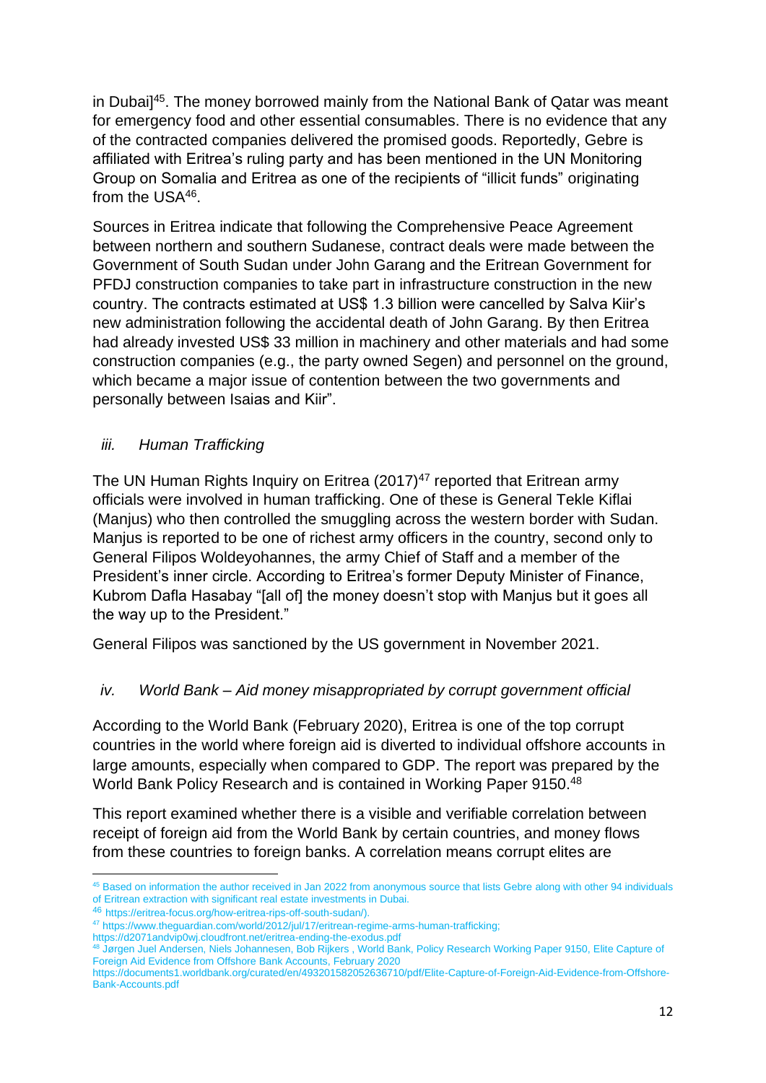in Dubai]<sup>45</sup>. The money borrowed mainly from the National Bank of Qatar was meant for emergency food and other essential consumables. There is no evidence that any of the contracted companies delivered the promised goods. Reportedly, Gebre is affiliated with Eritrea's ruling party and has been mentioned in the UN Monitoring Group on Somalia and Eritrea as one of the recipients of "illicit funds" originating from the USA<sup>46</sup>.

Sources in Eritrea indicate that following the Comprehensive Peace Agreement between northern and southern Sudanese, contract deals were made between the Government of South Sudan under John Garang and the Eritrean Government for PFDJ construction companies to take part in infrastructure construction in the new country. The contracts estimated at US\$ 1.3 billion were cancelled by Salva Kiir's new administration following the accidental death of John Garang. By then Eritrea had already invested US\$ 33 million in machinery and other materials and had some construction companies (e.g., the party owned Segen) and personnel on the ground, which became a major issue of contention between the two governments and personally between Isaias and Kiir".

# *iii. Human Trafficking*

The UN Human Rights Inquiry on Eritrea  $(2017)^{47}$  reported that Eritrean army officials were involved in human trafficking. One of these is General Tekle Kiflai (Manjus) who then controlled the smuggling across the western border with Sudan. Manjus is reported to be one of richest army officers in the country, second only to General Filipos Woldeyohannes, the army Chief of Staff and a member of the President's inner circle. According to Eritrea's former Deputy Minister of Finance, Kubrom Dafla Hasabay "[all of] the money doesn't stop with Manjus but it goes all the way up to the President."

General Filipos was sanctioned by the US government in November 2021.

# *iv. World Bank – Aid money misappropriated by corrupt government official*

According to the World Bank (February 2020), Eritrea is one of the top corrupt countries in the world where foreign aid is diverted to individual offshore accounts in large amounts, especially when compared to GDP. The report was prepared by the World Bank Policy Research and is contained in Working Paper 9150.<sup>48</sup>

This report examined whether there is a visible and verifiable correlation between receipt of foreign aid from the World Bank by certain countries, and money flows from these countries to foreign banks. A correlation means corrupt elites are

<sup>45</sup> Based on information the author received in Jan 2022 from anonymous source that lists Gebre along with other 94 individuals of Eritrean extraction with significant real estate investments in Dubai.

<sup>46</sup> [https://eritrea-focus.org/how-eritrea-rips-off-south-sudan/\)](https://eritrea-focus.org/how-eritrea-rips-off-south-sudan/).

<sup>47</sup> [https://www.theguardian.com/world/2012/jul/17/eritrean-regime-arms-human-trafficking;](https://www.theguardian.com/world/2012/jul/17/eritrean-regime-arms-human-trafficking) 

<https://d2071andvip0wj.cloudfront.net/eritrea-ending-the-exodus.pdf>

<sup>48</sup> Jørgen Juel Andersen, Niels Johannesen, Bob Rijkers , World Bank, Policy Research Working Paper 9150, Elite Capture of Foreign Aid Evidence from Offshore Bank Accounts, February 2020

https://documents1.worldbank.org/curated/en/493201582052636710/pdf/Elite-Capture-of-Foreign-Aid-Evidence-from-Offshore-Bank-Accounts.pdf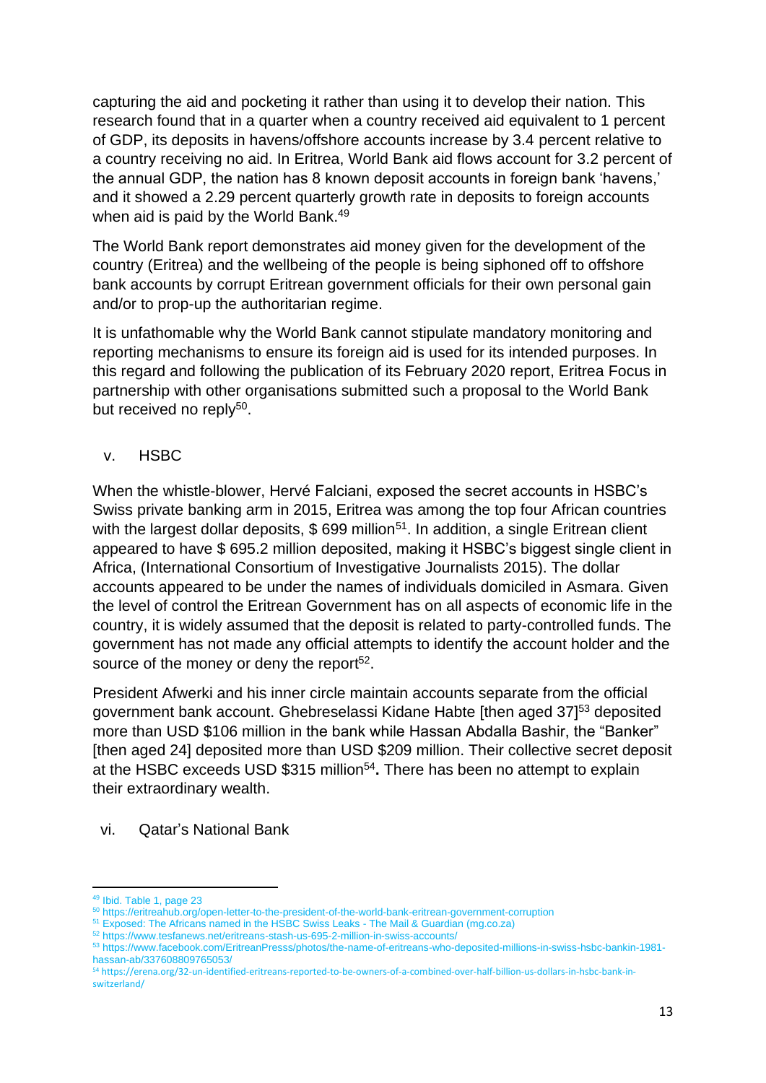capturing the aid and pocketing it rather than using it to develop their nation. This research found that in a quarter when a country received aid equivalent to 1 percent of GDP, its deposits in havens/offshore accounts increase by 3.4 percent relative to a country receiving no aid. In Eritrea, World Bank aid flows account for 3.2 percent of the annual GDP, the nation has 8 known deposit accounts in foreign bank 'havens,' and it showed a 2.29 percent quarterly growth rate in deposits to foreign accounts when aid is paid by the World Bank.<sup>49</sup>

The World Bank report demonstrates aid money given for the development of the country (Eritrea) and the wellbeing of the people is being siphoned off to offshore bank accounts by corrupt Eritrean government officials for their own personal gain and/or to prop-up the authoritarian regime.

It is unfathomable why the World Bank cannot stipulate mandatory monitoring and reporting mechanisms to ensure its foreign aid is used for its intended purposes. In this regard and following the publication of its February 2020 report, Eritrea Focus in partnership with other organisations submitted such a proposal to the World Bank but received no reply<sup>50</sup>.

v. HSBC

When the whistle-blower, Hervé Falciani, exposed the secret accounts in HSBC's Swiss private banking arm in 2015, Eritrea was among the top four African countries with the largest dollar deposits,  $$699$  million<sup>51</sup>. In addition, a single Eritrean client appeared to have \$ 695.2 million deposited, making it HSBC's biggest single client in Africa, (International Consortium of Investigative Journalists 2015). The dollar accounts appeared to be under the names of individuals domiciled in Asmara. Given the level of control the Eritrean Government has on all aspects of economic life in the country, it is widely assumed that the deposit is related to party-controlled funds. The government has not made any official attempts to identify the account holder and the source of the money or deny the report<sup>52</sup>.

President Afwerki and his inner circle maintain accounts separate from the official government bank account. Ghebreselassi Kidane Habte [then aged 37]<sup>53</sup> deposited more than USD \$106 million in the bank while Hassan Abdalla Bashir, the "Banker" [then aged 24] deposited more than USD \$209 million. Their collective secret deposit at the HSBC exceeds USD \$315 million<sup>54</sup>. There has been no attempt to explain their extraordinary wealth.

vi. Qatar's National Bank

<sup>49</sup> Ibid. Table 1, page 23

<sup>50</sup> https://eritreahub.org/open-letter-to-the-president-of-the-world-bank-eritrean-government-corruption

<sup>51</sup> [Exposed: The Africans named in the HSBC Swiss Leaks -](https://mg.co.za/article/2015-02-13-exposed-the-africans-named-in-the-hsbc-swiss-leaks/) The Mail & Guardian (mg.co.za)

<sup>&</sup>lt;sup>52</sup> <https://www.tesfanews.net/eritreans-stash-us-695-2-million-in-swiss-accounts/>

<sup>53</sup> https://www.facebook.com/EritreanPresss/photos/the-name-of-eritreans-who-deposited-millions-in-swiss-hsbc-bankin-1981 hassan-ab/337608809765053/

<sup>54</sup> [https://erena.org/32-un-identified-eritreans-reported-to-be-owners-of-a-combined-over-half-billion-us-dollars-in-hsbc-bank-in](https://erena.org/32-un-identified-eritreans-reported-to-be-owners-of-a-combined-over-half-billion-us-dollars-in-hsbc-bank-in-switzerland/)[switzerland/](https://erena.org/32-un-identified-eritreans-reported-to-be-owners-of-a-combined-over-half-billion-us-dollars-in-hsbc-bank-in-switzerland/)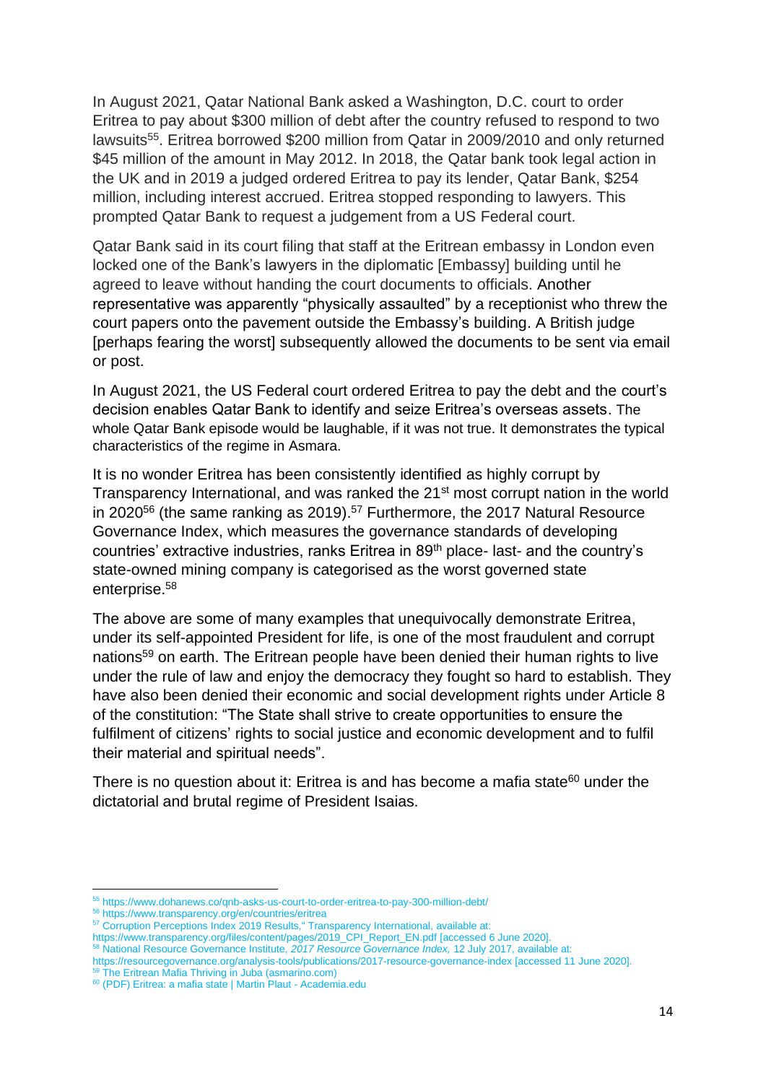In August 2021, Qatar National Bank asked a Washington, D.C. court to order Eritrea to pay about \$300 million of debt after the country refused to respond to two lawsuits<sup>55</sup>. Eritrea borrowed \$200 million from Qatar in 2009/2010 and only returned \$45 million of the amount in May 2012. In 2018, the Qatar bank took legal action in the UK and in 2019 a judged ordered Eritrea to pay its lender, Qatar Bank, \$254 million, including interest accrued. Eritrea stopped responding to lawyers. This prompted Qatar Bank to request a judgement from a US Federal court.

Qatar Bank said in its court filing that staff at the Eritrean embassy in London even locked one of the Bank's lawyers in the diplomatic [Embassy] building until he agreed to leave without handing the court documents to officials. Another representative was apparently "physically assaulted" by a receptionist who threw the court papers onto the pavement outside the Embassy's building. A British judge [perhaps fearing the worst] subsequently allowed the documents to be sent via email or post.

In August 2021, the US Federal court ordered Eritrea to pay the debt and the court's decision enables Qatar Bank to identify and seize Eritrea's overseas assets. The whole Qatar Bank episode would be laughable, if it was not true. It demonstrates the typical characteristics of the regime in Asmara.

It is no wonder Eritrea has been consistently identified as highly corrupt by Transparency International, and was ranked the 21st most corrupt nation in the world in 2020 $56$  (the same ranking as 2019).<sup>57</sup> Furthermore, the 2017 Natural Resource Governance Index, which measures the governance standards of developing countries' extractive industries, ranks Eritrea in 89<sup>th</sup> place- last- and the country's state-owned mining company is categorised as the worst governed state enterprise.<sup>58</sup>

The above are some of many examples that unequivocally demonstrate Eritrea, under its self-appointed President for life, is one of the most fraudulent and corrupt nations<sup>59</sup> on earth. The Eritrean people have been denied their human rights to live under the rule of law and enjoy the democracy they fought so hard to establish. They have also been denied their economic and social development rights under Article 8 of the constitution: "The State shall strive to create opportunities to ensure the fulfilment of citizens' rights to social justice and economic development and to fulfil their material and spiritual needs".

There is no question about it: Eritrea is and has become a mafia state $60$  under the dictatorial and brutal regime of President Isaias.

<sup>55</sup> <https://www.dohanews.co/qnb-asks-us-court-to-order-eritrea-to-pay-300-million-debt/>

<sup>56</sup> https://www.transparency.org/en/countries/eritrea

<sup>&</sup>lt;sup>57</sup> Corruption Perceptions Index 2019 Results," Transparency International, available at:

[https://www.transparency.org/files/content/pages/2019\\_CPI\\_Report\\_EN.pdf](https://www.transparency.org/files/content/pages/2019_CPI_Report_EN.pdf) [accessed 6 June 2020].

<sup>58</sup> National Resource Governance Institute, *2017 Resource Governance Index,* 12 July 2017, available at:

<https://resourcegovernance.org/analysis-tools/publications/2017-resource-governance-index> [accessed 11 June 2020]. 59 [The Eritrean Mafia Thriving in Juba \(asmarino.com\)](https://asmarino.com/eyewitness-account/1077-the-eritrean-mafia-in-juba)

<sup>60</sup> [\(PDF\) Eritrea: a mafia state | Martin Plaut -](https://www.academia.edu/34565932/Eritrea_a_mafia_state) Academia.edu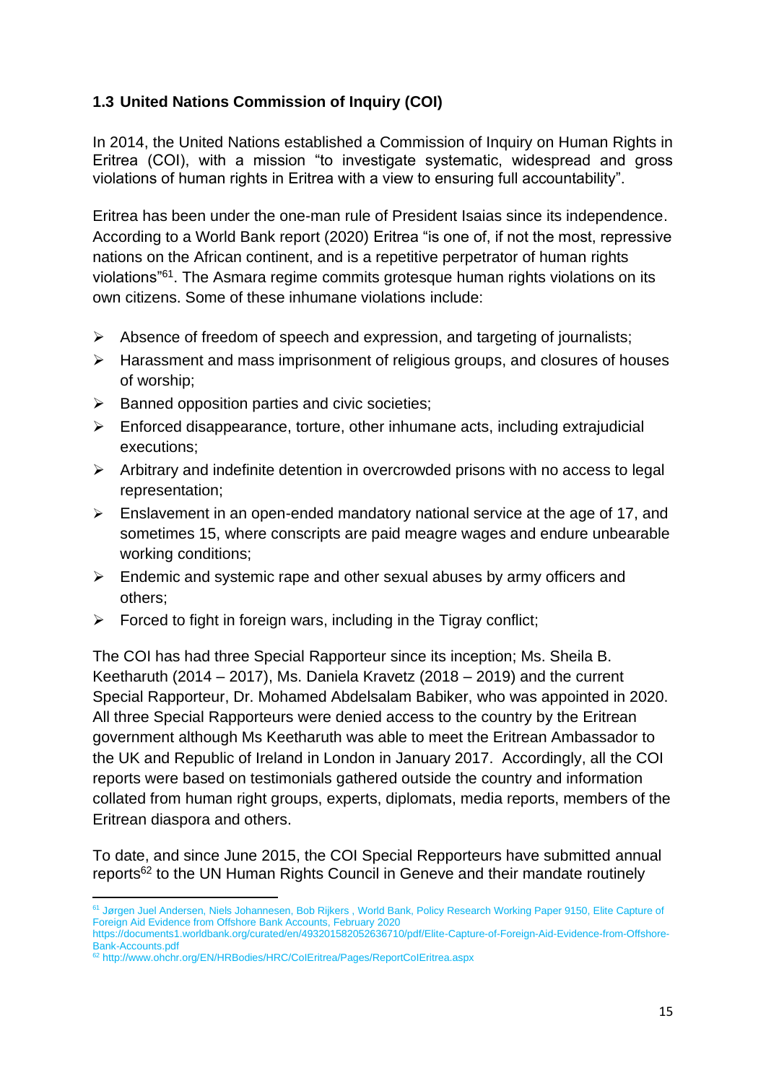# **1.3 United Nations Commission of Inquiry (COI)**

In 2014, the United Nations established a Commission of Inquiry on Human Rights in Eritrea (COI), with a mission "to investigate systematic, widespread and gross violations of human rights in Eritrea with a view to ensuring full accountability".

Eritrea has been under the one-man rule of President Isaias since its independence. According to a World Bank report (2020) Eritrea "is one of, if not the most, repressive nations on the African continent, and is a repetitive perpetrator of human rights violations<sup>"61</sup>. The Asmara regime commits grotesque human rights violations on its own citizens. Some of these inhumane violations include:

- ➢ Absence of freedom of speech and expression, and targeting of journalists;
- ➢ Harassment and mass imprisonment of religious groups, and closures of houses of worship;
- $\triangleright$  Banned opposition parties and civic societies;
- $\triangleright$  Enforced disappearance, torture, other inhumane acts, including extrajudicial executions;
- ➢ Arbitrary and indefinite detention in overcrowded prisons with no access to legal representation;
- $\triangleright$  Enslavement in an open-ended mandatory national service at the age of 17, and sometimes 15, where conscripts are paid meagre wages and endure unbearable working conditions;
- $\triangleright$  Endemic and systemic rape and other sexual abuses by army officers and others;
- $\triangleright$  Forced to fight in foreign wars, including in the Tigray conflict;

The COI has had three Special Rapporteur since its inception; Ms. Sheila B. Keetharuth (2014 – 2017), Ms. Daniela Kravetz (2018 – 2019) and the current Special Rapporteur, Dr. Mohamed Abdelsalam Babiker, who was appointed in 2020. All three Special Rapporteurs were denied access to the country by the Eritrean government although Ms Keetharuth was able to meet the Eritrean Ambassador to the UK and Republic of Ireland in London in January 2017. Accordingly, all the COI reports were based on testimonials gathered outside the country and information collated from human right groups, experts, diplomats, media reports, members of the Eritrean diaspora and others.

To date, and since June 2015, the COI Special Repporteurs have submitted annual reports<sup>62</sup> to the UN Human Rights Council in Geneve and their mandate routinely

<sup>&</sup>lt;sup>61</sup> Jørgen Juel Andersen, Niels Johannesen, Bob Rijkers, World Bank, Policy Research Working Paper 9150, Elite Capture of Foreign Aid Evidence from Offshore Bank Accounts, February 2020 [https://documents1.worldbank.org/curated/en/493201582052636710/pdf/Elite-Capture-of-Foreign-Aid-Evidence-from-Offshore-](https://documents1.worldbank.org/curated/en/493201582052636710/pdf/Elite-Capture-of-Foreign-Aid-Evidence-from-Offshore-Bank-Accounts.pdf)

[Bank-Accounts.pdf](https://documents1.worldbank.org/curated/en/493201582052636710/pdf/Elite-Capture-of-Foreign-Aid-Evidence-from-Offshore-Bank-Accounts.pdf)

<sup>62</sup> <http://www.ohchr.org/EN/HRBodies/HRC/CoIEritrea/Pages/ReportCoIEritrea.aspx>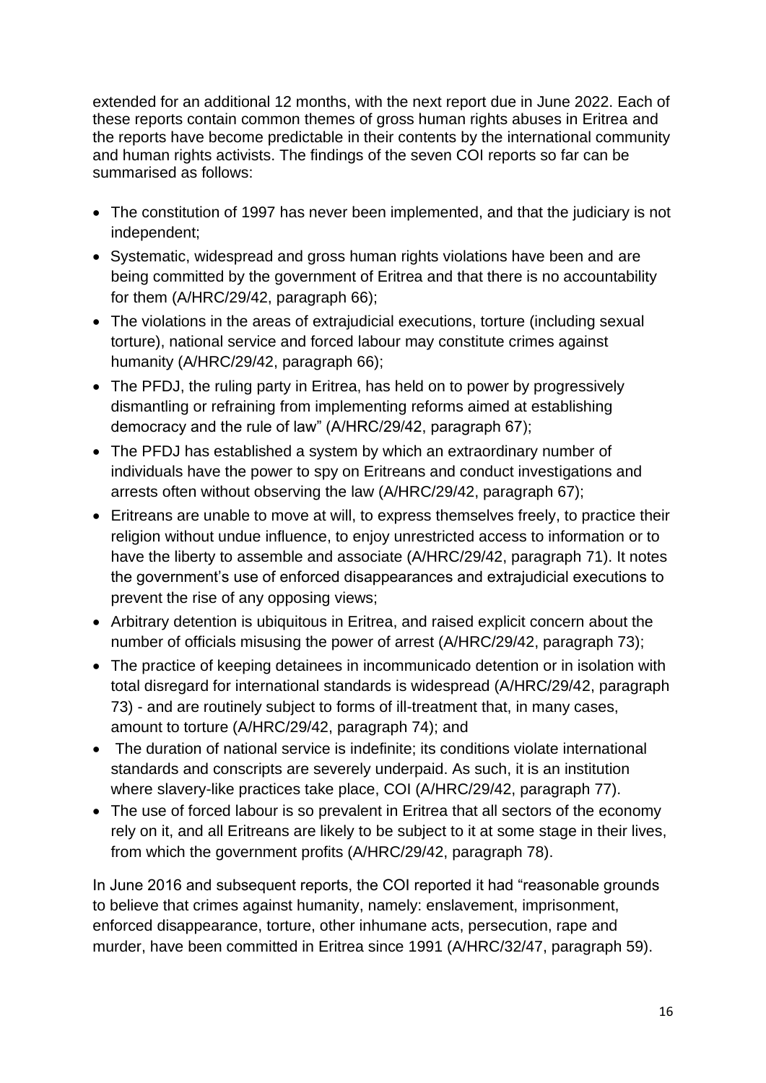extended for an additional 12 months, with the next report due in June 2022. Each of these reports contain common themes of gross human rights abuses in Eritrea and the reports have become predictable in their contents by the international community and human rights activists. The findings of the seven COI reports so far can be summarised as follows:

- The constitution of 1997 has never been implemented, and that the judiciary is not independent;
- Systematic, widespread and gross human rights violations have been and are being committed by the government of Eritrea and that there is no accountability for them (A/HRC/29/42, paragraph 66);
- The violations in the areas of extrajudicial executions, torture (including sexual torture), national service and forced labour may constitute crimes against humanity (A/HRC/29/42, paragraph 66);
- The PFDJ, the ruling party in Eritrea, has held on to power by progressively dismantling or refraining from implementing reforms aimed at establishing democracy and the rule of law" (A/HRC/29/42, paragraph 67);
- The PFDJ has established a system by which an extraordinary number of individuals have the power to spy on Eritreans and conduct investigations and arrests often without observing the law (A/HRC/29/42, paragraph 67);
- Eritreans are unable to move at will, to express themselves freely, to practice their religion without undue influence, to enjoy unrestricted access to information or to have the liberty to assemble and associate (A/HRC/29/42, paragraph 71). It notes the government's use of enforced disappearances and extrajudicial executions to prevent the rise of any opposing views;
- Arbitrary detention is ubiquitous in Eritrea, and raised explicit concern about the number of officials misusing the power of arrest (A/HRC/29/42, paragraph 73);
- The practice of keeping detainees in incommunicado detention or in isolation with total disregard for international standards is widespread (A/HRC/29/42, paragraph 73) - and are routinely subject to forms of ill-treatment that, in many cases, amount to torture (A/HRC/29/42, paragraph 74); and
- The duration of national service is indefinite; its conditions violate international standards and conscripts are severely underpaid. As such, it is an institution where slavery-like practices take place, COI (A/HRC/29/42, paragraph 77).
- The use of forced labour is so prevalent in Eritrea that all sectors of the economy rely on it, and all Eritreans are likely to be subject to it at some stage in their lives, from which the government profits (A/HRC/29/42, paragraph 78).

In June 2016 and subsequent reports, the COI reported it had "reasonable grounds to believe that crimes against humanity, namely: enslavement, imprisonment, enforced disappearance, torture, other inhumane acts, persecution, rape and murder, have been committed in Eritrea since 1991 (A/HRC/32/47, paragraph 59).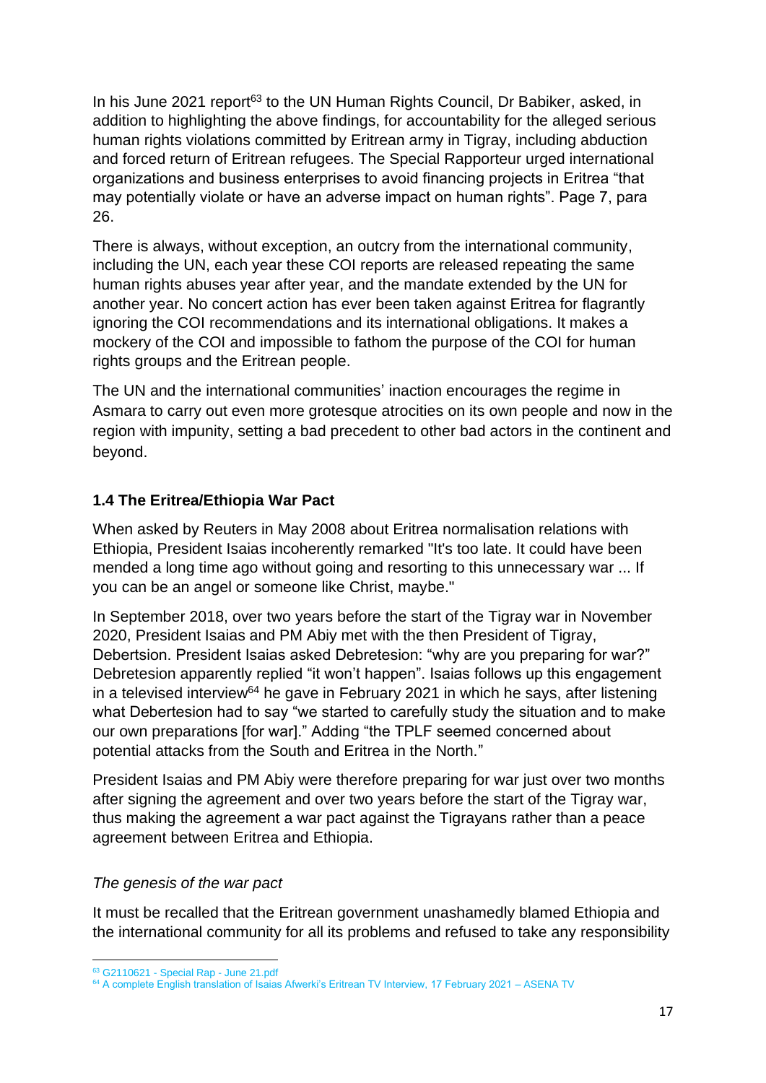In his June 2021 report<sup>63</sup> to the UN Human Rights Council, Dr Babiker, asked, in addition to highlighting the above findings, for accountability for the alleged serious human rights violations committed by Eritrean army in Tigray, including abduction and forced return of Eritrean refugees. The Special Rapporteur urged international organizations and business enterprises to avoid financing projects in Eritrea "that may potentially violate or have an adverse impact on human rights". Page 7, para 26.

There is always, without exception, an outcry from the international community, including the UN, each year these COI reports are released repeating the same human rights abuses year after year, and the mandate extended by the UN for another year. No concert action has ever been taken against Eritrea for flagrantly ignoring the COI recommendations and its international obligations. It makes a mockery of the COI and impossible to fathom the purpose of the COI for human rights groups and the Eritrean people.

The UN and the international communities' inaction encourages the regime in Asmara to carry out even more grotesque atrocities on its own people and now in the region with impunity, setting a bad precedent to other bad actors in the continent and beyond.

# **1.4 The Eritrea/Ethiopia War Pact**

When asked by Reuters in May 2008 about Eritrea normalisation relations with Ethiopia, President Isaias incoherently remarked "It's too late. It could have been mended a long time ago without going and resorting to this unnecessary war ... If you can be an angel or someone like Christ, maybe."

In September 2018, over two years before the start of the Tigray war in November 2020, President Isaias and PM Abiy met with the then President of Tigray, Debertsion. President Isaias asked Debretesion: "why are you preparing for war?" Debretesion apparently replied "it won't happen". Isaias follows up this engagement in a televised interview<sup>64</sup> he gave in February 2021 in which he says, after listening what Debertesion had to say "we started to carefully study the situation and to make our own preparations [for war]." Adding "the TPLF seemed concerned about potential attacks from the South and Eritrea in the North."

President Isaias and PM Abiy were therefore preparing for war just over two months after signing the agreement and over two years before the start of the Tigray war, thus making the agreement a war pact against the Tigrayans rather than a peace agreement between Eritrea and Ethiopia.

# *The genesis of the war pact*

It must be recalled that the Eritrean government unashamedly blamed Ethiopia and the international community for all its problems and refused to take any responsibility

<sup>63</sup> G2110621 - [Special Rap -](file:///C:/Users/habte/OneDrive/Documents/Eritrea%20Focus/UN%20Reports/G2110621%20-%20Special%20Rap%20-%20June%2021.pdf) June 21.pdf

<sup>&</sup>lt;sup>64</sup> [A complete English translation of Isaias Afwerki's Eritrean TV Interview, 17 February 2021 –](https://asenatv.com/a-complete-english-translation-of-isaias-afwerkis-eritrean-tv-interview-17-february-2021/) ASENA TV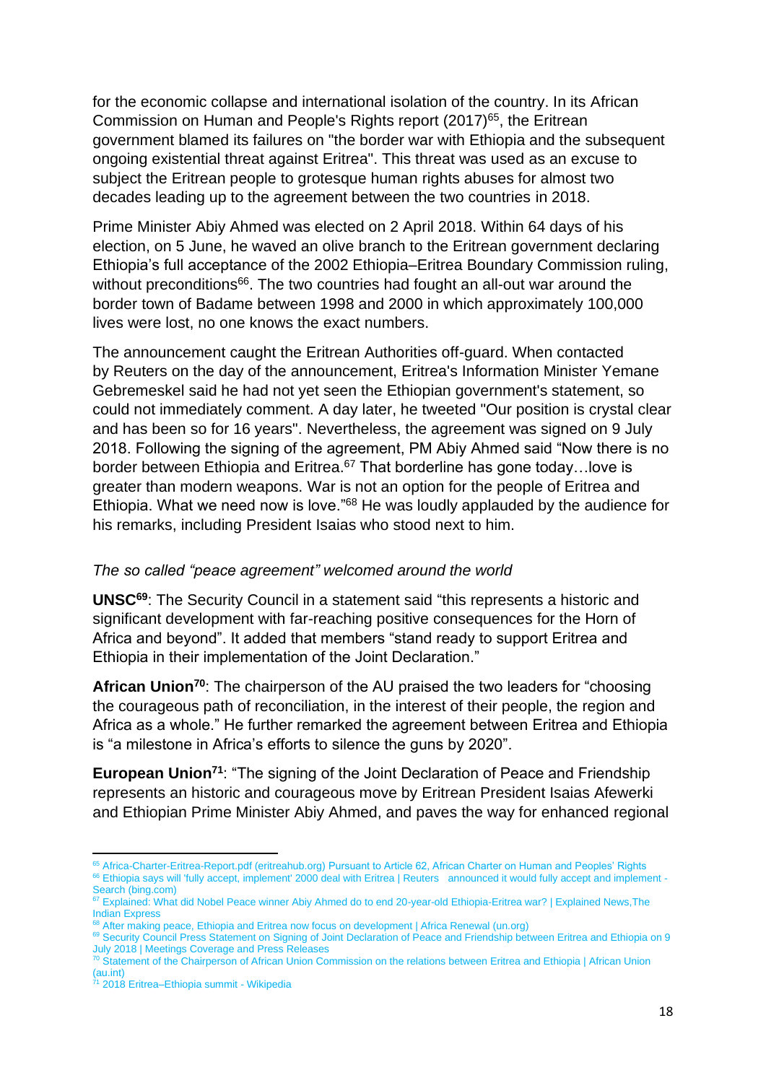for the economic collapse and international isolation of the country. In its African Commission on Human and People's Rights report (2017)<sup>65</sup>, the Eritrean government blamed its failures on "the border war with Ethiopia and the subsequent ongoing existential threat against Eritrea". This threat was used as an excuse to subject the Eritrean people to grotesque human rights abuses for almost two decades leading up to the agreement between the two countries in 2018.

Prime Minister Abiy Ahmed was elected on 2 April 2018. Within 64 days of his election, on 5 June, he waved an olive branch to the Eritrean government declaring Ethiopia's full acceptance of the 2002 Ethiopia–Eritrea Boundary Commission ruling, without preconditions<sup>66</sup>. The two countries had fought an all-out war around the border town of Badame between 1998 and 2000 in which approximately 100,000 lives were lost, no one knows the exact numbers.

The announcement caught the Eritrean Authorities off-guard. When contacted by Reuters on the day of the announcement, Eritrea's Information Minister Yemane Gebremeskel said he had not yet seen the Ethiopian government's statement, so could not immediately comment. A day later, he tweeted "Our position is crystal clear and has been so for 16 years". Nevertheless, the agreement was signed on 9 July 2018. Following the signing of the agreement, PM Abiy Ahmed said "Now there is no border between Ethiopia and Eritrea.<sup>67</sup> That borderline has gone today...love is greater than modern weapons. War is not an option for the people of Eritrea and Ethiopia. What we need now is love."<sup>68</sup> He was loudly applauded by the audience for his remarks, including President Isaias who stood next to him.

#### *The so called "peace agreement" welcomed around the world*

**UNSC<sup>69</sup>**: The Security Council in a statement said "this represents a historic and significant development with far-reaching positive consequences for the Horn of Africa and beyond". It added that members "stand ready to support Eritrea and Ethiopia in their implementation of the Joint Declaration."

**African Union<sup>70</sup>**: The chairperson of the AU praised the two leaders for "choosing the courageous path of reconciliation, in the interest of their people, the region and Africa as a whole." He further remarked the agreement between Eritrea and Ethiopia is "a milestone in Africa's efforts to silence the guns by 2020".

**European Union<sup>71</sup>**: "The signing of the Joint Declaration of Peace and Friendship represents an historic and courageous move by Eritrean President Isaias Afewerki and Ethiopian Prime Minister Abiy Ahmed, and paves the way for enhanced regional

<sup>&</sup>lt;sup>65</sup> [Africa-Charter-Eritrea-Report.pdf \(eritreahub.org\)](https://eritreahub.org/wp-content/uploads/2018/02/Africa-Charter-Eritrea-Report.pdf) Pursuant to Article 62, African Charter on Human and Peoples' Rights <sup>66</sup> [Ethiopia says will 'fully accept, implement' 2000 deal with Eritrea | Reuters](https://www.reuters.com/article/us-ethiopia-eritrea-agreement-idUSKCN1J12GC) [announced it would fully accept and implement -](https://www.bing.com/search?q=announced+it+would+fully+accept+and+implement&cvid=c24b76a9b5444c6999d1a8c5f7c9f04c&aqs=edge..69i57.1431j0j1&pglt=43&FORM=ANNTA1&PC=HCTS) [Search \(bing.com\)](https://www.bing.com/search?q=announced+it+would+fully+accept+and+implement&cvid=c24b76a9b5444c6999d1a8c5f7c9f04c&aqs=edge..69i57.1431j0j1&pglt=43&FORM=ANNTA1&PC=HCTS)

<sup>67</sup> [Explained: What did Nobel Peace winner Abiy Ahmed do to end 20-year-old Ethiopia-Eritrea war? | Explained News,The](https://indianexpress.com/article/explained/explained-abiy-ahmed-ali-2019-nobel-peace-prize-ethiopia-eritrea-war-6064369/)  [Indian Express](https://indianexpress.com/article/explained/explained-abiy-ahmed-ali-2019-nobel-peace-prize-ethiopia-eritrea-war-6064369/)

<sup>&</sup>lt;sup>88</sup> [After making peace, Ethiopia and Eritrea now focus on development | Africa Renewal \(un.org\)](https://www.un.org/africarenewal/magazine/december-2018-march-2019/after-making-peace-ethiopia-and-eritrea-now-focus-development)

<sup>69</sup> Security Council Press Statement on Signing of Joint Declaration of Peace and Friendship between Eritrea and Ethiopia on 9 [July 2018 | Meetings Coverage and Press Releases](https://www.un.org/press/en/2018/sc13416.doc.htm)

<sup>70</sup> [Statement of the Chairperson of African Union Commission on the relations between Eritrea and Ethiopia | African Union](https://au.int/en/pressreleases/20180620/statement-chairperson-african-union-commission-relations-between-eritrea-and)  [\(au.int\)](https://au.int/en/pressreleases/20180620/statement-chairperson-african-union-commission-relations-between-eritrea-and)

<sup>71</sup> [2018 Eritrea–Ethiopia summit -](https://en.wikipedia.org/wiki/2018_Eritrea%E2%80%93Ethiopia_summit#Reactions) Wikipedia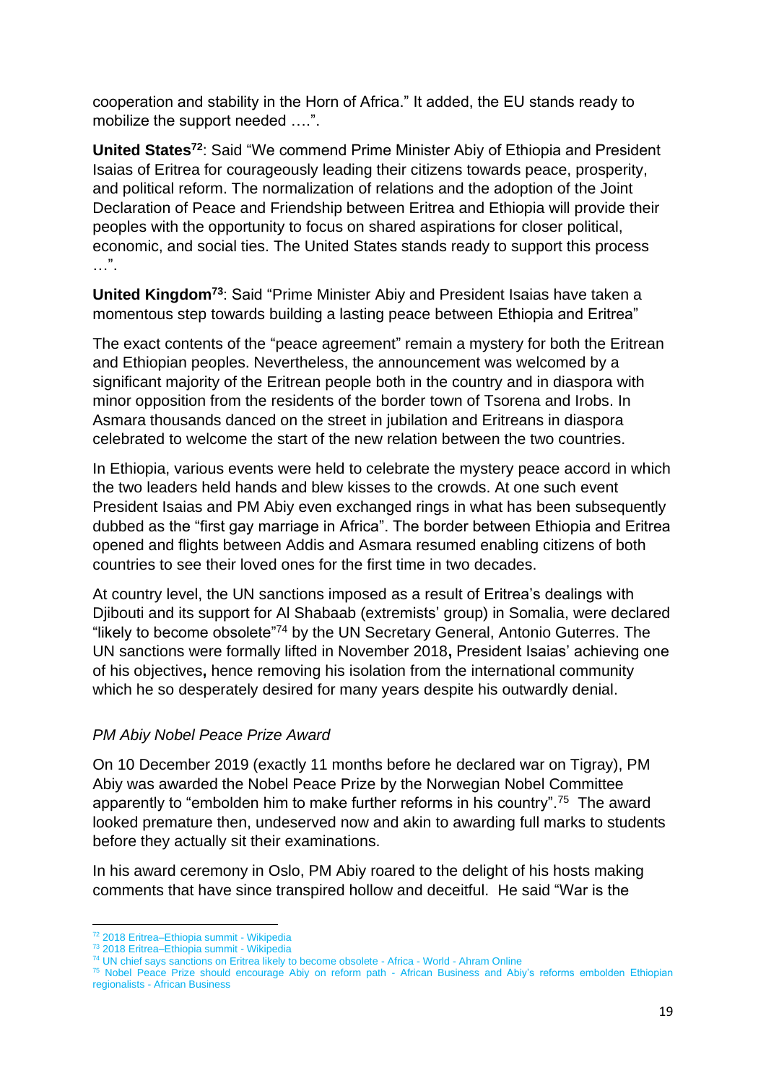cooperation and stability in the Horn of Africa." It added, the EU stands ready to mobilize the support needed ….".

**United States<sup>72</sup>**: Said "We commend Prime Minister Abiy of Ethiopia and President Isaias of Eritrea for courageously leading their citizens towards peace, prosperity, and political reform. The normalization of relations and the adoption of the Joint Declaration of Peace and Friendship between Eritrea and Ethiopia will provide their peoples with the opportunity to focus on shared aspirations for closer political, economic, and social ties. The United States stands ready to support this process  $\ldots$ ".

**United Kingdom<sup>73</sup>**: Said "Prime Minister Abiy and President Isaias have taken a momentous step towards building a lasting peace between Ethiopia and Eritrea"

The exact contents of the "peace agreement" remain a mystery for both the Eritrean and Ethiopian peoples. Nevertheless, the announcement was welcomed by a significant majority of the Eritrean people both in the country and in diaspora with minor opposition from the residents of the border town of Tsorena and Irobs. In Asmara thousands danced on the street in jubilation and Eritreans in diaspora celebrated to welcome the start of the new relation between the two countries.

In Ethiopia, various events were held to celebrate the mystery peace accord in which the two leaders held hands and blew kisses to the crowds. At one such event President Isaias and PM Abiy even exchanged rings in what has been subsequently dubbed as the "first gay marriage in Africa". The border between Ethiopia and Eritrea opened and flights between Addis and Asmara resumed enabling citizens of both countries to see their loved ones for the first time in two decades.

At country level, the UN sanctions imposed as a result of Eritrea's dealings with Djibouti and its support for Al Shabaab (extremists' group) in Somalia, were declared "likely to become obsolete"<sup>74</sup> by the UN Secretary General, Antonio Guterres. The UN sanctions were formally lifted in November 2018**,** President Isaias' achieving one of his objectives**,** hence removing his isolation from the international community which he so desperately desired for many years despite his outwardly denial.

#### *PM Abiy Nobel Peace Prize Award*

On 10 December 2019 (exactly 11 months before he declared war on Tigray), PM Abiy was awarded the Nobel Peace Prize by the Norwegian Nobel Committee apparently to "embolden him to make further reforms in his country".<sup>75</sup> The award looked premature then, undeserved now and akin to awarding full marks to students before they actually sit their examinations.

In his award ceremony in Oslo, PM Abiy roared to the delight of his hosts making comments that have since transpired hollow and deceitful.He said "War is the

<sup>72</sup> [2018 Eritrea–Ethiopia summit -](https://en.wikipedia.org/wiki/2018_Eritrea%E2%80%93Ethiopia_summit#Reactions) Wikipedia

<sup>73</sup> [2018 Eritrea–Ethiopia summit -](https://en.wikipedia.org/wiki/2018_Eritrea%E2%80%93Ethiopia_summit#Reactions) Wikipedia

<sup>74</sup> [UN chief says sanctions on Eritrea likely to become obsolete -](https://english.ahram.org.eg/NewsContent/2/10/306554/World/Africa/UN-chief-says-sanctions-on-Eritrea-likely-to-becom.aspx) Africa - World - Ahram Online

<sup>&</sup>lt;sup>75</sup> [Nobel Peace Prize should encourage Abiy on reform path -](https://african.business/2019/10/economy/nobel-peace-prize-should-encourage-abiy-on-reform-path/) African Business and Abiy's reforms embolden Ethiopian regionalists - [African Business](https://african.business/2019/08/economy/abiys-reforms-embolden-ethiopian-regionalists/)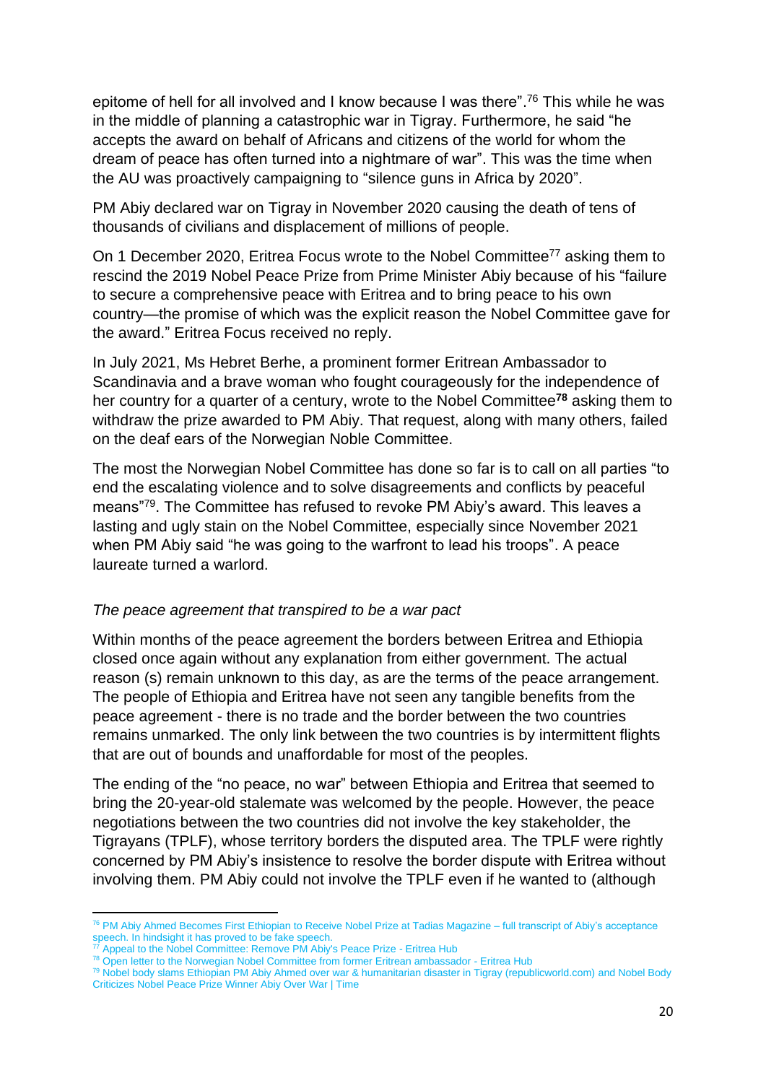epitome of hell for all involved and I know because I was there". <sup>76</sup> This while he was in the middle of planning a catastrophic war in Tigray. Furthermore, he said "he accepts the award on behalf of Africans and citizens of the world for whom the dream of peace has often turned into a nightmare of war". This was the time when the AU was proactively campaigning to "silence guns in Africa by 2020".

PM Abiy declared war on Tigray in November 2020 causing the death of tens of thousands of civilians and displacement of millions of people.

On 1 December 2020, Eritrea Focus wrote to the Nobel Committee<sup>77</sup> asking them to rescind the 2019 Nobel Peace Prize from Prime Minister Abiy because of his "failure to secure a comprehensive peace with Eritrea and to bring peace to his own country—the promise of which was the explicit reason the Nobel Committee gave for the award." Eritrea Focus received no reply.

In July 2021, Ms Hebret Berhe, a prominent former Eritrean Ambassador to Scandinavia and a brave woman who fought courageously for the independence of her country for a quarter of a century, wrote to the Nobel Committee**<sup>78</sup>** asking them to withdraw the prize awarded to PM Abiy. That request, along with many others, failed on the deaf ears of the Norwegian Noble Committee.

The most the Norwegian Nobel Committee has done so far is to call on all parties "to end the escalating violence and to solve disagreements and conflicts by peaceful means"<sup>79</sup>. The Committee has refused to revoke PM Abiy's award. This leaves a lasting and ugly stain on the Nobel Committee, especially since November 2021 when PM Abiy said "he was going to the warfront to lead his troops". A peace laureate turned a warlord.

#### *The peace agreement that transpired to be a war pact*

Within months of the peace agreement the borders between Eritrea and Ethiopia closed once again without any explanation from either government. The actual reason (s) remain unknown to this day, as are the terms of the peace arrangement. The people of Ethiopia and Eritrea have not seen any tangible benefits from the peace agreement - there is no trade and the border between the two countries remains unmarked. The only link between the two countries is by intermittent flights that are out of bounds and unaffordable for most of the peoples.

The ending of the "no peace, no war" between Ethiopia and Eritrea that seemed to bring the 20-year-old stalemate was welcomed by the people. However, the peace negotiations between the two countries did not involve the key stakeholder, the Tigrayans (TPLF), whose territory borders the disputed area. The TPLF were rightly concerned by PM Abiy's insistence to resolve the border dispute with Eritrea without involving them. PM Abiy could not involve the TPLF even if he wanted to (although

<sup>76</sup> [PM Abiy Ahmed Becomes First Ethiopian to Receive Nobel Prize at Tadias Magazine](http://www.tadias.com/12/10/2019/the-nobel-peace-prize-award-ceremony-watch-live/) – full transcript of Abiy's acceptance speech. In hindsight it has proved to be fake speech.<br>
<sup>77</sup> Appech in hindsight it has proved to be fake speech.

[Appeal to the Nobel Committee: Remove PM Abiy's Peace Prize -](https://eritreahub.org/appeal-to-the-nobel-committee-remove-pm-abiys-peace-prize) Eritrea Hub

<sup>78</sup> [Open letter to the Norwegian Nobel Committee from former Eritrean ambassador -](https://eritreahub.org/open-letter-to-the-norwegian-nobel-committee-from-former-eritrean-ambassador) Eritrea Hub

<sup>79</sup> [Nobel body slams Ethiopian PM Abiy Ahmed over war & humanitarian disaster in Tigray \(republicworld.com\)](https://www.republicworld.com/world-news/europe/nobel-body-slams-ethiopian-pm-abiy-ahmed-over-war-and-humanitarian-disaster-in-tigray-articleshow.html) an[d Nobel Body](https://time.com/6139158/nobel-body-abiy-ahmed-ethiopia/)  [Criticizes Nobel Peace Prize Winner Abiy Over War | Time](https://time.com/6139158/nobel-body-abiy-ahmed-ethiopia/)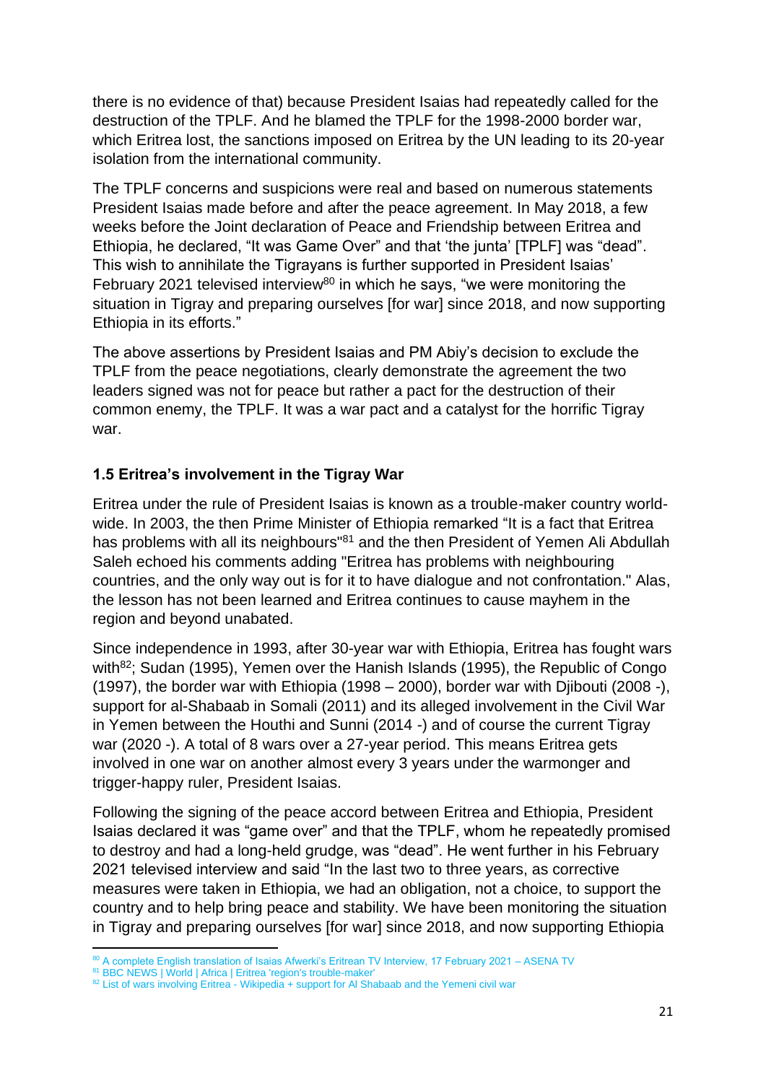there is no evidence of that) because President Isaias had repeatedly called for the destruction of the TPLF. And he blamed the TPLF for the 1998-2000 border war, which Eritrea lost, the sanctions imposed on Eritrea by the UN leading to its 20-year isolation from the international community.

The TPLF concerns and suspicions were real and based on numerous statements President Isaias made before and after the peace agreement. In May 2018, a few weeks before the Joint declaration of Peace and Friendship between Eritrea and Ethiopia, he declared, "It was Game Over" and that 'the junta' [TPLF] was "dead". This wish to annihilate the Tigrayans is further supported in President Isaias' February 2021 televised interview<sup>80</sup> in which he says, "we were monitoring the situation in Tigray and preparing ourselves [for war] since 2018, and now supporting Ethiopia in its efforts."

The above assertions by President Isaias and PM Abiy's decision to exclude the TPLF from the peace negotiations, clearly demonstrate the agreement the two leaders signed was not for peace but rather a pact for the destruction of their common enemy, the TPLF. It was a war pact and a catalyst for the horrific Tigray war.

# **1.5 Eritrea's involvement in the Tigray War**

Eritrea under the rule of President Isaias is known as a trouble-maker country worldwide. In 2003, the then Prime Minister of Ethiopia remarked "It is a fact that Eritrea has problems with all its neighbours<sup>"81</sup> and the then President of Yemen Ali Abdullah Saleh echoed his comments adding "Eritrea has problems with neighbouring countries, and the only way out is for it to have dialogue and not confrontation." Alas, the lesson has not been learned and Eritrea continues to cause mayhem in the region and beyond unabated.

Since independence in 1993, after 30-year war with Ethiopia, Eritrea has fought wars with $82$ ; Sudan (1995), Yemen over the Hanish Islands (1995), the Republic of Congo (1997), the border war with Ethiopia (1998 – 2000), border war with Djibouti (2008 -), support for al-Shabaab in Somali (2011) and its alleged involvement in the Civil War in Yemen between the Houthi and Sunni (2014 -) and of course the current Tigray war (2020 -). A total of 8 wars over a 27-year period. This means Eritrea gets involved in one war on another almost every 3 years under the warmonger and trigger-happy ruler, President Isaias.

Following the signing of the peace accord between Eritrea and Ethiopia, President Isaias declared it was "game over" and that the TPLF, whom he repeatedly promised to destroy and had a long-held grudge, was "dead". He went further in his February 2021 televised interview and said "In the last two to three years, as corrective measures were taken in Ethiopia, we had an obligation, not a choice, to support the country and to help bring peace and stability. We have been monitoring the situation in Tigray and preparing ourselves [for war] since 2018, and now supporting Ethiopia

81 [BBC NEWS | World | Africa | Eritrea 'region's trouble-maker'](http://news.bbc.co.uk/1/hi/world/africa/3353313.stm)

<sup>80</sup> A complete English translation of Isaias Afwerki's Eritrean TV Interview, 17 February 2021 - ASENA TV

<sup>82</sup> [List of wars involving Eritrea -](https://en.wikipedia.org/wiki/List_of_wars_involving_Eritrea) Wikipedia + support for Al Shabaab and the Yemeni civil war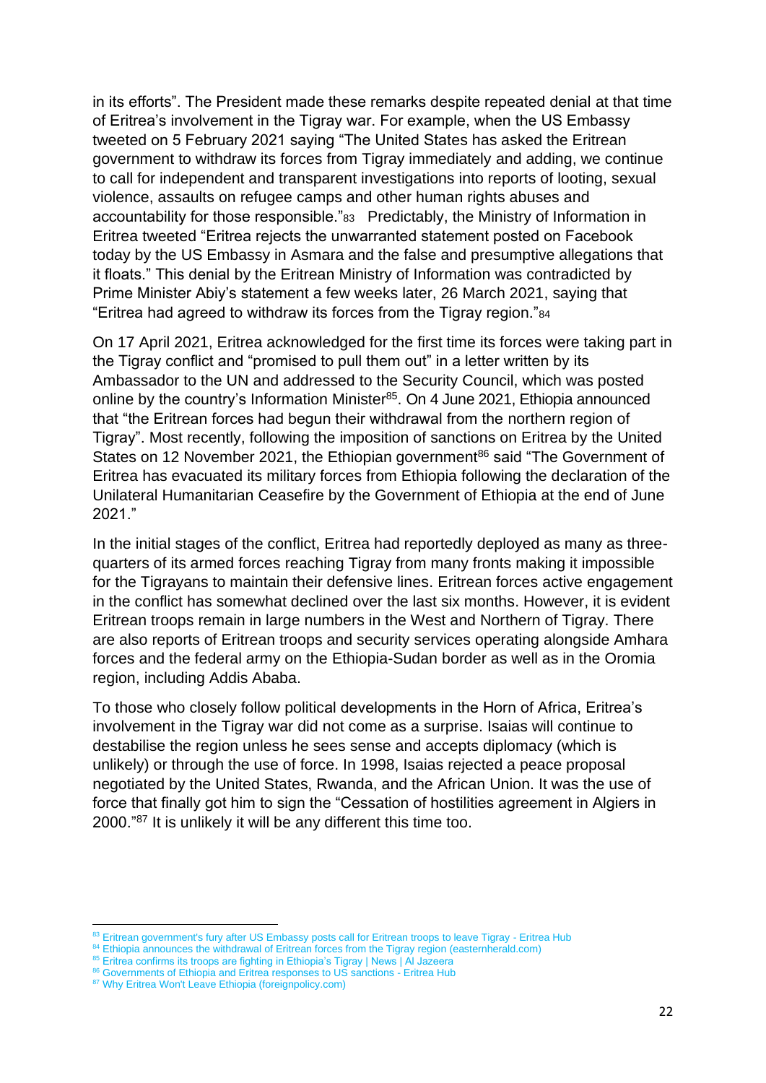in its efforts". The President made these remarks despite repeated denial at that time of Eritrea's involvement in the Tigray war. For example, when the US Embassy tweeted on 5 February 2021 saying "The United States has asked the Eritrean government to withdraw its forces from Tigray immediately and adding, we continue to call for independent and transparent investigations into reports of looting, sexual violence, assaults on refugee camps and other human rights abuses and accountability for those responsible."83 Predictably, the Ministry of Information in Eritrea tweeted "Eritrea rejects the unwarranted statement posted on Facebook today by the US Embassy in Asmara and the false and presumptive allegations that it floats." This denial by the Eritrean Ministry of Information was contradicted by Prime Minister Abiy's statement a few weeks later, 26 March 2021, saying that "Eritrea had agreed to withdraw its forces from the Tigray region."<sup>84</sup>

On 17 April 2021, Eritrea acknowledged for the first time its forces were taking part in the Tigray conflict and "promised to pull them out" in a letter written by its Ambassador to the UN and addressed to the Security Council, which was posted online by the country's Information Minister<sup>85</sup>. On 4 June 2021, Ethiopia announced that "the Eritrean forces had begun their withdrawal from the northern region of Tigray". Most recently, following the imposition of sanctions on Eritrea by the United States on 12 November 2021, the Ethiopian government<sup>86</sup> said "The Government of Eritrea has evacuated its military forces from Ethiopia following the declaration of the Unilateral Humanitarian Ceasefire by the Government of Ethiopia at the end of June 2021."

In the initial stages of the conflict, Eritrea had reportedly deployed as many as threequarters of its armed forces reaching Tigray from many fronts making it impossible for the Tigrayans to maintain their defensive lines. Eritrean forces active engagement in the conflict has somewhat declined over the last six months. However, it is evident Eritrean troops remain in large numbers in the West and Northern of Tigray. There are also reports of Eritrean troops and security services operating alongside Amhara forces and the federal army on the Ethiopia-Sudan border as well as in the Oromia region, including Addis Ababa.

To those who closely follow political developments in the Horn of Africa, Eritrea's involvement in the Tigray war did not come as a surprise. Isaias will continue to destabilise the region unless he sees sense and accepts diplomacy (which is unlikely) or through the use of force. In 1998, Isaias rejected a peace proposal negotiated by the United States, Rwanda, and the African Union. It was the use of force that finally got him to sign the "Cessation of hostilities agreement in Algiers in 2000."<sup>87</sup> It is unlikely it will be any different this time too.

<sup>83</sup> [Eritrean government's fury after US Embassy posts call for Eritrean troops to leave Tigray -](https://eritreahub.org/eritrean-governments-fury-after-us-embassy-posts-call-for-eritrean-troops-to-leave-tigray) Eritrea Hub

<sup>84</sup> [Ethiopia announces the withdrawal of Eritrean forces from the Tigray region \(easternherald.com\)](https://www.easternherald.com/2021/06/04/ethiopia-announces-the-withdrawal-of-eritrean-forces-from-the-tigray-region/#:~:text=On%20Thursday%2C%20the%20Ethiopian%20government%20announced%20that%20Eritrean,months%20after%20the%20outbreak%20of%20the%20conflict%20there.)

<sup>85</sup> [Eritrea confirms its troops are fighting in Ethiopia's Tigray | News | Al Jazeera](https://www.aljazeera.com/news/2021/4/17/eritrea-confirms-its-troops-are-fighting-ethiopias-tigray#:~:text=Eritrea%20has%20acknowledged%20its%20troops%20are%20taking%20part,to%20pull%20them%20out%20amid%20mounting%20international%20pressure.)

<sup>&</sup>lt;sup>6</sup> [Governments of Ethiopia and Eritrea responses to US sanctions -](https://eritreahub.org/governments-of-ethiopia-and-eritrea-responses-to-us-sanctions#:~:text=Fri%2C%2012%20November%202021%20The%20United%20States%20on,at%20danger%20of%20%E2%80%9Cimplosion%E2%80%9D%20without%20a%20negotiated%20settlement.) Eritrea Hub

<sup>87</sup> [Why Eritrea Won't Leave Ethiopia \(foreignpolicy.com\)](https://foreignpolicy.com/2021/05/04/eritrea-wont-leave-ethiopia-abiy-ahmed-isaias-afwerki/)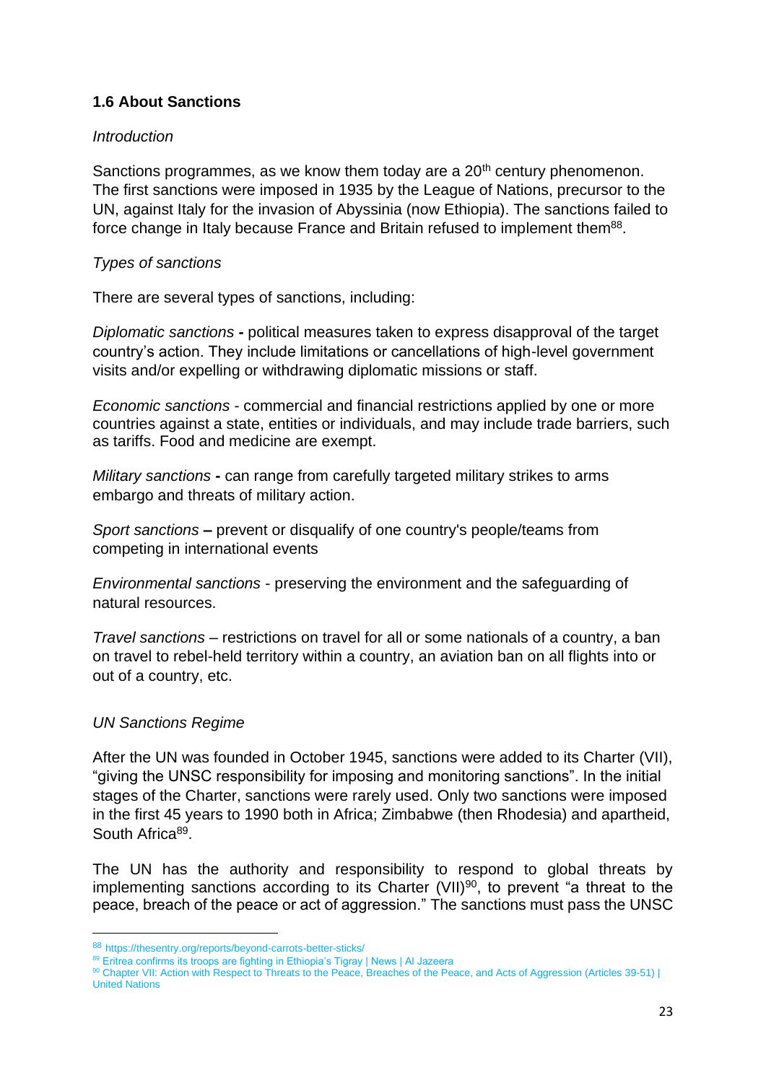# **1.6 About Sanctions**

# *Introduction*

Sanctions programmes, as we know them today are a  $20<sup>th</sup>$  century phenomenon. The first sanctions were imposed in 1935 by the League of Nations, precursor to the UN, against Italy for the invasion of Abyssinia (now Ethiopia). The sanctions failed to force change in Italy because France and Britain refused to implement them<sup>88</sup>.

### *Types of sanctions*

There are several types of sanctions, including:

*Diplomatic sanctions* **-** political measures taken to express disapproval of the target country's action. They include limitations or cancellations of high-level government visits and/or expelling or withdrawing diplomatic missions or staff.

*Economic sanctions* - commercial and financial restrictions applied by one or more countries against a state, entities or individuals, and may include trade barriers, such as tariffs. Food and medicine are exempt.

*Military sanctions* **-** can range from carefully targeted military strikes to arms embargo and threats of military action.

*Sport sanctions* **–** prevent or disqualify of one country's people/teams from competing in international events

*Environmental sanctions* - preserving the environment and the safeguarding of natural resources.

*Travel sanctions* – restrictions on travel for all or some nationals of a country, a ban on travel to rebel-held territory within a country, an aviation ban on all flights into or out of a country, etc.

#### *UN Sanctions Regime*

After the UN was founded in October 1945, sanctions were added to its Charter (VII), "giving the UNSC responsibility for imposing and monitoring sanctions". In the initial stages of the Charter, sanctions were rarely used. Only two sanctions were imposed in the first 45 years to 1990 both in Africa; Zimbabwe (then Rhodesia) and apartheid, South Africa<sup>89</sup>.

The UN has the authority and responsibility to respond to global threats by implementing sanctions according to its Charter  $(VII)^{90}$ , to prevent "a threat to the peace, breach of the peace or act of aggression." The sanctions must pass the UNSC

<sup>88</sup> https://thesentry.org/reports/beyond-carrots-better-sticks/

<sup>89</sup> [Eritrea confirms its troops are fighting in Ethiopia's Tigray | News | Al Jazeera](https://www.aljazeera.com/news/2021/4/17/eritrea-confirms-its-troops-are-fighting-ethiopias-tigray#:~:text=Eritrea%20has%20acknowledged%20its%20troops%20are%20taking%20part,to%20pull%20them%20out%20amid%20mounting%20international%20pressure.)

<sup>90</sup> Chapter VII: Action with Respect to Threats to the Peace, Breaches of the Peace, and Acts of Aggression (Articles 39-51) | [United Nations](https://www.un.org/en/about-us/un-charter/chapter-7)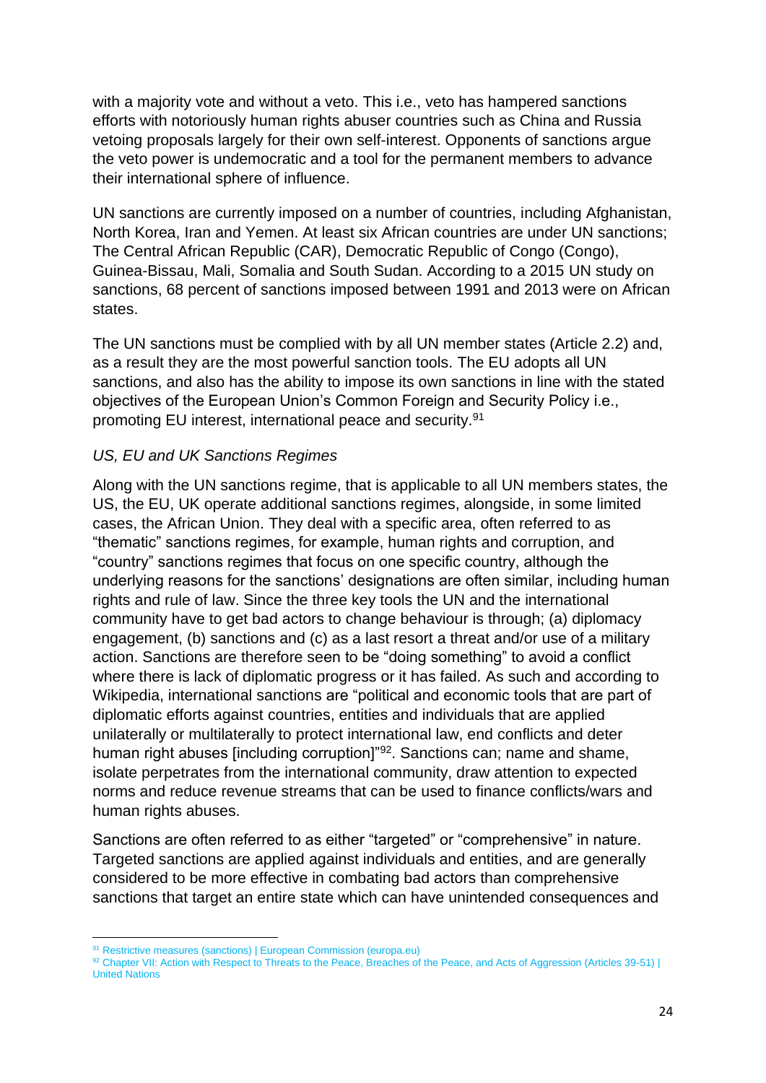with a majority vote and without a veto. This i.e., veto has hampered sanctions efforts with notoriously human rights abuser countries such as China and Russia vetoing proposals largely for their own self-interest. Opponents of sanctions argue the veto power is undemocratic and a tool for the permanent members to advance their international sphere of influence.

UN sanctions are currently imposed on a number of countries, including Afghanistan, North Korea, Iran and Yemen. At least six African countries are under UN sanctions; The Central African Republic (CAR), Democratic Republic of Congo (Congo), Guinea-Bissau, Mali, Somalia and South Sudan. According to a 2015 UN study on sanctions, 68 percent of sanctions imposed between 1991 and 2013 were on African states.

The UN sanctions must be complied with by all UN member states (Article 2.2) and, as a result they are the most powerful sanction tools. The EU adopts all UN sanctions, and also has the ability to impose its own sanctions in line with the stated objectives of the European Union's Common Foreign and Security Policy i.e., promoting EU interest, international peace and security.<sup>91</sup>

# *US, EU and UK Sanctions Regimes*

Along with the UN sanctions regime, that is applicable to all UN members states, the US, the EU, UK operate additional sanctions regimes, alongside, in some limited cases, the African Union. They deal with a specific area, often referred to as "thematic" sanctions regimes, for example, human rights and corruption, and "country" sanctions regimes that focus on one specific country, although the underlying reasons for the sanctions' designations are often similar, including human rights and rule of law. Since the three key tools the UN and the international community have to get bad actors to change behaviour is through; (a) diplomacy engagement, (b) sanctions and (c) as a last resort a threat and/or use of a military action. Sanctions are therefore seen to be "doing something" to avoid a conflict where there is lack of diplomatic progress or it has failed. As such and according to Wikipedia, international sanctions are "political and economic tools that are part of diplomatic efforts against countries, entities and individuals that are applied unilaterally or multilaterally to protect international law, end conflicts and deter human right abuses [including corruption]"<sup>92</sup>. Sanctions can; name and shame, isolate perpetrates from the international community, draw attention to expected norms and reduce revenue streams that can be used to finance conflicts/wars and human rights abuses.

Sanctions are often referred to as either "targeted" or "comprehensive" in nature. Targeted sanctions are applied against individuals and entities, and are generally considered to be more effective in combating bad actors than comprehensive sanctions that target an entire state which can have unintended consequences and

<sup>91</sup> [Restrictive measures \(sanctions\) | European Commission \(europa.eu\)](https://ec.europa.eu/info/business-economy-euro/banking-and-finance/international-relations/restrictive-measures-sanctions_en)

<sup>92</sup> Chapter VII: Action with Respect to Threats to the Peace, Breaches of the Peace, and Acts of Aggression (Articles 39-51) | [United Nations](https://www.un.org/en/about-us/un-charter/chapter-7)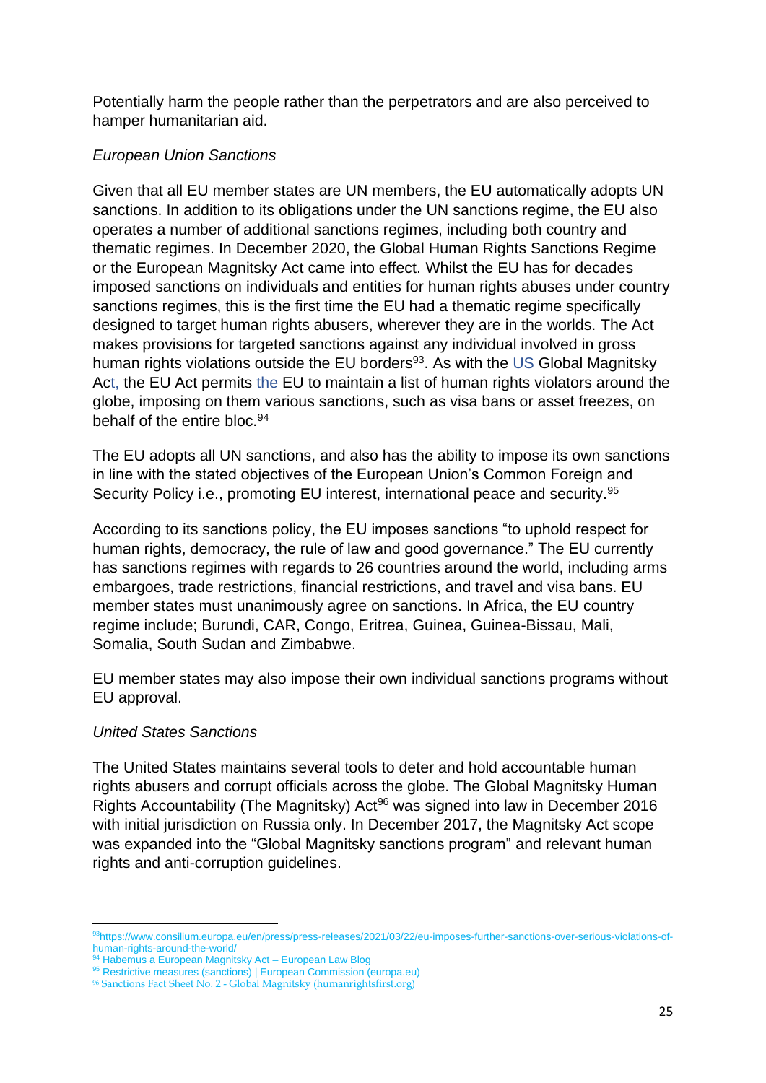Potentially harm the people rather than the perpetrators and are also perceived to hamper humanitarian aid.

### *European Union Sanctions*

Given that all EU member states are UN members, the EU automatically adopts UN sanctions. In addition to its obligations under the UN sanctions regime, the EU also operates a number of additional sanctions regimes, including both country and thematic regimes. In December 2020, the Global Human Rights Sanctions Regime or the European Magnitsky Act came into effect. Whilst the EU has for decades imposed sanctions on individuals and entities for human rights abuses under country sanctions regimes, this is the first time the EU had a thematic regime specifically designed to target human rights abusers, wherever they are in the worlds. The Act makes provisions for targeted sanctions against any individual involved in gross human rights violations outside the EU borders<sup>93</sup>. As with the US Global Magnitsky Act, the EU Act permits the EU to maintain a list of human rights violators around the globe, imposing on them various sanctions, such as visa bans or asset freezes, on behalf of the entire bloc.<sup>94</sup>

The EU adopts all UN sanctions, and also has the ability to impose its own sanctions in line with the stated objectives of the European Union's Common Foreign and Security Policy i.e., promoting EU interest, international peace and security.<sup>95</sup>

According to its sanctions policy, the EU imposes sanctions "to uphold respect for human rights, democracy, the rule of law and good governance." The EU currently has sanctions regimes with regards to 26 countries around the world, including arms embargoes, trade restrictions, financial restrictions, and travel and visa bans. EU member states must unanimously agree on sanctions. In Africa, the EU country regime include; Burundi, CAR, Congo, Eritrea, Guinea, Guinea-Bissau, Mali, Somalia, South Sudan and Zimbabwe.

EU member states may also impose their own individual sanctions programs without EU approval.

# *United States Sanctions*

The United States maintains several tools to deter and hold accountable human rights abusers and corrupt officials across the globe. The Global Magnitsky Human Rights Accountability (The Magnitsky) Act<sup>96</sup> was signed into law in December 2016 with initial jurisdiction on Russia only. In December 2017, the Magnitsky Act scope was expanded into the "Global Magnitsky sanctions program" and relevant human rights and anti-corruption guidelines.

<sup>93</sup>[https://www.consilium.europa.eu/en/press/press-releases/2021/03/22/eu-imposes-further-sanctions-over-serious-violations-of](https://www.consilium.europa.eu/en/press/press-releases/2021/03/22/eu-imposes-further-sanctions-over-serious-violations-of-human-rights-around-the-world/)[human-rights-around-the-world/](https://www.consilium.europa.eu/en/press/press-releases/2021/03/22/eu-imposes-further-sanctions-over-serious-violations-of-human-rights-around-the-world/)

<sup>94</sup> [Habemus a European Magnitsky Act –](https://europeanlawblog.eu/2021/01/13/habemus-a-european-magnitsky-act/) European Law Blog

<sup>95</sup> [Restrictive measures \(sanctions\) | European Commission \(europa.eu\)](https://ec.europa.eu/info/business-economy-euro/banking-and-finance/international-relations/restrictive-measures-sanctions_en)

<sup>96</sup> Sanctions Fact Sheet No. 2 - [Global Magnitsky \(humanrightsfirst.org\)](https://www.humanrightsfirst.org/sites/default/files/Sanctions%20Fact%20Sheet%20No.%202%20-%20Global%20Magnitsky.pdf)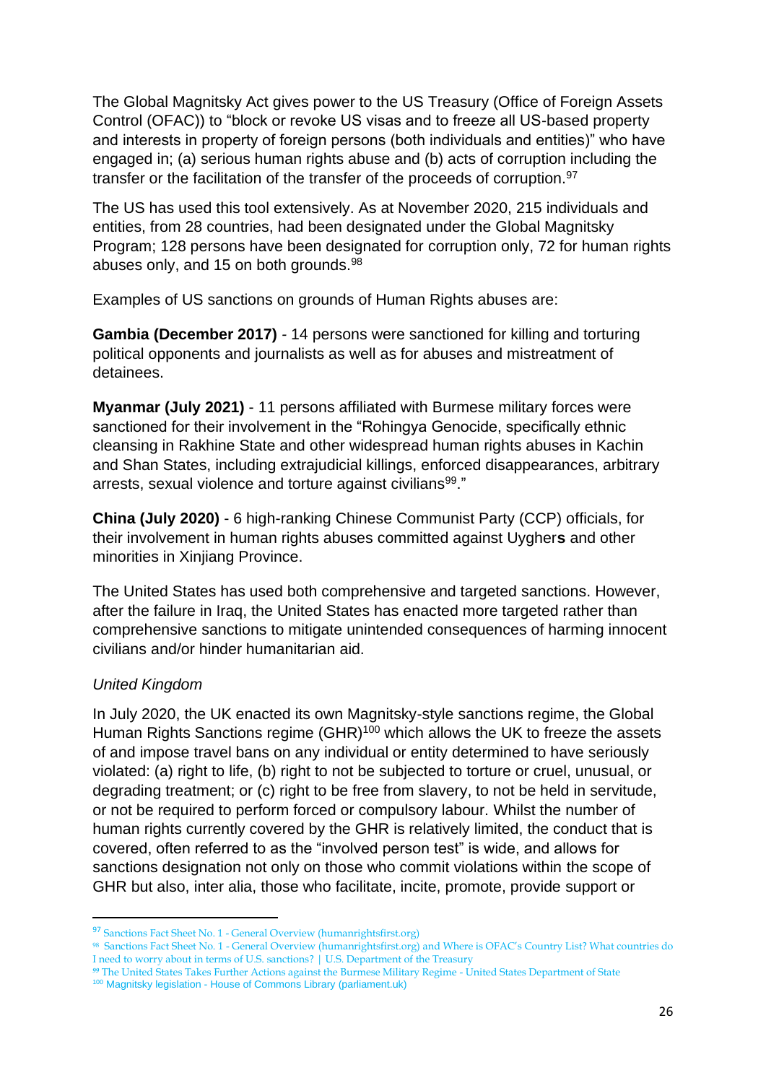The Global Magnitsky Act gives power to the US Treasury (Office of Foreign Assets Control (OFAC)) to "block or revoke US visas and to freeze all US-based property and interests in property of foreign persons (both individuals and entities)" who have engaged in; (a) serious human rights abuse and (b) acts of corruption including the transfer or the facilitation of the transfer of the proceeds of corruption.<sup>97</sup>

The US has used this tool extensively. As at November 2020, 215 individuals and entities, from 28 countries, had been designated under the Global Magnitsky Program; 128 persons have been designated for corruption only, 72 for human rights abuses only, and 15 on both grounds.<sup>98</sup>

Examples of US sanctions on grounds of Human Rights abuses are:

**Gambia (December 2017)** *-* 14 persons were sanctioned for killing and torturing political opponents and journalists as well as for abuses and mistreatment of detainees.

**Myanmar (July 2021)** - 11 persons affiliated with Burmese military forces were sanctioned for their involvement in the "Rohingya Genocide, specifically ethnic cleansing in Rakhine State and other widespread human rights abuses in Kachin and Shan States, including extrajudicial killings, enforced disappearances, arbitrary arrests, sexual violence and torture against civilians<sup>99</sup>."

**China (July 2020)** - 6 high-ranking Chinese Communist Party (CCP) officials, for their involvement in human rights abuses committed against Uygher**s** and other minorities in Xinjiang Province.

The United States has used both comprehensive and targeted sanctions. However, after the failure in Iraq, the United States has enacted more targeted rather than comprehensive sanctions to mitigate unintended consequences of harming innocent civilians and/or hinder humanitarian aid.

# *United Kingdom*

In July 2020, the UK enacted its own Magnitsky-style sanctions regime, the Global Human Rights Sanctions regime (GHR)<sup>100</sup> which allows the UK to freeze the assets of and impose travel bans on any individual or entity determined to have seriously violated: (a) right to life, (b) right to not be subjected to torture or cruel, unusual, or degrading treatment; or (c) right to be free from slavery, to not be held in servitude, or not be required to perform forced or compulsory labour. Whilst the number of human rights currently covered by the GHR is relatively limited, the conduct that is covered, often referred to as the "involved person test" is wide, and allows for sanctions designation not only on those who commit violations within the scope of GHR but also, inter alia, those who facilitate, incite, promote, provide support or

<sup>97</sup> Sanctions Fact Sheet No. 1 - [General Overview \(humanrightsfirst.org\)](https://www.humanrightsfirst.org/sites/default/files/Sanctions%20Fact%20Sheet%20No.%201%20-%20General%20Overview.pdf)

<sup>98</sup> Sanctions Fact Sheet No. 1 - [General Overview \(humanrightsfirst.org\)](https://www.humanrightsfirst.org/sites/default/files/Sanctions%20Fact%20Sheet%20No.%201%20-%20General%20Overview.pdf) and [Where is OFAC's Country List? What countries do](https://home.treasury.gov/policy-issues/financial-sanctions/sanctions-programs-and-country-information/where-is-ofacs-country-list-what-countries-do-i-need-to-worry-about-in-terms-of-us-sanctions)  [I need to worry about in terms of U.S. sanctions? | U.S. Department of the Treasury](https://home.treasury.gov/policy-issues/financial-sanctions/sanctions-programs-and-country-information/where-is-ofacs-country-list-what-countries-do-i-need-to-worry-about-in-terms-of-us-sanctions)

*<sup>99</sup>* [The United States Takes Further Actions against the Burmese Military Regime -](https://www.state.gov/the-united-states-takes-further-actions-against-the-burmese-military-regime/) United States Department of State <sup>100</sup> Magnitsky legislation - [House of Commons Library \(parliament.uk\)](https://commonslibrary.parliament.uk/research-briefings/cbp-8374/)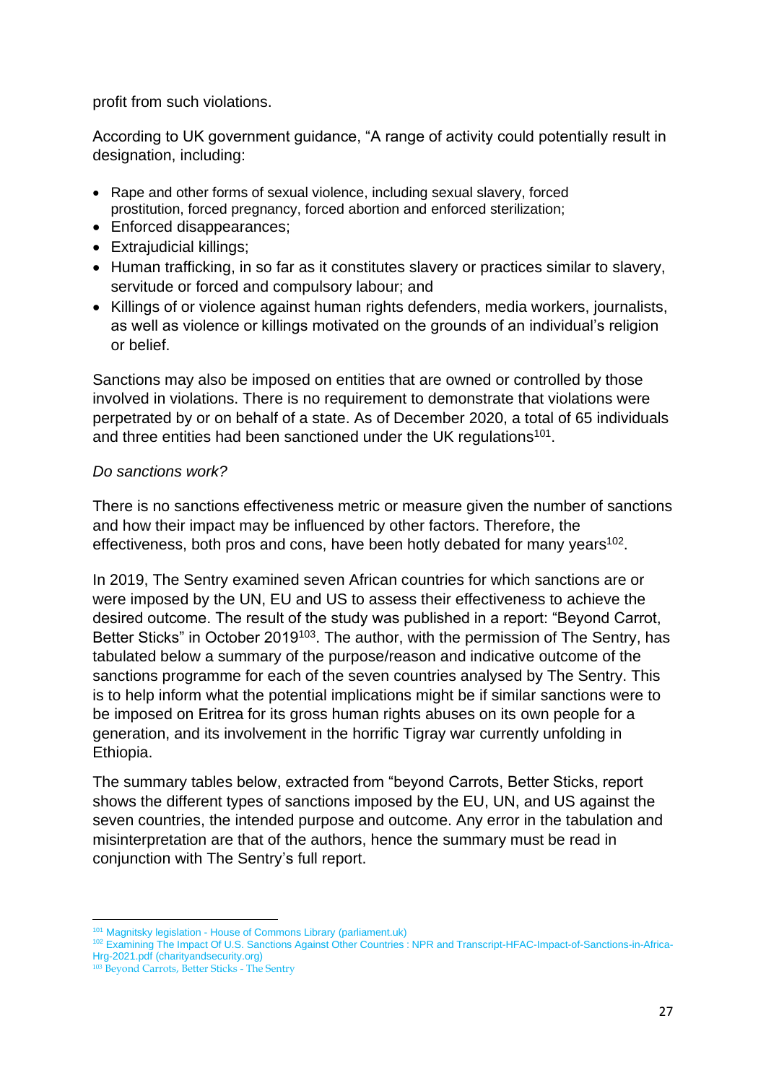profit from such violations.

According to UK government guidance, "A range of activity could potentially result in designation, including:

- Rape and other forms of sexual violence, including sexual slavery, forced prostitution, forced pregnancy, forced abortion and enforced sterilization;
- Enforced disappearances;
- Extrajudicial killings;
- Human trafficking, in so far as it constitutes slavery or practices similar to slavery, servitude or forced and compulsory labour; and
- Killings of or violence against human rights defenders, media workers, journalists, as well as violence or killings motivated on the grounds of an individual's religion or belief.

Sanctions may also be imposed on entities that are owned or controlled by those involved in violations. There is no requirement to demonstrate that violations were perpetrated by or on behalf of a state. As of December 2020, a total of 65 individuals and three entities had been sanctioned under the UK regulations<sup>101</sup>.

#### *Do sanctions work?*

There is no sanctions effectiveness metric or measure given the number of sanctions and how their impact may be influenced by other factors. Therefore, the effectiveness, both pros and cons, have been hotly debated for many years $102$ .

In 2019, The Sentry examined seven African countries for which sanctions are or were imposed by the UN, EU and US to assess their effectiveness to achieve the desired outcome. The result of the study was published in a report: "Beyond Carrot, Better Sticks" in October 2019<sup>103</sup>. The author, with the permission of The Sentry, has tabulated below a summary of the purpose/reason and indicative outcome of the sanctions programme for each of the seven countries analysed by The Sentry. This is to help inform what the potential implications might be if similar sanctions were to be imposed on Eritrea for its gross human rights abuses on its own people for a generation, and its involvement in the horrific Tigray war currently unfolding in Ethiopia.

The summary tables below, extracted from "beyond Carrots, Better Sticks, report shows the different types of sanctions imposed by the EU, UN, and US against the seven countries, the intended purpose and outcome. Any error in the tabulation and misinterpretation are that of the authors, hence the summary must be read in conjunction with The Sentry's full report.

<sup>&</sup>lt;sup>101</sup> Magnitsky legislation - [House of Commons Library \(parliament.uk\)](https://commonslibrary.parliament.uk/research-briefings/cbp-8374/)

<sup>102</sup> [Examining The Impact Of U.S. Sanctions Against Other Countries : NPR](https://www.npr.org/2018/12/14/676652881/looking-at-the-impact-of-u-s-sanctions-against-other-countries) and [Transcript-HFAC-Impact-of-Sanctions-in-Africa-](https://charityandsecurity.org/wp-content/uploads/2021/06/Transcript-HFAC-Impact-of-Sanctions-in-Africa-Hrg-2021.pdf)[Hrg-2021.pdf \(charityandsecurity.org\)](https://charityandsecurity.org/wp-content/uploads/2021/06/Transcript-HFAC-Impact-of-Sanctions-in-Africa-Hrg-2021.pdf)

<sup>103</sup> [Beyond Carrots, Better Sticks -](https://thesentry.org/reports/beyond-carrots-better-sticks/) The Sentry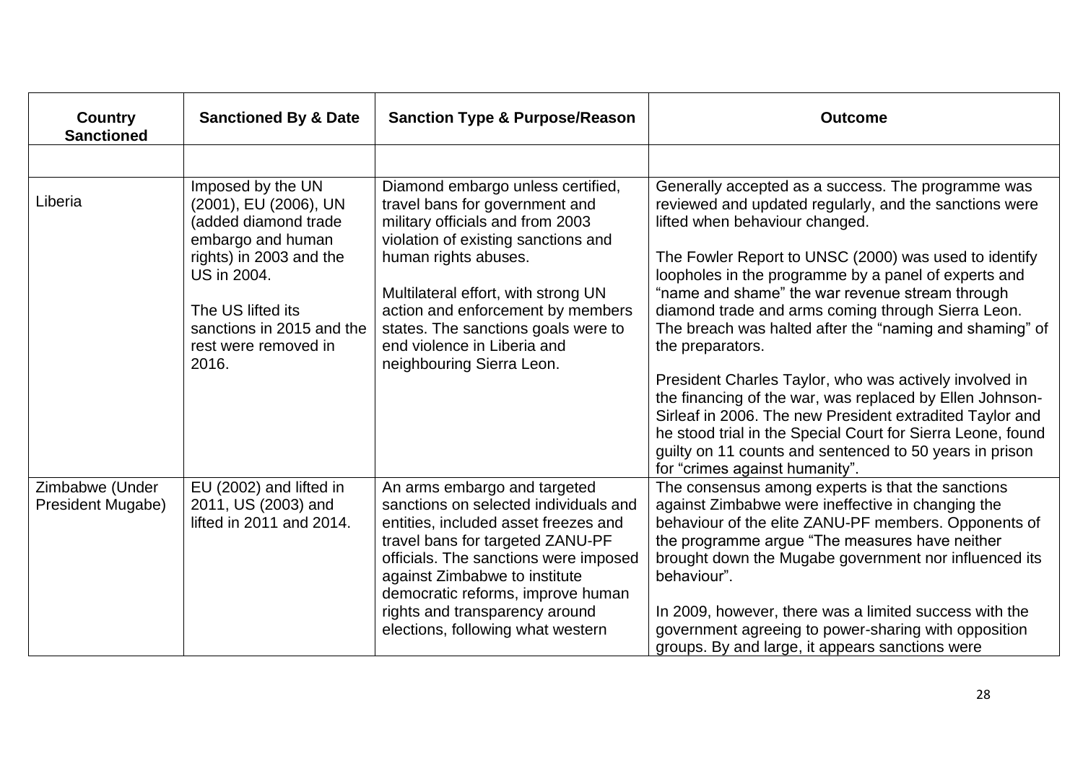| Country<br><b>Sanctioned</b>         | <b>Sanctioned By &amp; Date</b>                                                                                                                                                                                      | <b>Sanction Type &amp; Purpose/Reason</b>                                                                                                                                                                                                                                                                                                             | <b>Outcome</b>                                                                                                                                                                                                                                                                                                                                                                                                                                                                                                                                                                                                                            |
|--------------------------------------|----------------------------------------------------------------------------------------------------------------------------------------------------------------------------------------------------------------------|-------------------------------------------------------------------------------------------------------------------------------------------------------------------------------------------------------------------------------------------------------------------------------------------------------------------------------------------------------|-------------------------------------------------------------------------------------------------------------------------------------------------------------------------------------------------------------------------------------------------------------------------------------------------------------------------------------------------------------------------------------------------------------------------------------------------------------------------------------------------------------------------------------------------------------------------------------------------------------------------------------------|
|                                      |                                                                                                                                                                                                                      |                                                                                                                                                                                                                                                                                                                                                       |                                                                                                                                                                                                                                                                                                                                                                                                                                                                                                                                                                                                                                           |
| Liberia                              | Imposed by the UN<br>(2001), EU (2006), UN<br>(added diamond trade<br>embargo and human<br>rights) in 2003 and the<br>US in 2004.<br>The US lifted its<br>sanctions in 2015 and the<br>rest were removed in<br>2016. | Diamond embargo unless certified,<br>travel bans for government and<br>military officials and from 2003<br>violation of existing sanctions and<br>human rights abuses.<br>Multilateral effort, with strong UN<br>action and enforcement by members<br>states. The sanctions goals were to<br>end violence in Liberia and<br>neighbouring Sierra Leon. | Generally accepted as a success. The programme was<br>reviewed and updated regularly, and the sanctions were<br>lifted when behaviour changed.<br>The Fowler Report to UNSC (2000) was used to identify<br>loopholes in the programme by a panel of experts and<br>"name and shame" the war revenue stream through<br>diamond trade and arms coming through Sierra Leon.<br>The breach was halted after the "naming and shaming" of<br>the preparators.<br>President Charles Taylor, who was actively involved in<br>the financing of the war, was replaced by Ellen Johnson-<br>Sirleaf in 2006. The new President extradited Taylor and |
|                                      |                                                                                                                                                                                                                      |                                                                                                                                                                                                                                                                                                                                                       | he stood trial in the Special Court for Sierra Leone, found<br>guilty on 11 counts and sentenced to 50 years in prison<br>for "crimes against humanity".                                                                                                                                                                                                                                                                                                                                                                                                                                                                                  |
| Zimbabwe (Under<br>President Mugabe) | EU (2002) and lifted in<br>2011, US (2003) and<br>lifted in 2011 and 2014.                                                                                                                                           | An arms embargo and targeted<br>sanctions on selected individuals and<br>entities, included asset freezes and<br>travel bans for targeted ZANU-PF<br>officials. The sanctions were imposed<br>against Zimbabwe to institute<br>democratic reforms, improve human<br>rights and transparency around<br>elections, following what western               | The consensus among experts is that the sanctions<br>against Zimbabwe were ineffective in changing the<br>behaviour of the elite ZANU-PF members. Opponents of<br>the programme argue "The measures have neither<br>brought down the Mugabe government nor influenced its<br>behaviour".<br>In 2009, however, there was a limited success with the<br>government agreeing to power-sharing with opposition<br>groups. By and large, it appears sanctions were                                                                                                                                                                             |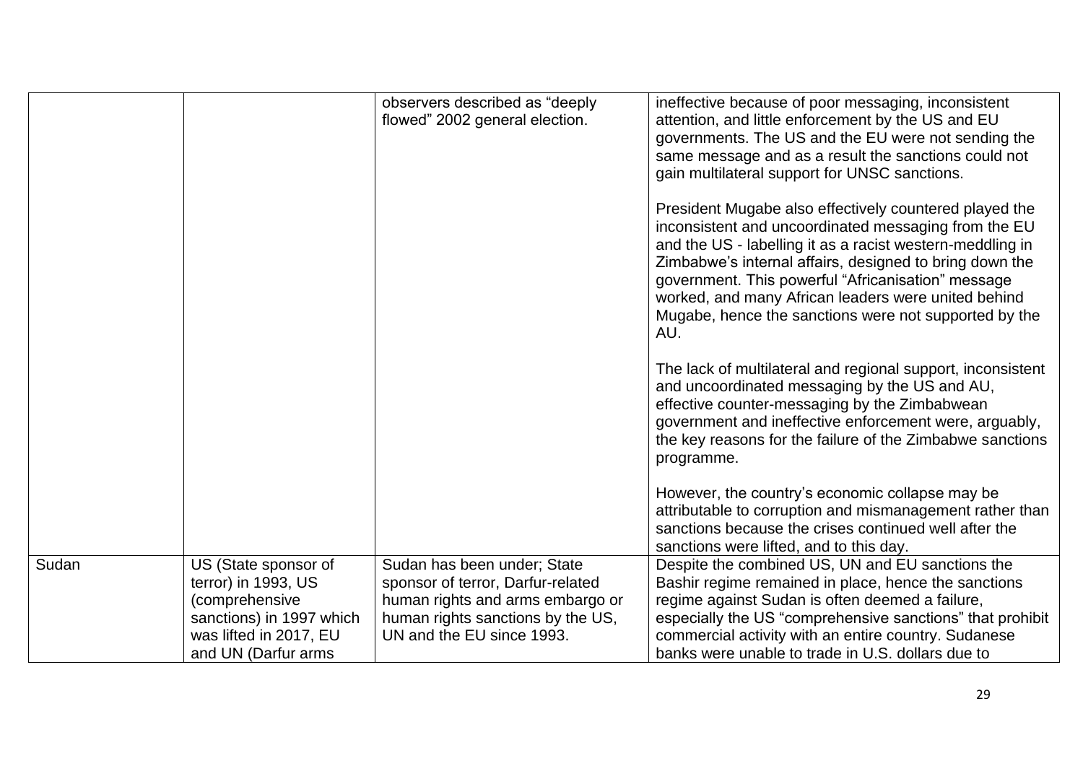|       |                                                                                                                                            | observers described as "deeply<br>flowed" 2002 general election.                                                                                                       | ineffective because of poor messaging, inconsistent<br>attention, and little enforcement by the US and EU<br>governments. The US and the EU were not sending the<br>same message and as a result the sanctions could not<br>gain multilateral support for UNSC sanctions.<br>President Mugabe also effectively countered played the<br>inconsistent and uncoordinated messaging from the EU<br>and the US - labelling it as a racist western-meddling in<br>Zimbabwe's internal affairs, designed to bring down the<br>government. This powerful "Africanisation" message<br>worked, and many African leaders were united behind<br>Mugabe, hence the sanctions were not supported by the<br>AU.<br>The lack of multilateral and regional support, inconsistent<br>and uncoordinated messaging by the US and AU,<br>effective counter-messaging by the Zimbabwean<br>government and ineffective enforcement were, arguably,<br>the key reasons for the failure of the Zimbabwe sanctions<br>programme. |
|-------|--------------------------------------------------------------------------------------------------------------------------------------------|------------------------------------------------------------------------------------------------------------------------------------------------------------------------|--------------------------------------------------------------------------------------------------------------------------------------------------------------------------------------------------------------------------------------------------------------------------------------------------------------------------------------------------------------------------------------------------------------------------------------------------------------------------------------------------------------------------------------------------------------------------------------------------------------------------------------------------------------------------------------------------------------------------------------------------------------------------------------------------------------------------------------------------------------------------------------------------------------------------------------------------------------------------------------------------------|
|       |                                                                                                                                            |                                                                                                                                                                        | However, the country's economic collapse may be<br>attributable to corruption and mismanagement rather than<br>sanctions because the crises continued well after the<br>sanctions were lifted, and to this day.                                                                                                                                                                                                                                                                                                                                                                                                                                                                                                                                                                                                                                                                                                                                                                                        |
| Sudan | US (State sponsor of<br>terror) in 1993, US<br>(comprehensive<br>sanctions) in 1997 which<br>was lifted in 2017, EU<br>and UN (Darfur arms | Sudan has been under; State<br>sponsor of terror, Darfur-related<br>human rights and arms embargo or<br>human rights sanctions by the US,<br>UN and the EU since 1993. | Despite the combined US, UN and EU sanctions the<br>Bashir regime remained in place, hence the sanctions<br>regime against Sudan is often deemed a failure,<br>especially the US "comprehensive sanctions" that prohibit<br>commercial activity with an entire country. Sudanese<br>banks were unable to trade in U.S. dollars due to                                                                                                                                                                                                                                                                                                                                                                                                                                                                                                                                                                                                                                                                  |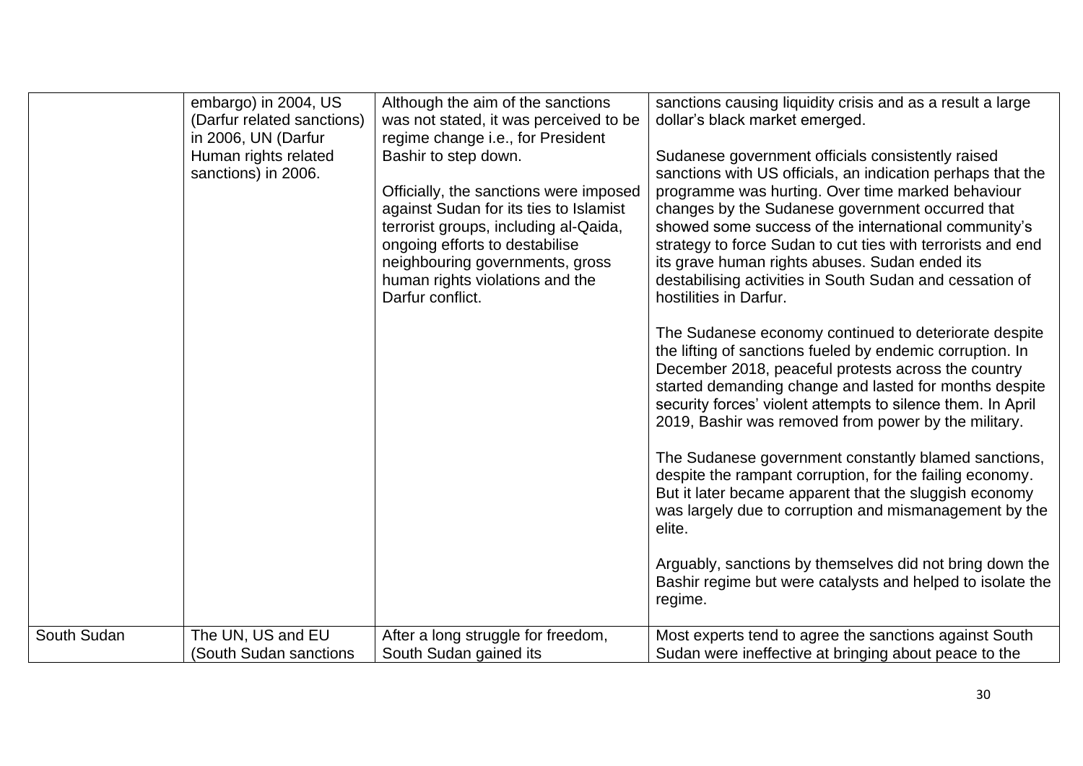| embargo) in 2004, US<br>sanctions causing liquidity crisis and as a result a large<br>Although the aim of the sanctions<br>(Darfur related sanctions)<br>was not stated, it was perceived to be<br>dollar's black market emerged.<br>in 2006, UN (Darfur<br>regime change i.e., for President<br>Bashir to step down.<br>Human rights related<br>Sudanese government officials consistently raised                                                                                                                                                                                                                                                                                                                                                                                                                                                                                                                                                                                                                                                                                                                                                                                                                                                                                                                                                                                                                                                                       |                                                       |
|--------------------------------------------------------------------------------------------------------------------------------------------------------------------------------------------------------------------------------------------------------------------------------------------------------------------------------------------------------------------------------------------------------------------------------------------------------------------------------------------------------------------------------------------------------------------------------------------------------------------------------------------------------------------------------------------------------------------------------------------------------------------------------------------------------------------------------------------------------------------------------------------------------------------------------------------------------------------------------------------------------------------------------------------------------------------------------------------------------------------------------------------------------------------------------------------------------------------------------------------------------------------------------------------------------------------------------------------------------------------------------------------------------------------------------------------------------------------------|-------------------------------------------------------|
| sanctions) in 2006.<br>sanctions with US officials, an indication perhaps that the<br>programme was hurting. Over time marked behaviour<br>Officially, the sanctions were imposed<br>changes by the Sudanese government occurred that<br>against Sudan for its ties to Islamist<br>terrorist groups, including al-Qaida,<br>showed some success of the international community's<br>ongoing efforts to destabilise<br>strategy to force Sudan to cut ties with terrorists and end<br>neighbouring governments, gross<br>its grave human rights abuses. Sudan ended its<br>human rights violations and the<br>destabilising activities in South Sudan and cessation of<br>Darfur conflict.<br>hostilities in Darfur.<br>The Sudanese economy continued to deteriorate despite<br>the lifting of sanctions fueled by endemic corruption. In<br>December 2018, peaceful protests across the country<br>started demanding change and lasted for months despite<br>security forces' violent attempts to silence them. In April<br>2019, Bashir was removed from power by the military.<br>The Sudanese government constantly blamed sanctions,<br>despite the rampant corruption, for the failing economy.<br>But it later became apparent that the sluggish economy<br>was largely due to corruption and mismanagement by the<br>elite.<br>Arguably, sanctions by themselves did not bring down the<br>Bashir regime but were catalysts and helped to isolate the<br>regime. |                                                       |
| South Sudan<br>The UN, US and EU<br>Most experts tend to agree the sanctions against South<br>After a long struggle for freedom,                                                                                                                                                                                                                                                                                                                                                                                                                                                                                                                                                                                                                                                                                                                                                                                                                                                                                                                                                                                                                                                                                                                                                                                                                                                                                                                                         |                                                       |
| (South Sudan sanctions<br>South Sudan gained its                                                                                                                                                                                                                                                                                                                                                                                                                                                                                                                                                                                                                                                                                                                                                                                                                                                                                                                                                                                                                                                                                                                                                                                                                                                                                                                                                                                                                         | Sudan were ineffective at bringing about peace to the |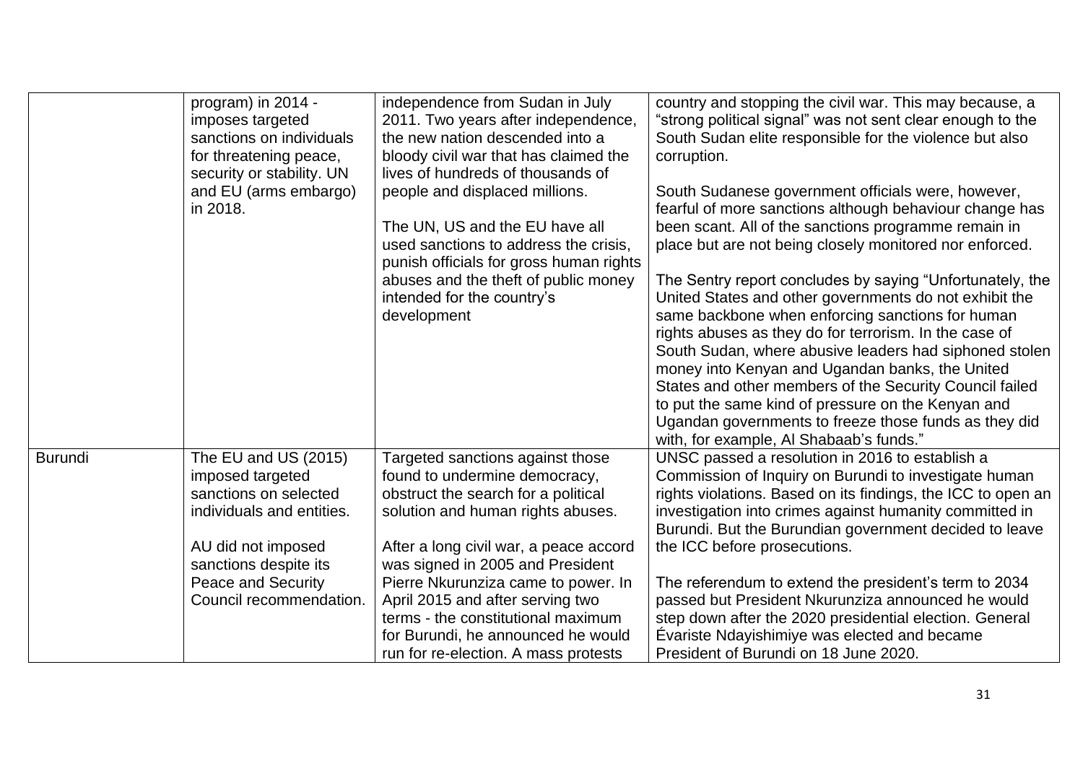|                | program) in 2014 -<br>imposes targeted<br>sanctions on individuals<br>for threatening peace,<br>security or stability. UN<br>and EU (arms embargo)<br>in 2018. | independence from Sudan in July<br>2011. Two years after independence,<br>the new nation descended into a<br>bloody civil war that has claimed the<br>lives of hundreds of thousands of<br>people and displaced millions.<br>The UN, US and the EU have all<br>used sanctions to address the crisis,<br>punish officials for gross human rights<br>abuses and the theft of public money<br>intended for the country's<br>development | country and stopping the civil war. This may because, a<br>"strong political signal" was not sent clear enough to the<br>South Sudan elite responsible for the violence but also<br>corruption.<br>South Sudanese government officials were, however,<br>fearful of more sanctions although behaviour change has<br>been scant. All of the sanctions programme remain in<br>place but are not being closely monitored nor enforced.<br>The Sentry report concludes by saying "Unfortunately, the<br>United States and other governments do not exhibit the<br>same backbone when enforcing sanctions for human<br>rights abuses as they do for terrorism. In the case of<br>South Sudan, where abusive leaders had siphoned stolen |
|----------------|----------------------------------------------------------------------------------------------------------------------------------------------------------------|--------------------------------------------------------------------------------------------------------------------------------------------------------------------------------------------------------------------------------------------------------------------------------------------------------------------------------------------------------------------------------------------------------------------------------------|------------------------------------------------------------------------------------------------------------------------------------------------------------------------------------------------------------------------------------------------------------------------------------------------------------------------------------------------------------------------------------------------------------------------------------------------------------------------------------------------------------------------------------------------------------------------------------------------------------------------------------------------------------------------------------------------------------------------------------|
|                |                                                                                                                                                                |                                                                                                                                                                                                                                                                                                                                                                                                                                      | money into Kenyan and Ugandan banks, the United<br>States and other members of the Security Council failed<br>to put the same kind of pressure on the Kenyan and<br>Ugandan governments to freeze those funds as they did<br>with, for example, AI Shabaab's funds."                                                                                                                                                                                                                                                                                                                                                                                                                                                               |
| <b>Burundi</b> | The EU and US (2015)<br>imposed targeted<br>sanctions on selected<br>individuals and entities.                                                                 | Targeted sanctions against those<br>found to undermine democracy,<br>obstruct the search for a political<br>solution and human rights abuses.                                                                                                                                                                                                                                                                                        | UNSC passed a resolution in 2016 to establish a<br>Commission of Inquiry on Burundi to investigate human<br>rights violations. Based on its findings, the ICC to open an<br>investigation into crimes against humanity committed in<br>Burundi. But the Burundian government decided to leave                                                                                                                                                                                                                                                                                                                                                                                                                                      |
|                | AU did not imposed<br>sanctions despite its<br>Peace and Security<br>Council recommendation.                                                                   | After a long civil war, a peace accord<br>was signed in 2005 and President<br>Pierre Nkurunziza came to power. In<br>April 2015 and after serving two<br>terms - the constitutional maximum<br>for Burundi, he announced he would<br>run for re-election. A mass protests                                                                                                                                                            | the ICC before prosecutions.<br>The referendum to extend the president's term to 2034<br>passed but President Nkurunziza announced he would<br>step down after the 2020 presidential election. General<br>Évariste Ndayishimiye was elected and became<br>President of Burundi on 18 June 2020.                                                                                                                                                                                                                                                                                                                                                                                                                                    |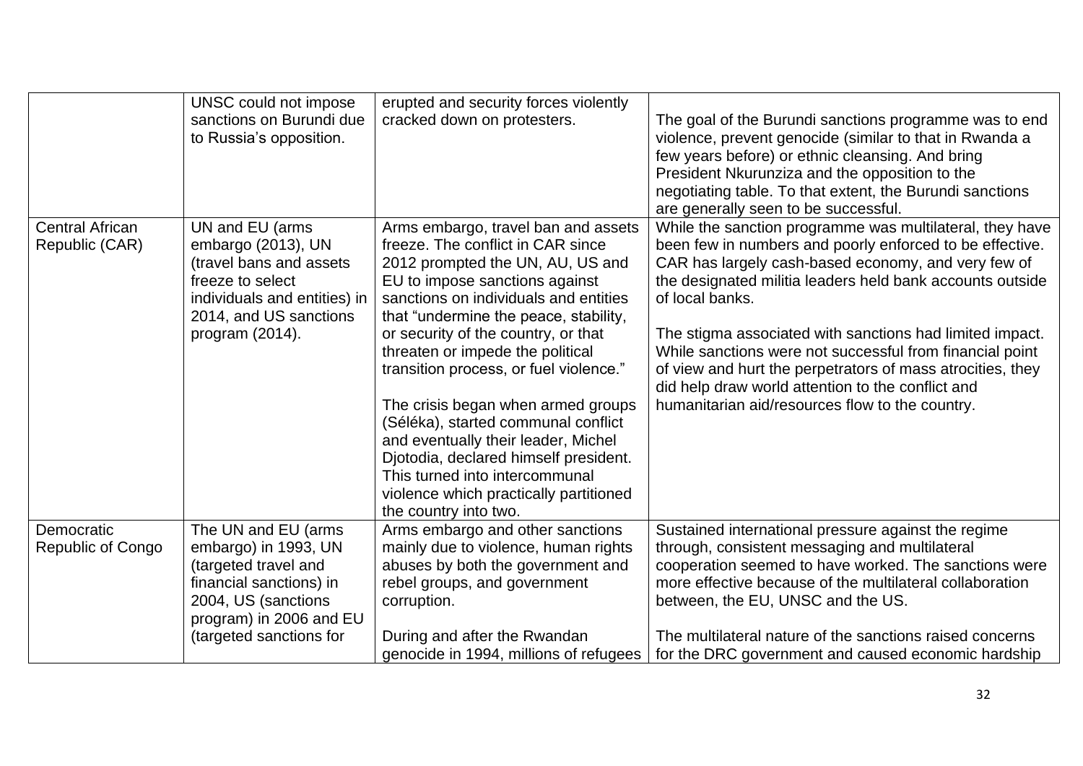|                                          | UNSC could not impose<br>sanctions on Burundi due<br>to Russia's opposition.                                                                                                | erupted and security forces violently<br>cracked down on protesters.                                                                                                                                                                                                                                                                                                                                                                                                                                                                                                                                                    | The goal of the Burundi sanctions programme was to end<br>violence, prevent genocide (similar to that in Rwanda a<br>few years before) or ethnic cleansing. And bring<br>President Nkurunziza and the opposition to the<br>negotiating table. To that extent, the Burundi sanctions<br>are generally seen to be successful.                                                                                                                                                                                                                               |
|------------------------------------------|-----------------------------------------------------------------------------------------------------------------------------------------------------------------------------|-------------------------------------------------------------------------------------------------------------------------------------------------------------------------------------------------------------------------------------------------------------------------------------------------------------------------------------------------------------------------------------------------------------------------------------------------------------------------------------------------------------------------------------------------------------------------------------------------------------------------|-----------------------------------------------------------------------------------------------------------------------------------------------------------------------------------------------------------------------------------------------------------------------------------------------------------------------------------------------------------------------------------------------------------------------------------------------------------------------------------------------------------------------------------------------------------|
| <b>Central African</b><br>Republic (CAR) | UN and EU (arms<br>embargo (2013), UN<br>(travel bans and assets<br>freeze to select<br>individuals and entities) in<br>2014, and US sanctions<br>program (2014).           | Arms embargo, travel ban and assets<br>freeze. The conflict in CAR since<br>2012 prompted the UN, AU, US and<br>EU to impose sanctions against<br>sanctions on individuals and entities<br>that "undermine the peace, stability,<br>or security of the country, or that<br>threaten or impede the political<br>transition process, or fuel violence."<br>The crisis began when armed groups<br>(Séléka), started communal conflict<br>and eventually their leader, Michel<br>Djotodia, declared himself president.<br>This turned into intercommunal<br>violence which practically partitioned<br>the country into two. | While the sanction programme was multilateral, they have<br>been few in numbers and poorly enforced to be effective.<br>CAR has largely cash-based economy, and very few of<br>the designated militia leaders held bank accounts outside<br>of local banks.<br>The stigma associated with sanctions had limited impact.<br>While sanctions were not successful from financial point<br>of view and hurt the perpetrators of mass atrocities, they<br>did help draw world attention to the conflict and<br>humanitarian aid/resources flow to the country. |
| Democratic<br>Republic of Congo          | The UN and EU (arms<br>embargo) in 1993, UN<br>(targeted travel and<br>financial sanctions) in<br>2004, US (sanctions<br>program) in 2006 and EU<br>(targeted sanctions for | Arms embargo and other sanctions<br>mainly due to violence, human rights<br>abuses by both the government and<br>rebel groups, and government<br>corruption.<br>During and after the Rwandan<br>genocide in 1994, millions of refugees                                                                                                                                                                                                                                                                                                                                                                                  | Sustained international pressure against the regime<br>through, consistent messaging and multilateral<br>cooperation seemed to have worked. The sanctions were<br>more effective because of the multilateral collaboration<br>between, the EU, UNSC and the US.<br>The multilateral nature of the sanctions raised concerns<br>for the DRC government and caused economic hardship                                                                                                                                                                        |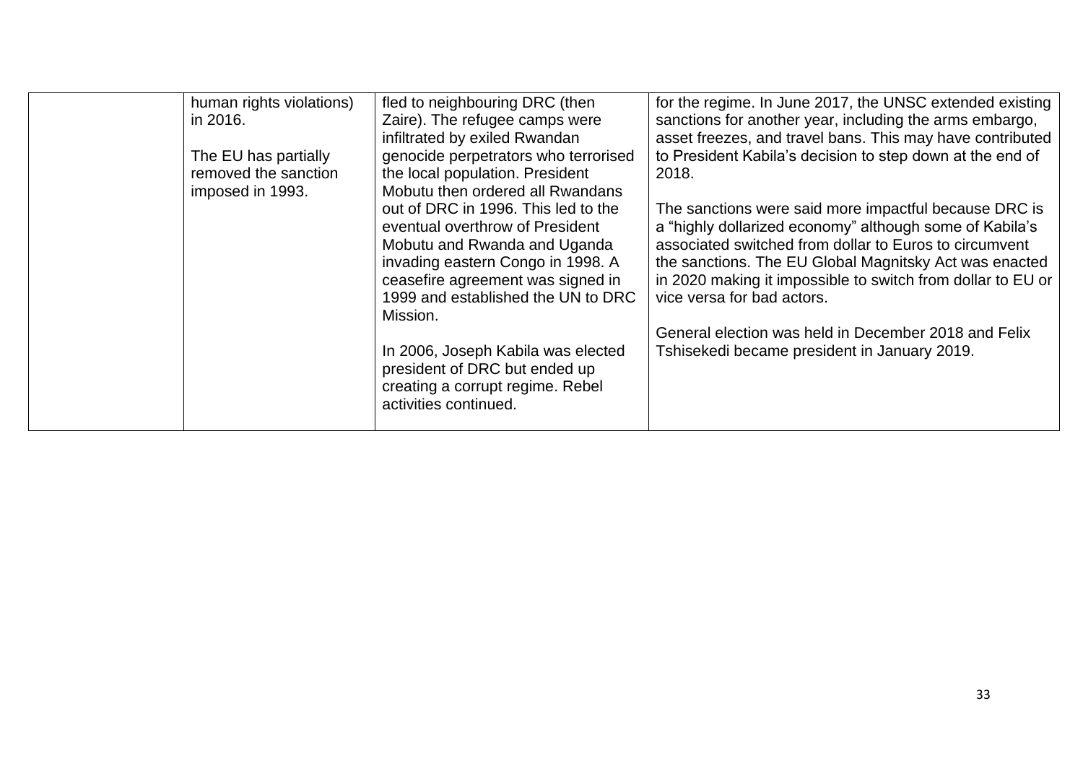| human rights violations)<br>in 2016.<br>The EU has partially<br>removed the sanction<br>imposed in 1993.<br>activities continued. | fled to neighbouring DRC (then<br>Zaire). The refugee camps were<br>infiltrated by exiled Rwandan<br>genocide perpetrators who terrorised<br>the local population. President<br>Mobutu then ordered all Rwandans<br>out of DRC in 1996. This led to the<br>eventual overthrow of President<br>Mobutu and Rwanda and Uganda<br>invading eastern Congo in 1998. A<br>ceasefire agreement was signed in<br>1999 and established the UN to DRC<br>Mission.<br>In 2006, Joseph Kabila was elected<br>president of DRC but ended up<br>creating a corrupt regime. Rebel | for the regime. In June 2017, the UNSC extended existing<br>sanctions for another year, including the arms embargo,<br>asset freezes, and travel bans. This may have contributed<br>to President Kabila's decision to step down at the end of<br>2018.<br>The sanctions were said more impactful because DRC is<br>a "highly dollarized economy" although some of Kabila's<br>associated switched from dollar to Euros to circumvent<br>the sanctions. The EU Global Magnitsky Act was enacted<br>in 2020 making it impossible to switch from dollar to EU or<br>vice versa for bad actors.<br>General election was held in December 2018 and Felix<br>Tshisekedi became president in January 2019. |
|-----------------------------------------------------------------------------------------------------------------------------------|-------------------------------------------------------------------------------------------------------------------------------------------------------------------------------------------------------------------------------------------------------------------------------------------------------------------------------------------------------------------------------------------------------------------------------------------------------------------------------------------------------------------------------------------------------------------|-----------------------------------------------------------------------------------------------------------------------------------------------------------------------------------------------------------------------------------------------------------------------------------------------------------------------------------------------------------------------------------------------------------------------------------------------------------------------------------------------------------------------------------------------------------------------------------------------------------------------------------------------------------------------------------------------------|
|-----------------------------------------------------------------------------------------------------------------------------------|-------------------------------------------------------------------------------------------------------------------------------------------------------------------------------------------------------------------------------------------------------------------------------------------------------------------------------------------------------------------------------------------------------------------------------------------------------------------------------------------------------------------------------------------------------------------|-----------------------------------------------------------------------------------------------------------------------------------------------------------------------------------------------------------------------------------------------------------------------------------------------------------------------------------------------------------------------------------------------------------------------------------------------------------------------------------------------------------------------------------------------------------------------------------------------------------------------------------------------------------------------------------------------------|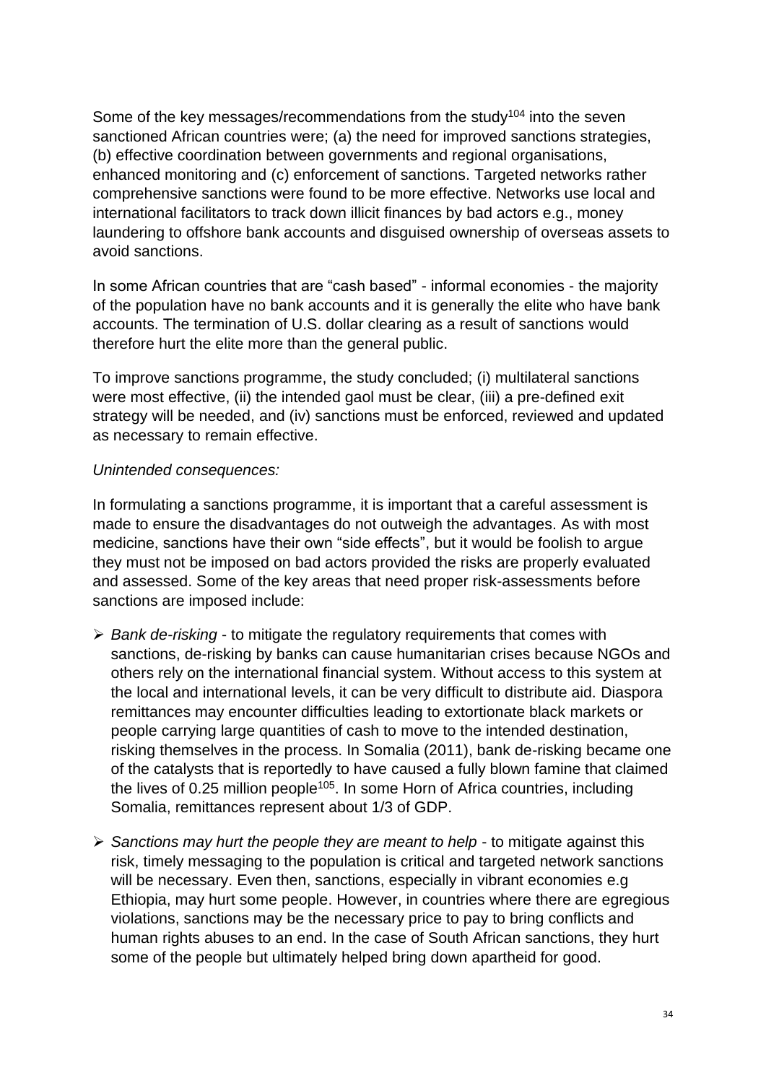Some of the key messages/recommendations from the study<sup>104</sup> into the seven sanctioned African countries were; (a) the need for improved sanctions strategies, (b) effective coordination between governments and regional organisations, enhanced monitoring and (c) enforcement of sanctions. Targeted networks rather comprehensive sanctions were found to be more effective. Networks use local and international facilitators to track down illicit finances by bad actors e.g., money laundering to offshore bank accounts and disguised ownership of overseas assets to avoid sanctions.

In some African countries that are "cash based" - informal economies - the majority of the population have no bank accounts and it is generally the elite who have bank accounts. The termination of U.S. dollar clearing as a result of sanctions would therefore hurt the elite more than the general public.

To improve sanctions programme, the study concluded; (i) multilateral sanctions were most effective, (ii) the intended gaol must be clear, (iii) a pre-defined exit strategy will be needed, and (iv) sanctions must be enforced, reviewed and updated as necessary to remain effective.

#### *Unintended consequences:*

In formulating a sanctions programme, it is important that a careful assessment is made to ensure the disadvantages do not outweigh the advantages. As with most medicine, sanctions have their own "side effects", but it would be foolish to argue they must not be imposed on bad actors provided the risks are properly evaluated and assessed. Some of the key areas that need proper risk-assessments before sanctions are imposed include:

- ➢ *Bank de-risking* to mitigate the regulatory requirements that comes with sanctions, de-risking by banks can cause humanitarian crises because NGOs and others rely on the international financial system. Without access to this system at the local and international levels, it can be very difficult to distribute aid. Diaspora remittances may encounter difficulties leading to extortionate black markets or people carrying large quantities of cash to move to the intended destination, risking themselves in the process. In Somalia (2011), bank de-risking became one of the catalysts that is reportedly to have caused a fully blown famine that claimed the lives of 0.25 million people<sup>105</sup>. In some Horn of Africa countries, including Somalia, remittances represent about 1/3 of GDP.
- ➢ *Sanctions may hurt the people they are meant to help* to mitigate against this risk, timely messaging to the population is critical and targeted network sanctions will be necessary. Even then, sanctions, especially in vibrant economies e.g. Ethiopia, may hurt some people. However, in countries where there are egregious violations, sanctions may be the necessary price to pay to bring conflicts and human rights abuses to an end. In the case of South African sanctions, they hurt some of the people but ultimately helped bring down apartheid for good.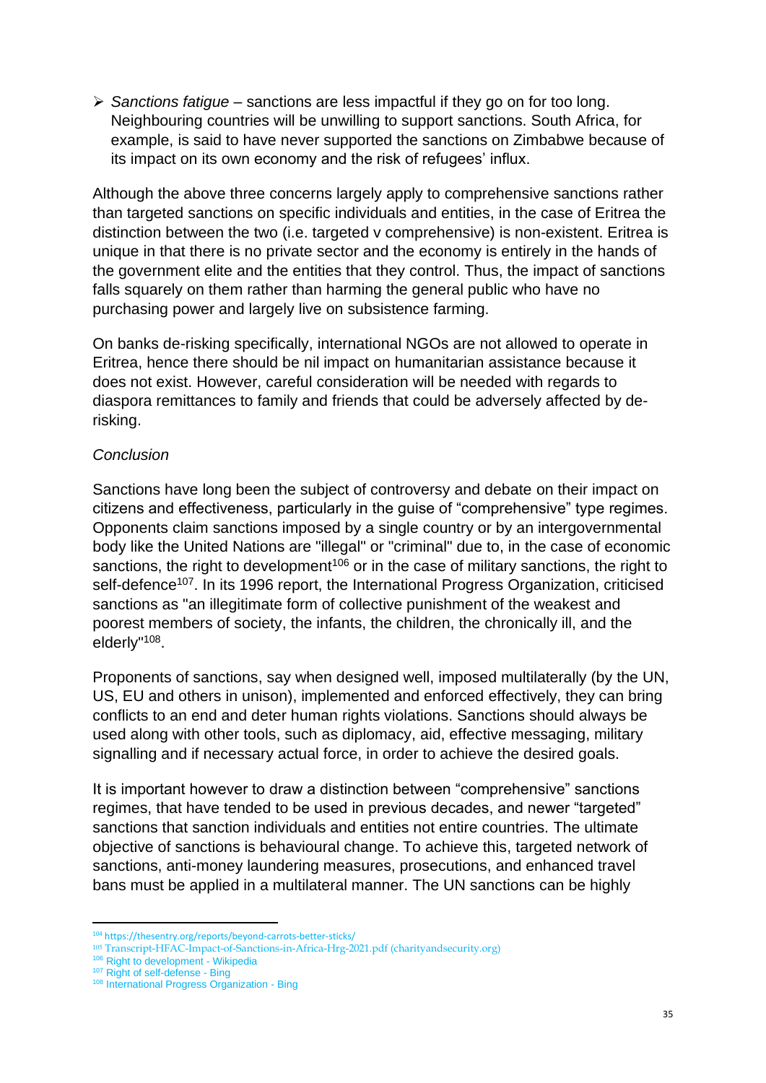➢ *Sanctions fatigue* – sanctions are less impactful if they go on for too long. Neighbouring countries will be unwilling to support sanctions. South Africa, for example, is said to have never supported the sanctions on Zimbabwe because of its impact on its own economy and the risk of refugees' influx.

Although the above three concerns largely apply to comprehensive sanctions rather than targeted sanctions on specific individuals and entities, in the case of Eritrea the distinction between the two (i.e. targeted v comprehensive) is non-existent. Eritrea is unique in that there is no private sector and the economy is entirely in the hands of the government elite and the entities that they control. Thus, the impact of sanctions falls squarely on them rather than harming the general public who have no purchasing power and largely live on subsistence farming.

On banks de-risking specifically, international NGOs are not allowed to operate in Eritrea, hence there should be nil impact on humanitarian assistance because it does not exist. However, careful consideration will be needed with regards to diaspora remittances to family and friends that could be adversely affected by derisking.

### *Conclusion*

Sanctions have long been the subject of controversy and debate on their impact on citizens and effectiveness, particularly in the guise of "comprehensive" type regimes. Opponents claim sanctions imposed by a single country or by an intergovernmental body like the United Nations are "illegal" or "criminal" due to, in the case of economic sanctions, the right to development<sup>106</sup> or in the case of military sanctions, the right to self-defence<sup>107</sup>. In its 1996 report, the International Progress Organization, criticised sanctions as "an illegitimate form of collective punishment of the weakest and poorest members of society, the infants, the children, the chronically ill, and the elderly"<sup>108</sup>.

Proponents of sanctions, say when designed well, imposed multilaterally (by the UN, US, EU and others in unison), implemented and enforced effectively, they can bring conflicts to an end and deter human rights violations. Sanctions should always be used along with other tools, such as diplomacy, aid, effective messaging, military signalling and if necessary actual force, in order to achieve the desired goals.

It is important however to draw a distinction between "comprehensive" sanctions regimes, that have tended to be used in previous decades, and newer "targeted" sanctions that sanction individuals and entities not entire countries. The ultimate objective of sanctions is behavioural change. To achieve this, targeted network of sanctions, anti-money laundering measures, prosecutions, and enhanced travel bans must be applied in a multilateral manner. The UN sanctions can be highly

<sup>104</sup> https://thesentry.org/reports/beyond-carrots-better-sticks/

<sup>105</sup> [Transcript-HFAC-Impact-of-Sanctions-in-Africa-Hrg-2021.pdf \(charityandsecurity.org\)](https://charityandsecurity.org/wp-content/uploads/2021/06/Transcript-HFAC-Impact-of-Sanctions-in-Africa-Hrg-2021.pdf)

<sup>&</sup>lt;sup>106</sup> [Right to development -](https://en.wikipedia.org/wiki/Right_to_development#:~:text=The%20right%20to%20development%20is%20a%20human%20right,Rights%20as%20a%20definitive%20individual%20and%20collective%20right.) Wikipedia

<sup>&</sup>lt;sup>107</sup> [Right of self-defense -](https://www.bing.com/search?q=Right+of+self-defense&cvid=b46bd3541b9c484d9a5c2a4a5572583b&aqs=edge..69i57j0l8.1460j0j9&FORM=ANAB01&PC=HCTS) Bing

<sup>108</sup> [International Progress Organization -](https://www.bing.com/search?q=International+Progress+Organization&cvid=5e5d30605d33467b9c544133792ca3df&aqs=edge..69i57j69i64.1448j0j9&FORM=ANAB01&PC=HCTS) Bing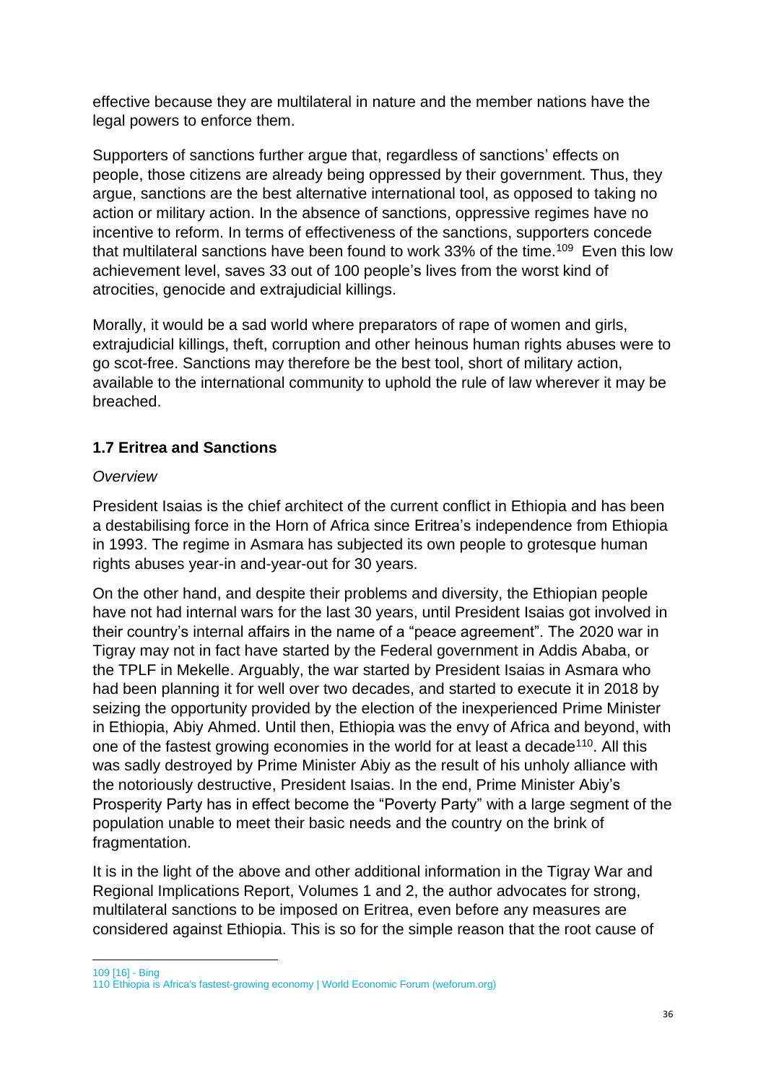effective because they are multilateral in nature and the member nations have the legal powers to enforce them.

Supporters of sanctions further argue that, regardless of sanctions' effects on people, those citizens are already being oppressed by their government. Thus, they argue, sanctions are the best alternative international tool, as opposed to taking no action or military action. In the absence of sanctions, oppressive regimes have no incentive to reform. In terms of effectiveness of the sanctions, supporters concede that multilateral sanctions have been found to work 33% of the time.<sup>109</sup> Even this low achievement level, saves 33 out of 100 people's lives from the worst kind of atrocities, genocide and extrajudicial killings.

Morally, it would be a sad world where preparators of rape of women and girls, extrajudicial killings, theft, corruption and other heinous human rights abuses were to go scot-free. Sanctions may therefore be the best tool, short of military action, available to the international community to uphold the rule of law wherever it may be breached.

# **1.7 Eritrea and Sanctions**

### *Overview*

President Isaias is the chief architect of the current conflict in Ethiopia and has been a destabilising force in the Horn of Africa since Eritrea's independence from Ethiopia in 1993. The regime in Asmara has subjected its own people to grotesque human rights abuses year-in and-year-out for 30 years.

On the other hand, and despite their problems and diversity, the Ethiopian people have not had internal wars for the last 30 years, until President Isaias got involved in their country's internal affairs in the name of a "peace agreement". The 2020 war in Tigray may not in fact have started by the Federal government in Addis Ababa, or the TPLF in Mekelle. Arguably, the war started by President Isaias in Asmara who had been planning it for well over two decades, and started to execute it in 2018 by seizing the opportunity provided by the election of the inexperienced Prime Minister in Ethiopia, Abiy Ahmed. Until then, Ethiopia was the envy of Africa and beyond, with one of the fastest growing economies in the world for at least a decade<sup>110</sup>. All this was sadly destroyed by Prime Minister Abiy as the result of his unholy alliance with the notoriously destructive, President Isaias. In the end, Prime Minister Abiy's Prosperity Party has in effect become the "Poverty Party" with a large segment of the population unable to meet their basic needs and the country on the brink of fragmentation.

It is in the light of the above and other additional information in the Tigray War and Regional Implications Report, Volumes 1 and 2, the author advocates for strong, multilateral sanctions to be imposed on Eritrea, even before any measures are considered against Ethiopia. This is so for the simple reason that the root cause of

109 [\[16\] -](https://www.bing.com/search?q=%5B16%5D&cvid=653b626820654837957a791eaacbe506&aqs=edge..69i57j0l8.1636j0j9&FORM=ANAB01&PC=HCTS) Bing

<sup>110</sup> [Ethiopia is Africa's fastest-growing economy | World Economic Forum \(weforum.org\)](https://www.weforum.org/agenda/2018/05/ethiopia-africa-fastest-growing-economy/)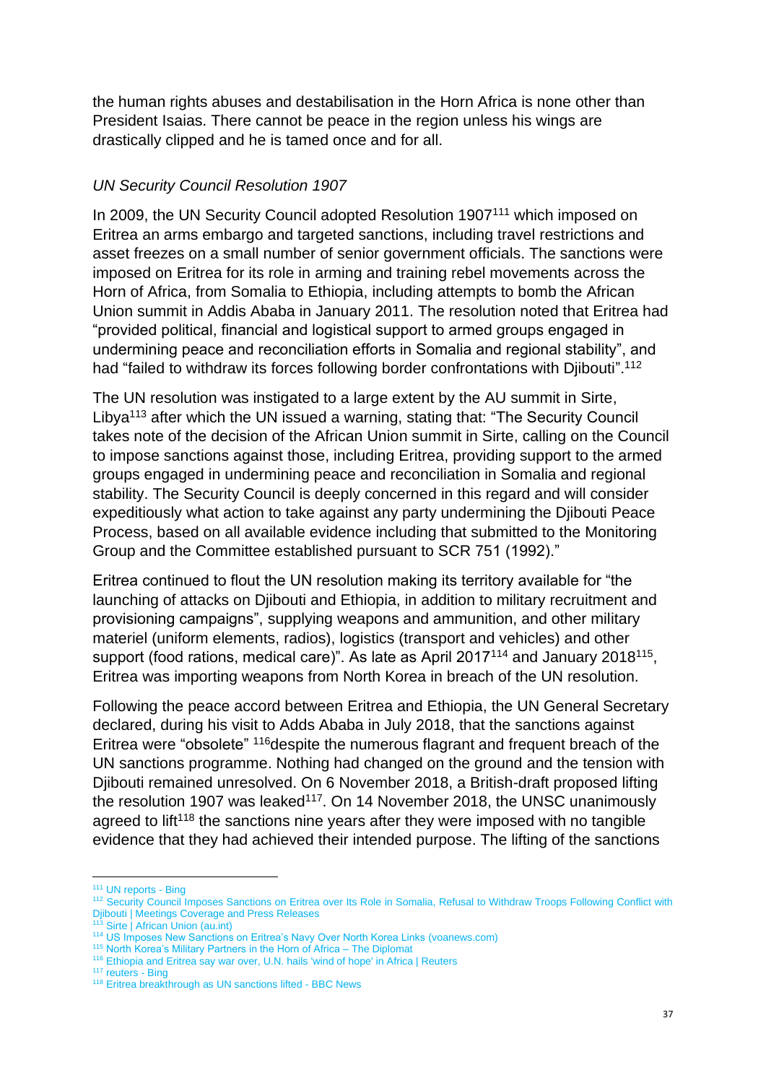the human rights abuses and destabilisation in the Horn Africa is none other than President Isaias. There cannot be peace in the region unless his wings are drastically clipped and he is tamed once and for all.

### *UN Security Council Resolution 1907*

In 2009, the UN Security Council adopted Resolution 1907<sup>111</sup> which imposed on Eritrea an arms embargo and targeted sanctions, including travel restrictions and asset freezes on a small number of senior government officials. The sanctions were imposed on Eritrea for its role in arming and training rebel movements across the Horn of Africa, from Somalia to Ethiopia, including attempts to bomb the African Union summit in Addis Ababa in January 2011. The resolution noted that Eritrea had "provided political, financial and logistical support to armed groups engaged in undermining peace and reconciliation efforts in Somalia and regional stability", and had "failed to withdraw its forces following border confrontations with Djibouti".<sup>112</sup>

The UN resolution was instigated to a large extent by the AU summit in Sirte, Libya<sup>113</sup> after which the UN issued a warning, stating that: "The Security Council takes note of the decision of the African Union summit in Sirte, calling on the Council to impose sanctions against those, including Eritrea, providing support to the armed groups engaged in undermining peace and reconciliation in Somalia and regional stability. The Security Council is deeply concerned in this regard and will consider expeditiously what action to take against any party undermining the Djibouti Peace Process, based on all available evidence including that submitted to the Monitoring Group and the Committee established pursuant to SCR 751 (1992)."

Eritrea continued to flout the UN resolution making its territory available for "the launching of attacks on Djibouti and Ethiopia, in addition to military recruitment and provisioning campaigns", supplying weapons and ammunition, and other military materiel (uniform elements, radios), logistics (transport and vehicles) and other support (food rations, medical care)". As late as April 2017<sup>114</sup> and January 2018<sup>115</sup>, Eritrea was importing weapons from North Korea in breach of the UN resolution.

Following the peace accord between Eritrea and Ethiopia, the UN General Secretary declared, during his visit to Adds Ababa in July 2018, that the sanctions against Eritrea were "obsolete" <sup>116</sup>despite the numerous flagrant and frequent breach of the UN sanctions programme. Nothing had changed on the ground and the tension with Djibouti remained unresolved. On 6 November 2018, a British-draft proposed lifting the resolution 1907 was leaked<sup>117</sup>. On 14 November 2018, the UNSC unanimously agreed to lift<sup>118</sup> the sanctions nine years after they were imposed with no tangible evidence that they had achieved their intended purpose. The lifting of the sanctions

<sup>111</sup> [UN reports -](https://www.bing.com/search?q=UN+reports&cvid=76c866cd4ac44f58978e3c60909827a5&aqs=edge..69i57j0l5j69i64.1288j0j1&pglt=299&FORM=ANNTA1&PC=HCTS) Bing

<sup>112</sup> Security Council Imposes Sanctions on Eritrea over Its Role in Somalia, Refusal to Withdraw Troops Following Conflict with [Djibouti | Meetings Coverage and Press Releases](https://www.un.org/press/en/2009/sc9833.doc.htm)

[Sirte | African Union \(au.int\)](https://au.int/en/cities/sirte)

<sup>114</sup> [US Imposes New Sanctions on Eritrea's Navy Over North Korea Links \(voanews.com\)](https://www.voanews.com/a/us-sanctions-eritrea-navy-over-north-korea-links/3802651.html)

<sup>115</sup> [North Korea's Military Partners in the Horn of Africa –](https://thediplomat.com/2018/01/north-koreas-military-partners-in-the-horn-of-africa/) The Diplomat

<sup>116</sup> [Ethiopia and Eritrea say war over, U.N. hails 'wind of hope' in Africa | Reuters](https://www.reuters.com/article/us-ethiopia-eritrea-idUSKBN1JZ0LU)

<sup>&</sup>lt;sup>117</sup> [reuters -](https://www.bing.com/search?q=reuters&cvid=fce9c7eb82e44b23b265679483782c4a&aqs=edge.0.69i59j0l6j69i60l2.6762j0j1&pglt=43&FORM=ANNTA1&PC=HCTS) Bing

<sup>118</sup> [Eritrea breakthrough as UN sanctions lifted -](https://www.bbc.co.uk/news/world-africa-46193273) BBC News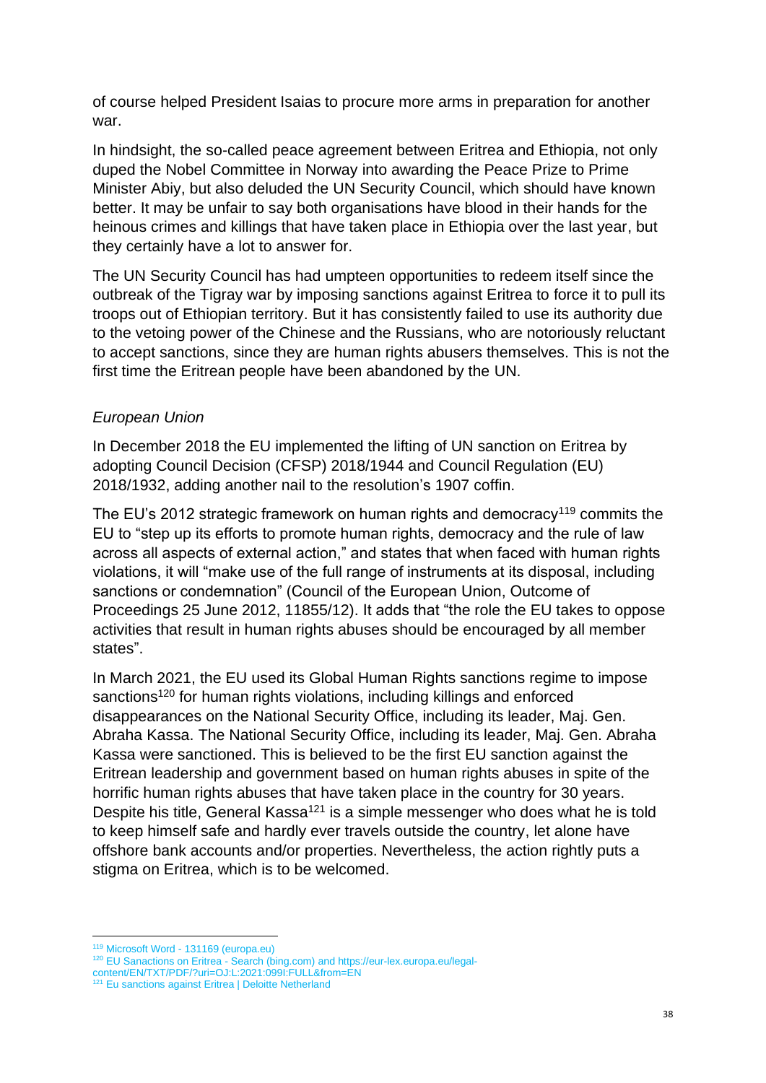of course helped President Isaias to procure more arms in preparation for another war.

In hindsight, the so-called peace agreement between Eritrea and Ethiopia, not only duped the Nobel Committee in Norway into awarding the Peace Prize to Prime Minister Abiy, but also deluded the UN Security Council, which should have known better. It may be unfair to say both organisations have blood in their hands for the heinous crimes and killings that have taken place in Ethiopia over the last year, but they certainly have a lot to answer for.

The UN Security Council has had umpteen opportunities to redeem itself since the outbreak of the Tigray war by imposing sanctions against Eritrea to force it to pull its troops out of Ethiopian territory. But it has consistently failed to use its authority due to the vetoing power of the Chinese and the Russians, who are notoriously reluctant to accept sanctions, since they are human rights abusers themselves. This is not the first time the Eritrean people have been abandoned by the UN.

# *European Union*

In December 2018 the EU implemented the lifting of UN sanction on Eritrea by adopting Council Decision (CFSP) 2018/1944 and Council Regulation (EU) 2018/1932, adding another nail to the resolution's 1907 coffin.

The EU's 2012 strategic framework on human rights and democracy<sup>119</sup> commits the EU to "step up its efforts to promote human rights, democracy and the rule of law across all aspects of external action," and states that when faced with human rights violations, it will "make use of the full range of instruments at its disposal, including sanctions or condemnation" (Council of the European Union, Outcome of Proceedings 25 June 2012, 11855/12). It adds that "the role the EU takes to oppose activities that result in human rights abuses should be encouraged by all member states".

In March 2021, the EU used its Global Human Rights sanctions regime to impose sanctions<sup>120</sup> for human rights violations, including killings and enforced disappearances on the National Security Office, including its leader, Maj. Gen. Abraha Kassa. The National Security Office, including its leader, Maj. Gen. Abraha Kassa were sanctioned. This is believed to be the first EU sanction against the Eritrean leadership and government based on human rights abuses in spite of the horrific human rights abuses that have taken place in the country for 30 years. Despite his title, General Kassa<sup>121</sup> is a simple messenger who does what he is told to keep himself safe and hardly ever travels outside the country, let alone have offshore bank accounts and/or properties. Nevertheless, the action rightly puts a stigma on Eritrea, which is to be welcomed.

<sup>119</sup> Microsoft Word - [131169 \(europa.eu\)](https://www.consilium.europa.eu/uedocs/cms_data/docs/pressdata/EN/foraff/131169.pdf)

 $120$  [EU Sanactions on Eritrea -](https://www.bing.com/search?q=EU+Sanactions+on+Eritrea&form=ANNTH1&refig=82ecc880eb1e4d16aa532c15993d7d3b) Search (bing.com) an[d https://eur-lex.europa.eu/legal-](https://eur-lex.europa.eu/legal-content/EN/TXT/PDF/?uri=OJ:L:2021:099I:FULL&from=EN)

[content/EN/TXT/PDF/?uri=OJ:L:2021:099I:FULL&from=EN](https://eur-lex.europa.eu/legal-content/EN/TXT/PDF/?uri=OJ:L:2021:099I:FULL&from=EN)

<sup>&</sup>lt;sup>121</sup> Eu sanctions against Eritrea | Deloitte Netherland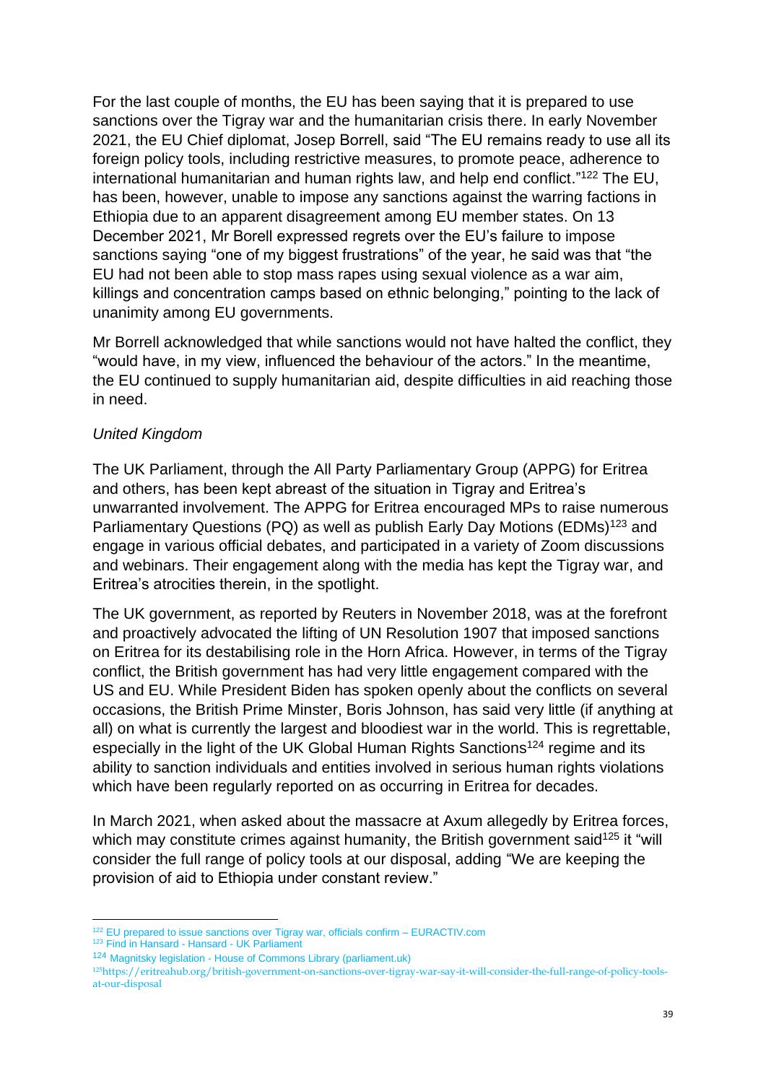For the last couple of months, the EU has been saying that it is prepared to use sanctions over the Tigray war and the humanitarian crisis there. In early November 2021, the EU Chief diplomat, Josep Borrell, said "The EU remains ready to use all its foreign policy tools, including restrictive measures, to promote peace, adherence to international humanitarian and human rights law, and help end conflict."<sup>122</sup> The EU, has been, however, unable to impose any sanctions against the warring factions in Ethiopia due to an apparent disagreement among EU member states. On 13 December 2021, Mr Borell expressed regrets over the EU's failure to impose sanctions saying "one of my biggest frustrations" of the year, he said was that "the EU had not been able to stop mass rapes using sexual violence as a war aim, killings and concentration camps based on ethnic belonging," pointing to the lack of unanimity among EU governments.

Mr Borrell acknowledged that while sanctions would not have halted the conflict, they "would have, in my view, influenced the behaviour of the actors." In the meantime, the EU continued to supply humanitarian aid, despite difficulties in aid reaching those in need.

### *United Kingdom*

The UK Parliament, through the All Party Parliamentary Group (APPG) for Eritrea and others, has been kept abreast of the situation in Tigray and Eritrea's unwarranted involvement. The APPG for Eritrea encouraged MPs to raise numerous Parliamentary Questions (PQ) as well as publish Early Day Motions (EDMs)<sup>123</sup> and engage in various official debates, and participated in a variety of Zoom discussions and webinars. Their engagement along with the media has kept the Tigray war, and Eritrea's atrocities therein, in the spotlight.

The UK government, as reported by Reuters in November 2018, was at the forefront and proactively advocated the lifting of UN Resolution 1907 that imposed sanctions on Eritrea for its destabilising role in the Horn Africa. However, in terms of the Tigray conflict, the British government has had very little engagement compared with the US and EU. While President Biden has spoken openly about the conflicts on several occasions, the British Prime Minster, Boris Johnson, has said very little (if anything at all) on what is currently the largest and bloodiest war in the world. This is regrettable, especially in the light of the UK Global Human Rights Sanctions<sup>124</sup> regime and its ability to sanction individuals and entities involved in serious human rights violations which have been regularly reported on as occurring in Eritrea for decades.

In March 2021, when asked about the massacre at Axum allegedly by Eritrea forces, which may constitute crimes against humanity, the British government said<sup>125</sup> it "will consider the full range of policy tools at our disposal, adding "We are keeping the provision of aid to Ethiopia under constant review."

<sup>123</sup> [Find in Hansard -](https://hansard.parliament.uk/search?searchTerm=Tigray%20war&partial=False) Hansard - UK Parliament

<sup>122</sup> [EU prepared to issue sanctions over Tigray war, officials confirm –](https://www.euractiv.com/section/africa/news/eu-prepared-to-issue-sanctions-over-tigray-war-officials-confirm/) EURACTIV.com

<sup>124</sup> Magnitsky legislation - [House of Commons Library \(parliament.uk\)](https://commonslibrary.parliament.uk/research-briefings/cbp-8374/)

<sup>125</sup>[https://eritreahub.org/british-government-on-sanctions-over-tigray-war-say-it-will-consider-the-full-range-of-policy-tools](https://eritreahub.org/british-government-on-sanctions-over-tigray-war-say-it-will-consider-the-full-range-of-policy-tools-at-our-disposal)[at-our-disposal](https://eritreahub.org/british-government-on-sanctions-over-tigray-war-say-it-will-consider-the-full-range-of-policy-tools-at-our-disposal)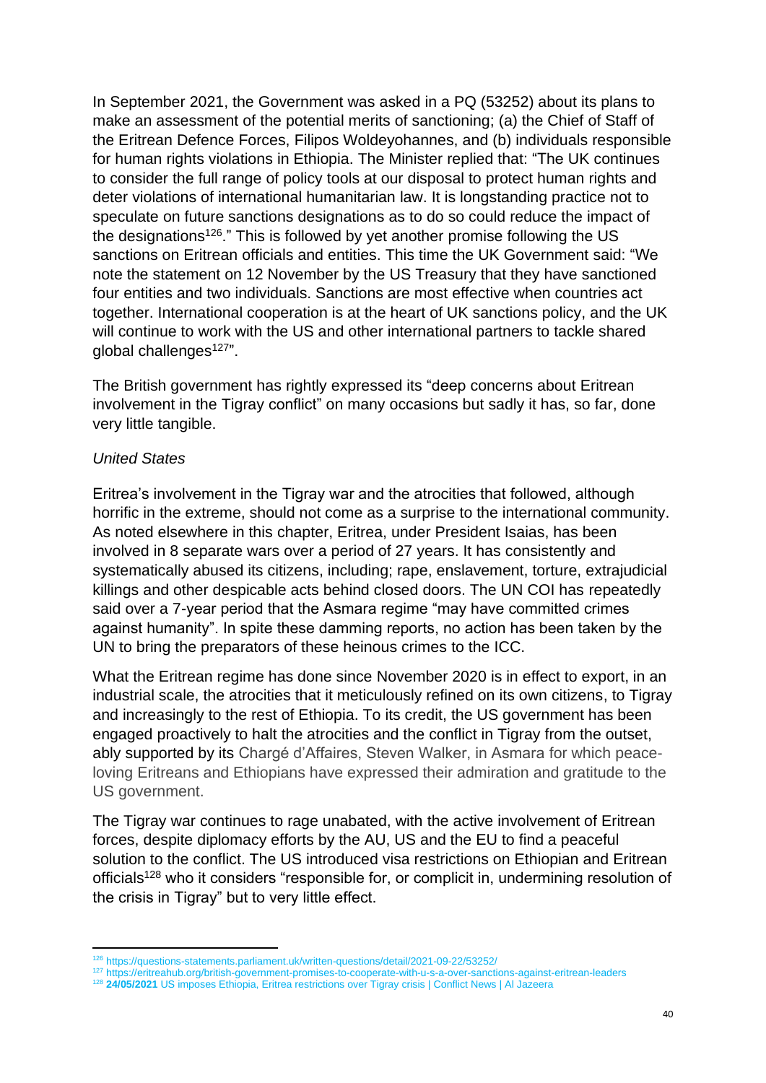In September 2021, the Government was asked in a PQ (53252) about its plans to make an assessment of the potential merits of sanctioning; (a) the Chief of Staff of the Eritrean Defence Forces, Filipos Woldeyohannes, and (b) individuals responsible for human rights violations in Ethiopia. The Minister replied that: "The UK continues to consider the full range of policy tools at our disposal to protect human rights and deter violations of international humanitarian law. It is longstanding practice not to speculate on future sanctions designations as to do so could reduce the impact of the designations<sup>126</sup>." This is followed by yet another promise following the US sanctions on Eritrean officials and entities. This time the UK Government said: "We note the statement on 12 November by the US Treasury that they have sanctioned four entities and two individuals. Sanctions are most effective when countries act together. International cooperation is at the heart of UK sanctions policy, and the UK will continue to work with the US and other international partners to tackle shared global challenges<sup>127</sup>".

The British government has rightly expressed its "deep concerns about Eritrean involvement in the Tigray conflict" on many occasions but sadly it has, so far, done very little tangible.

#### *United States*

Eritrea's involvement in the Tigray war and the atrocities that followed, although horrific in the extreme, should not come as a surprise to the international community. As noted elsewhere in this chapter, Eritrea, under President Isaias, has been involved in 8 separate wars over a period of 27 years. It has consistently and systematically abused its citizens, including; rape, enslavement, torture, extrajudicial killings and other despicable acts behind closed doors. The UN COI has repeatedly said over a 7-year period that the Asmara regime "may have committed crimes against humanity". In spite these damming reports, no action has been taken by the UN to bring the preparators of these heinous crimes to the ICC.

What the Eritrean regime has done since November 2020 is in effect to export, in an industrial scale, the atrocities that it meticulously refined on its own citizens, to Tigray and increasingly to the rest of Ethiopia. To its credit, the US government has been engaged proactively to halt the atrocities and the conflict in Tigray from the outset, ably supported by its Chargé d'Affaires, Steven Walker, in Asmara for which peaceloving Eritreans and Ethiopians have expressed their admiration and gratitude to the US government.

The Tigray war continues to rage unabated, with the active involvement of Eritrean forces, despite diplomacy efforts by the AU, US and the EU to find a peaceful solution to the conflict. The US introduced visa restrictions on Ethiopian and Eritrean officials<sup>128</sup> who it considers "responsible for, or complicit in, undermining resolution of the crisis in Tigray" but to very little effect.

<sup>126</sup> <https://questions-statements.parliament.uk/written-questions/detail/2021-09-22/53252/>

<sup>127</sup> <https://eritreahub.org/british-government-promises-to-cooperate-with-u-s-a-over-sanctions-against-eritrean-leaders>

<sup>128</sup> **24/05/2021** [US imposes Ethiopia, Eritrea restrictions over Tigray crisis | Conflict News | Al Jazeera](https://www.aljazeera.com/news/2021/5/24/us-imposes-ethiopia-sanctions-over-tigray-crisis)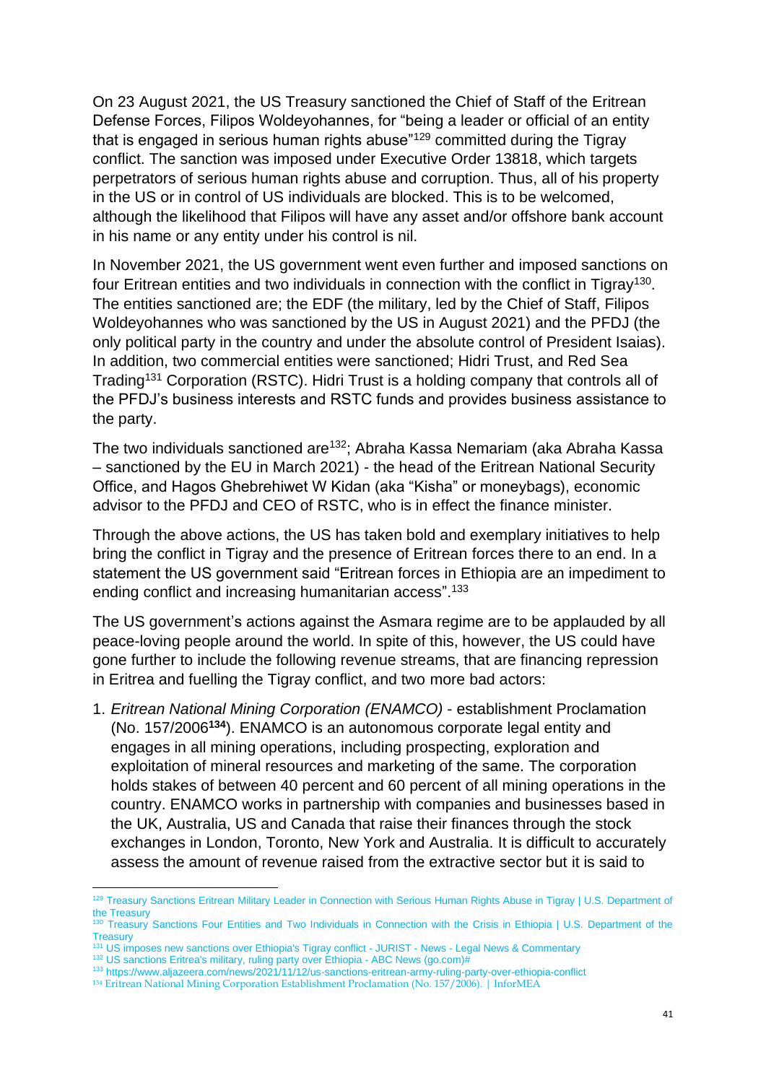On 23 August 2021, the US Treasury sanctioned the Chief of Staff of the Eritrean Defense Forces, Filipos Woldeyohannes, for "being a leader or official of an entity that is engaged in serious human rights abuse"<sup>129</sup> committed during the Tigray conflict. The sanction was imposed under Executive Order 13818, which targets perpetrators of serious human rights abuse and corruption. Thus, all of his property in the US or in control of US individuals are blocked. This is to be welcomed, although the likelihood that Filipos will have any asset and/or offshore bank account in his name or any entity under his control is nil.

In November 2021, the US government went even further and imposed sanctions on four Eritrean entities and two individuals in connection with the conflict in Tigray<sup>130</sup>. The entities sanctioned are; the EDF (the military, led by the Chief of Staff, Filipos Woldeyohannes who was sanctioned by the US in August 2021) and the PFDJ (the only political party in the country and under the absolute control of President Isaias). In addition, two commercial entities were sanctioned; Hidri Trust, and Red Sea Trading<sup>131</sup> Corporation (RSTC). Hidri Trust is a holding company that controls all of the PFDJ's business interests and RSTC funds and provides business assistance to the party.

The two individuals sanctioned are<sup>132</sup>; Abraha Kassa Nemariam (aka Abraha Kassa – sanctioned by the EU in March 2021) - the head of the Eritrean National Security Office, and Hagos Ghebrehiwet W Kidan (aka "Kisha" or moneybags), economic advisor to the PFDJ and CEO of RSTC, who is in effect the finance minister.

Through the above actions, the US has taken bold and exemplary initiatives to help bring the conflict in Tigray and the presence of Eritrean forces there to an end. In a statement the US government said "Eritrean forces in Ethiopia are an impediment to ending conflict and increasing humanitarian access".<sup>133</sup>

The US government's actions against the Asmara regime are to be applauded by all peace-loving people around the world. In spite of this, however, the US could have gone further to include the following revenue streams, that are financing repression in Eritrea and fuelling the Tigray conflict, and two more bad actors:

1. *Eritrean National Mining Corporation (ENAMCO)* - establishment Proclamation (No. 157/2006**<sup>134</sup>**). ENAMCO is an autonomous corporate legal entity and engages in all mining operations, including prospecting, exploration and exploitation of mineral resources and marketing of the same. The corporation holds stakes of between 40 percent and 60 percent of all mining operations in the country. ENAMCO works in partnership with companies and businesses based in the UK, Australia, US and Canada that raise their finances through the stock exchanges in London, Toronto, New York and Australia. It is difficult to accurately assess the amount of revenue raised from the extractive sector but it is said to

<sup>129</sup> Treasury Sanctions Eritrean Military Leader in Connection with Serious Human Rights Abuse in Tigray | U.S. Department of [the Treasury](https://home.treasury.gov/news/press-releases/jy0329)

<sup>&</sup>lt;sup>130</sup> Treasury Sanctions Four Entities and Two Individuals in Connection with the Crisis in Ethiopia | U.S. Department of the **[Treasury](https://home.treasury.gov/news/press-releases/jy0478)** 

<sup>&</sup>lt;sup>31</sup> [US imposes new sanctions over Ethiopia's Tigray conflict -](https://www.jurist.org/news/2021/08/us-imposes-new-sanctions-over-ethiopias-tigray-conflict/) JURIST - News - Legal News & Commentary

<sup>132</sup> [US sanctions Eritrea's military, ruling party over Ethiopia -](https://abcnews.go.com/International/wireStory/us-sanctions-eritreas-military-ruling-party-ethiopia-81132222) ABC News (go.com)#

<sup>133</sup> <https://www.aljazeera.com/news/2021/11/12/us-sanctions-eritrean-army-ruling-party-over-ethiopia-conflict>

<sup>134</sup> [Eritrean National Mining Corporation Establishment Proclamation \(No. 157/2006\). | InforMEA](https://www.informea.org/en/legislation/eritrean-national-mining-corporation-establishment-proclamation-no-1572006)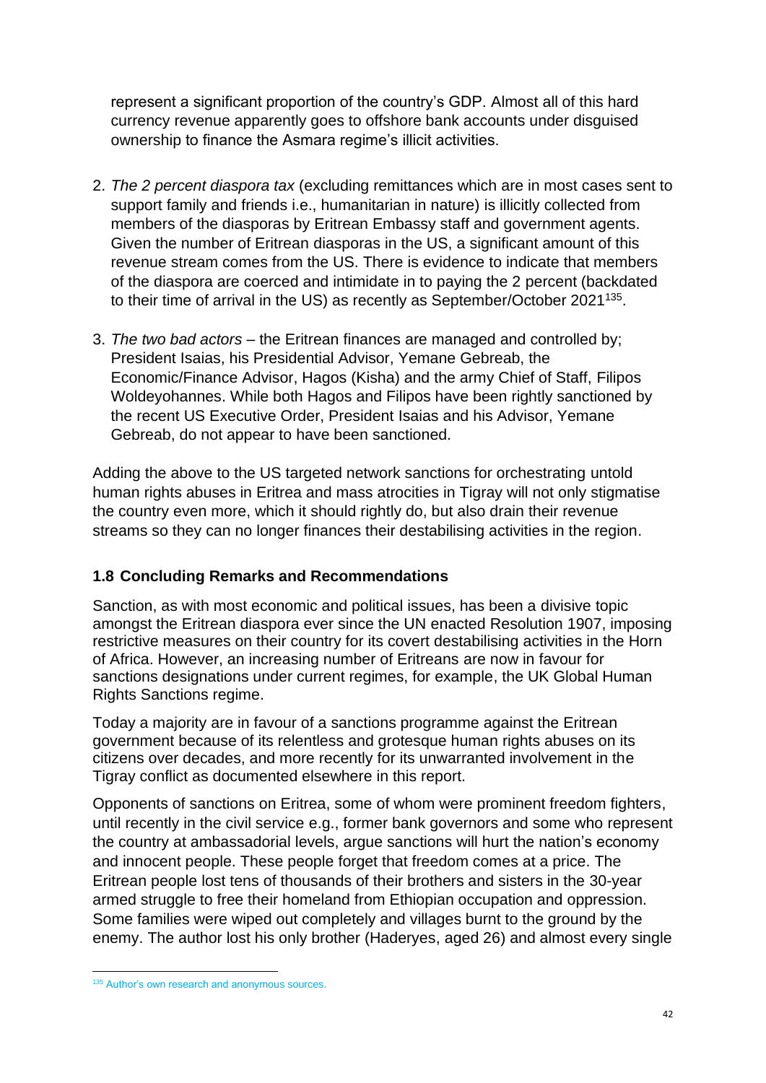represent a significant proportion of the country's GDP. Almost all of this hard currency revenue apparently goes to offshore bank accounts under disguised ownership to finance the Asmara regime's illicit activities.

- 2. *The 2 percent diaspora tax* (excluding remittances which are in most cases sent to support family and friends i.e., humanitarian in nature) is illicitly collected from members of the diasporas by Eritrean Embassy staff and government agents. Given the number of Eritrean diasporas in the US, a significant amount of this revenue stream comes from the US. There is evidence to indicate that members of the diaspora are coerced and intimidate in to paying the 2 percent (backdated to their time of arrival in the US) as recently as September/October 2021<sup>135</sup>.
- 3. *The two bad actors* the Eritrean finances are managed and controlled by; President Isaias, his Presidential Advisor, Yemane Gebreab, the Economic/Finance Advisor, Hagos (Kisha) and the army Chief of Staff, Filipos Woldeyohannes. While both Hagos and Filipos have been rightly sanctioned by the recent US Executive Order, President Isaias and his Advisor, Yemane Gebreab, do not appear to have been sanctioned.

Adding the above to the US targeted network sanctions for orchestrating untold human rights abuses in Eritrea and mass atrocities in Tigray will not only stigmatise the country even more, which it should rightly do, but also drain their revenue streams so they can no longer finances their destabilising activities in the region.

# **1.8 Concluding Remarks and Recommendations**

Sanction, as with most economic and political issues, has been a divisive topic amongst the Eritrean diaspora ever since the UN enacted Resolution 1907, imposing restrictive measures on their country for its covert destabilising activities in the Horn of Africa. However, an increasing number of Eritreans are now in favour for sanctions designations under current regimes, for example, the UK Global Human Rights Sanctions regime.

Today a majority are in favour of a sanctions programme against the Eritrean government because of its relentless and grotesque human rights abuses on its citizens over decades, and more recently for its unwarranted involvement in the Tigray conflict as documented elsewhere in this report.

Opponents of sanctions on Eritrea, some of whom were prominent freedom fighters, until recently in the civil service e.g., former bank governors and some who represent the country at ambassadorial levels, argue sanctions will hurt the nation's economy and innocent people. These people forget that freedom comes at a price. The Eritrean people lost tens of thousands of their brothers and sisters in the 30-year armed struggle to free their homeland from Ethiopian occupation and oppression. Some families were wiped out completely and villages burnt to the ground by the enemy. The author lost his only brother (Haderyes, aged 26) and almost every single

<sup>&</sup>lt;sup>135</sup> Author's own research and anonymous sources.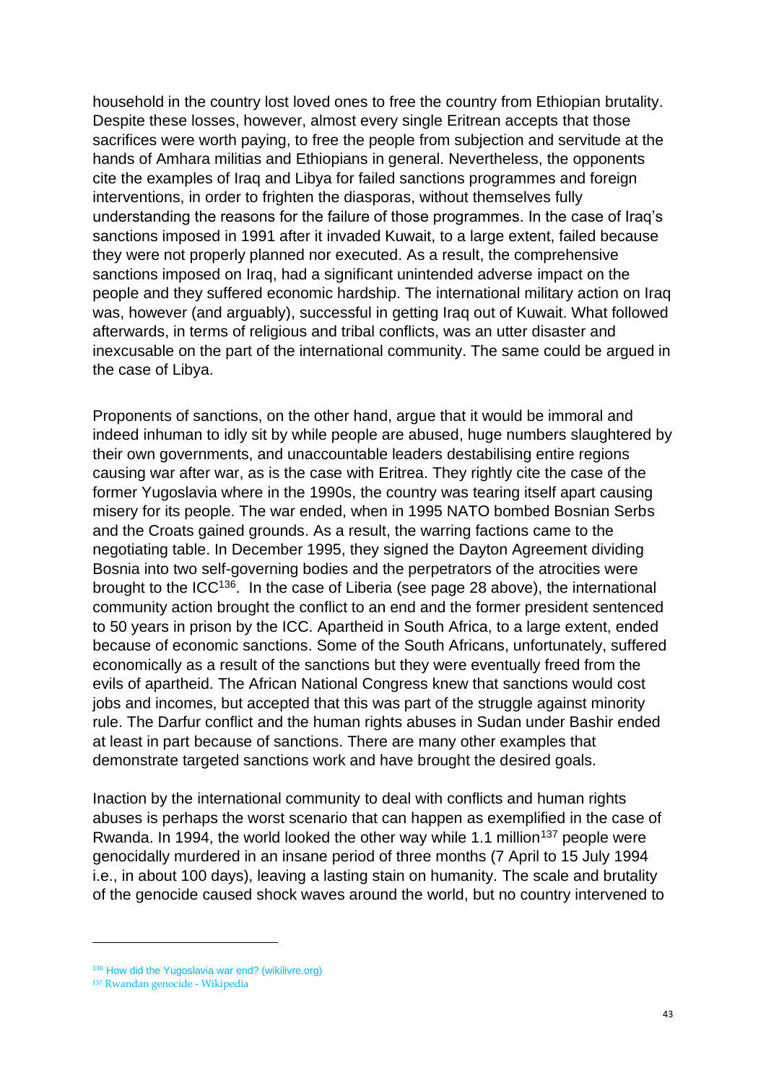household in the country lost loved ones to free the country from Ethiopian brutality. Despite these losses, however, almost every single Eritrean accepts that those sacrifices were worth paying, to free the people from subjection and servitude at the hands of Amhara militias and Ethiopians in general. Nevertheless, the opponents cite the examples of Iraq and Libya for failed sanctions programmes and foreign interventions, in order to frighten the diasporas, without themselves fully understanding the reasons for the failure of those programmes. In the case of Iraq's sanctions imposed in 1991 after it invaded Kuwait, to a large extent, failed because they were not properly planned nor executed. As a result, the comprehensive sanctions imposed on Iraq, had a significant unintended adverse impact on the people and they suffered economic hardship. The international military action on Iraq was, however (and arguably), successful in getting Iraq out of Kuwait. What followed afterwards, in terms of religious and tribal conflicts, was an utter disaster and inexcusable on the part of the international community. The same could be argued in the case of Libya.

Proponents of sanctions, on the other hand, argue that it would be immoral and indeed inhuman to idly sit by while people are abused, huge numbers slaughtered by their own governments, and unaccountable leaders destabilising entire regions causing war after war, as is the case with Eritrea. They rightly cite the case of the former Yugoslavia where in the 1990s, the country was tearing itself apart causing misery for its people. The war ended, when in 1995 NATO bombed Bosnian Serbs and the Croats gained grounds. As a result, the warring factions came to the negotiating table. In December 1995, they signed the Dayton Agreement dividing Bosnia into two self-governing bodies and the perpetrators of the atrocities were brought to the ICC<sup>136</sup>. In the case of Liberia (see page 28 above), the international community action brought the conflict to an end and the former president sentenced to 50 years in prison by the ICC. Apartheid in South Africa, to a large extent, ended because of economic sanctions. Some of the South Africans, unfortunately, suffered economically as a result of the sanctions but they were eventually freed from the evils of apartheid. The African National Congress knew that sanctions would cost jobs and incomes, but accepted that this was part of the struggle against minority rule. The Darfur conflict and the human rights abuses in Sudan under Bashir ended at least in part because of sanctions. There are many other examples that demonstrate targeted sanctions work and have brought the desired goals.

Inaction by the international community to deal with conflicts and human rights abuses is perhaps the worst scenario that can happen as exemplified in the case of Rwanda. In 1994, the world looked the other way while 1.1 million<sup>137</sup> people were genocidally murdered in an insane period of three months (7 April to 15 July 1994 i.e., in about 100 days), leaving a lasting stain on humanity. The scale and brutality of the genocide caused shock waves around the world, but no country intervened to

<sup>&</sup>lt;sup>136</sup> [How did the Yugoslavia war end? \(wikilivre.org\)](https://wikilivre.org/culture/how-did-the-yugoslavia-war-end/#When_did_Yugoslavia_war_end)

<sup>137</sup> [Rwandan genocide -](https://en.wikipedia.org/wiki/Rwandan_genocide) Wikipedia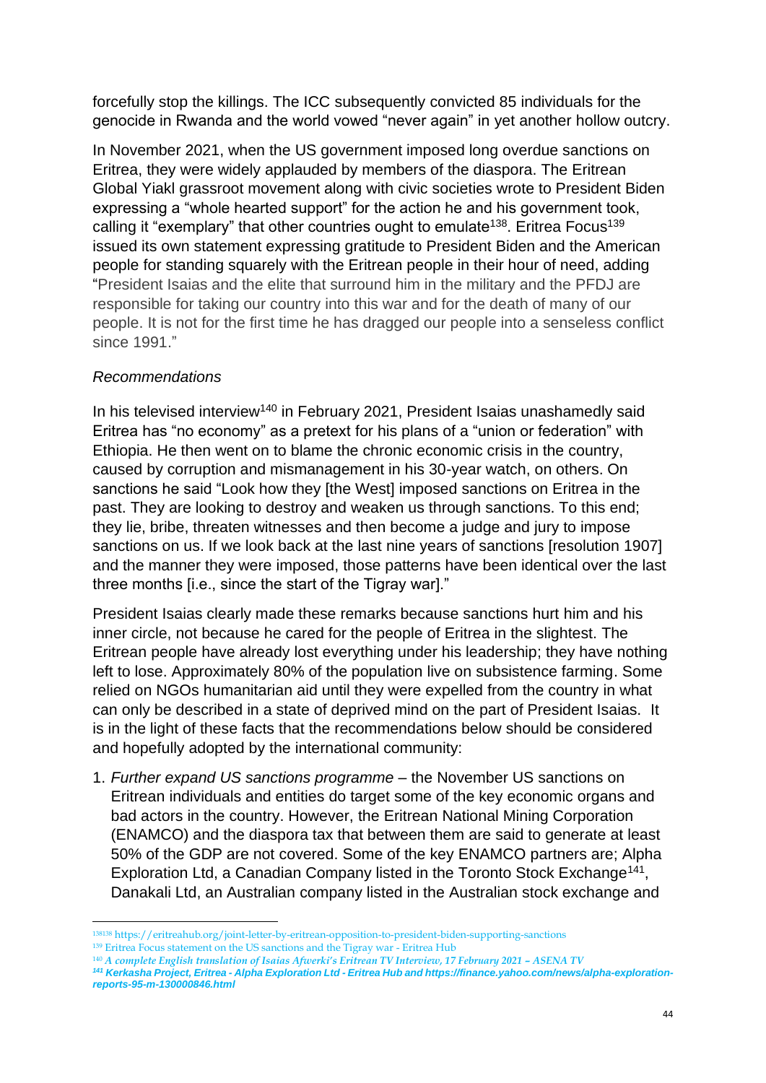forcefully stop the killings. The ICC subsequently convicted 85 individuals for the genocide in Rwanda and the world vowed "never again" in yet another hollow outcry.

In November 2021, when the US government imposed long overdue sanctions on Eritrea, they were widely applauded by members of the diaspora. The Eritrean Global Yiakl grassroot movement along with civic societies wrote to President Biden expressing a "whole hearted support" for the action he and his government took, calling it "exemplary" that other countries ought to emulate<sup>138</sup>. Eritrea Focus<sup>139</sup> issued its own statement expressing gratitude to President Biden and the American people for standing squarely with the Eritrean people in their hour of need, adding "President Isaias and the elite that surround him in the military and the PFDJ are responsible for taking our country into this war and for the death of many of our people. It is not for the first time he has dragged our people into a senseless conflict since 1991."

# *Recommendations*

In his televised interview<sup>140</sup> in February 2021, President Isaias unashamedly said Eritrea has "no economy" as a pretext for his plans of a "union or federation" with Ethiopia. He then went on to blame the chronic economic crisis in the country, caused by corruption and mismanagement in his 30-year watch, on others. On sanctions he said "Look how they [the West] imposed sanctions on Eritrea in the past. They are looking to destroy and weaken us through sanctions. To this end; they lie, bribe, threaten witnesses and then become a judge and jury to impose sanctions on us. If we look back at the last nine years of sanctions [resolution 1907] and the manner they were imposed, those patterns have been identical over the last three months [i.e., since the start of the Tigray war]."

President Isaias clearly made these remarks because sanctions hurt him and his inner circle, not because he cared for the people of Eritrea in the slightest. The Eritrean people have already lost everything under his leadership; they have nothing left to lose. Approximately 80% of the population live on subsistence farming. Some relied on NGOs humanitarian aid until they were expelled from the country in what can only be described in a state of deprived mind on the part of President Isaias. It is in the light of these facts that the recommendations below should be considered and hopefully adopted by the international community:

1. *Further expand US sanctions programme* – the November US sanctions on Eritrean individuals and entities do target some of the key economic organs and bad actors in the country. However, the Eritrean National Mining Corporation (ENAMCO) and the diaspora tax that between them are said to generate at least 50% of the GDP are not covered. Some of the key ENAMCO partners are; Alpha Exploration Ltd, a Canadian Company listed in the Toronto Stock Exchange<sup>141</sup>, Danakali Ltd, an Australian company listed in the Australian stock exchange and

<sup>138138</sup> <https://eritreahub.org/joint-letter-by-eritrean-opposition-to-president-biden-supporting-sanctions> <sup>139</sup> [Eritrea Focus statement on the US sanctions and the Tigray war -](https://eritreahub.org/eritrea-focus-statement-on-the-us-sanctions-and-the-tigray-war) Eritrea Hub

<sup>140</sup> *[A complete English translation of Isaias Afwerki's Eritrean TV Interview, 17 February 2021 –](https://asenatv.com/a-complete-english-translation-of-isaias-afwerkis-eritrean-tv-interview-17-february-2021/) ASENA TV*

*<sup>141</sup> [Kerkasha Project, Eritrea -](https://eritreahub.org/kerkasha-project-eritrea-alpha-exploration-ltd) Alpha Exploration Ltd - Eritrea Hub an[d https://finance.yahoo.com/news/alpha-exploration](https://finance.yahoo.com/news/alpha-exploration-reports-95-m-130000846.html)[reports-95-m-130000846.html](https://finance.yahoo.com/news/alpha-exploration-reports-95-m-130000846.html)*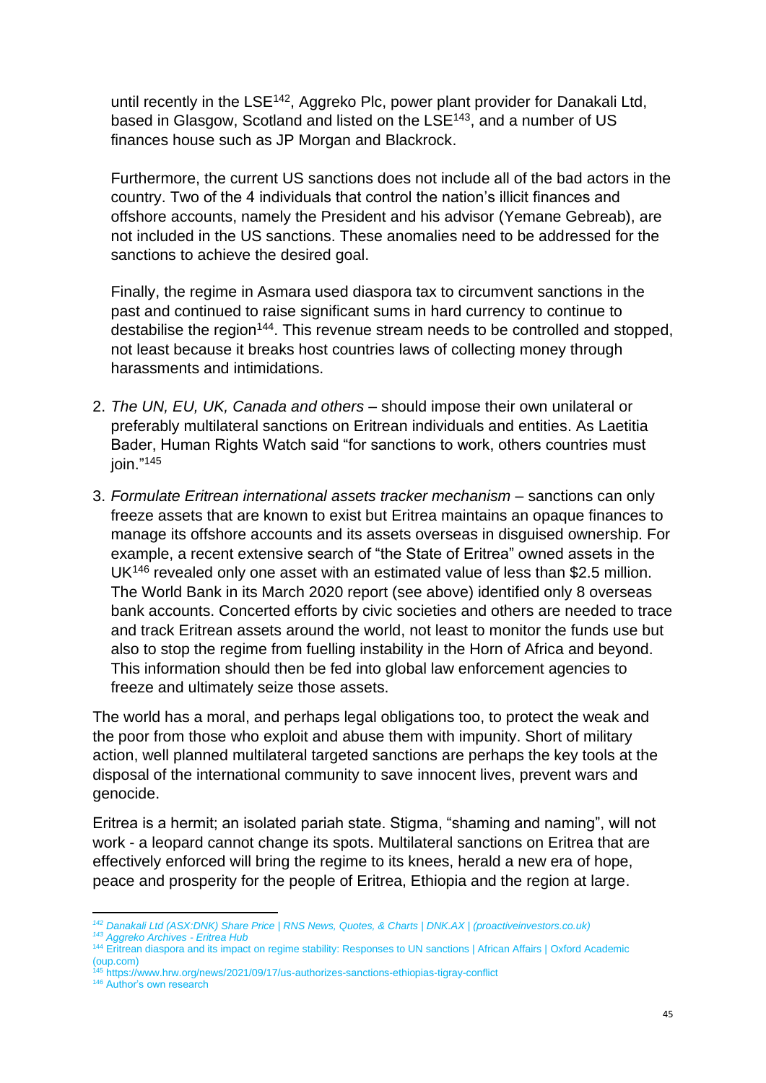until recently in the LSE<sup>142</sup>, Aggreko Plc, power plant provider for Danakali Ltd, based in Glasgow, Scotland and listed on the LSE<sup>143</sup>, and a number of US finances house such as JP Morgan and Blackrock.

Furthermore, the current US sanctions does not include all of the bad actors in the country. Two of the 4 individuals that control the nation's illicit finances and offshore accounts, namely the President and his advisor (Yemane Gebreab), are not included in the US sanctions. These anomalies need to be addressed for the sanctions to achieve the desired goal.

Finally, the regime in Asmara used diaspora tax to circumvent sanctions in the past and continued to raise significant sums in hard currency to continue to destabilise the region<sup>144</sup>. This revenue stream needs to be controlled and stopped, not least because it breaks host countries laws of collecting money through harassments and intimidations.

- 2. *The UN, EU, UK, Canada and others* should impose their own unilateral or preferably multilateral sanctions on Eritrean individuals and entities. As Laetitia Bader, Human Rights Watch said "for sanctions to work, others countries must join." 145
- 3. *Formulate Eritrean international assets tracker mechanism* sanctions can only freeze assets that are known to exist but Eritrea maintains an opaque finances to manage its offshore accounts and its assets overseas in disguised ownership. For example, a recent extensive search of "the State of Eritrea" owned assets in the UK<sup>146</sup> revealed only one asset with an estimated value of less than \$2.5 million. The World Bank in its March 2020 report (see above) identified only 8 overseas bank accounts. Concerted efforts by civic societies and others are needed to trace and track Eritrean assets around the world, not least to monitor the funds use but also to stop the regime from fuelling instability in the Horn of Africa and beyond. This information should then be fed into global law enforcement agencies to freeze and ultimately seize those assets.

The world has a moral, and perhaps legal obligations too, to protect the weak and the poor from those who exploit and abuse them with impunity. Short of military action, well planned multilateral targeted sanctions are perhaps the key tools at the disposal of the international community to save innocent lives, prevent wars and genocide.

Eritrea is a hermit; an isolated pariah state. Stigma, "shaming and naming", will not work - a leopard cannot change its spots. Multilateral sanctions on Eritrea that are effectively enforced will bring the regime to its knees, herald a new era of hope, peace and prosperity for the people of Eritrea, Ethiopia and the region at large.

<sup>45</sup> <https://www.hrw.org/news/2021/09/17/us-authorizes-sanctions-ethiopias-tigray-conflict>

*<sup>142</sup> [Danakali Ltd \(ASX:DNK\) Share Price | RNS News, Quotes, & Charts | DNK.AX | \(proactiveinvestors.co.uk\)](https://www.proactiveinvestors.co.uk/ASX:DNK/Danakali-Ltd)*

*<sup>143</sup> [Aggreko Archives -](https://eritreahub.org/tag/aggreko) Eritrea Hub*

<sup>144</sup> [Eritrean diaspora and its impact on regime stability: Responses to UN sanctions | African Affairs |](https://academic.oup.com/afraf/article/114/454/115/2195155) Oxford Academic [\(oup.com\)](https://academic.oup.com/afraf/article/114/454/115/2195155)

<sup>146</sup> Author's own research